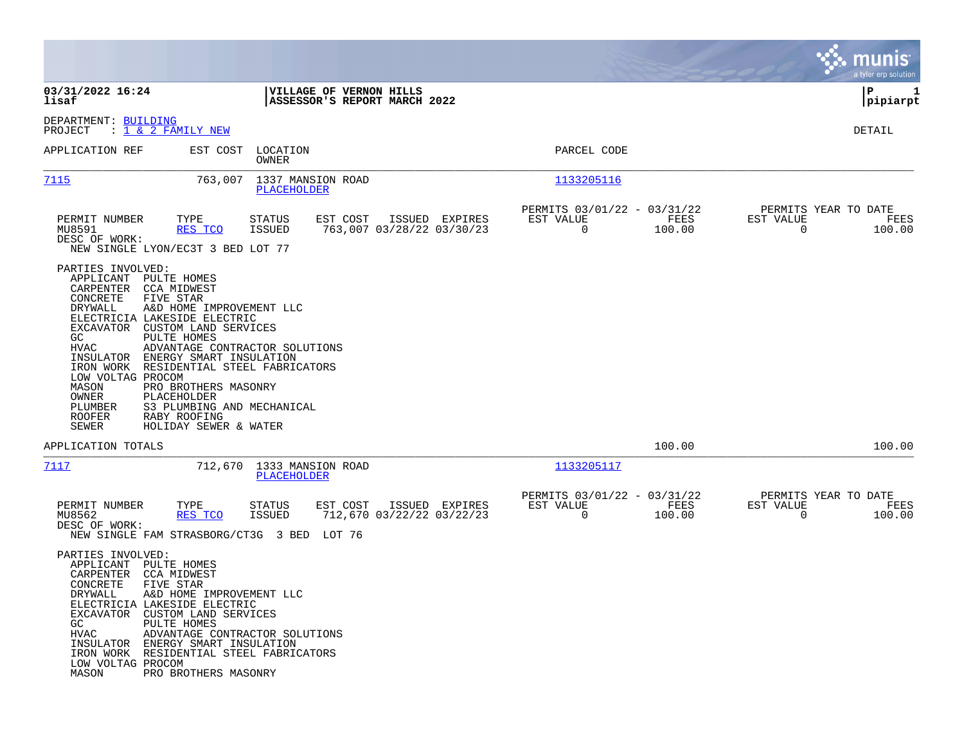|                                                                                                                                                                                                                                                                                                                                                                                                                                                                                                                                                  |                                                                                       |                                                                 | a tyler erp solution                                     |
|--------------------------------------------------------------------------------------------------------------------------------------------------------------------------------------------------------------------------------------------------------------------------------------------------------------------------------------------------------------------------------------------------------------------------------------------------------------------------------------------------------------------------------------------------|---------------------------------------------------------------------------------------|-----------------------------------------------------------------|----------------------------------------------------------|
| 03/31/2022 16:24<br>lisaf                                                                                                                                                                                                                                                                                                                                                                                                                                                                                                                        | VILLAGE OF VERNON HILLS<br>ASSESSOR'S REPORT MARCH 2022                               |                                                                 | P<br>1<br> pipiarpt                                      |
| DEPARTMENT: BUILDING<br>: <u>1 &amp; 2 FAMILY NEW</u><br>PROJECT                                                                                                                                                                                                                                                                                                                                                                                                                                                                                 |                                                                                       |                                                                 | DETAIL                                                   |
| APPLICATION REF<br>EST COST                                                                                                                                                                                                                                                                                                                                                                                                                                                                                                                      | LOCATION<br>OWNER                                                                     | PARCEL CODE                                                     |                                                          |
| 7115<br>763,007                                                                                                                                                                                                                                                                                                                                                                                                                                                                                                                                  | 1337 MANSION ROAD<br>PLACEHOLDER                                                      | 1133205116                                                      |                                                          |
| PERMIT NUMBER<br>TYPE<br>MU8591<br><u>RES TCO</u><br>DESC OF WORK:<br>NEW SINGLE LYON/EC3T 3 BED LOT 77                                                                                                                                                                                                                                                                                                                                                                                                                                          | <b>STATUS</b><br>EST COST<br>ISSUED EXPIRES<br>763,007 03/28/22 03/30/23<br>ISSUED    | PERMITS 03/01/22 - 03/31/22<br>EST VALUE<br>FEES<br>0<br>100.00 | PERMITS YEAR TO DATE<br>EST VALUE<br>FEES<br>0<br>100.00 |
| PARTIES INVOLVED:<br>APPLICANT PULTE HOMES<br>CARPENTER CCA MIDWEST<br>CONCRETE<br>FIVE STAR<br>DRYWALL<br>A&D HOME IMPROVEMENT LLC<br>ELECTRICIA LAKESIDE ELECTRIC<br>EXCAVATOR<br>CUSTOM LAND SERVICES<br>GC<br>PULTE HOMES<br>ADVANTAGE CONTRACTOR SOLUTIONS<br>HVAC<br>INSULATOR<br>ENERGY SMART INSULATION<br>IRON WORK<br>RESIDENTIAL STEEL FABRICATORS<br>LOW VOLTAG PROCOM<br>MASON<br>PRO BROTHERS MASONRY<br>OWNER<br>PLACEHOLDER<br>S3 PLUMBING AND MECHANICAL<br>PLUMBER<br>ROOFER<br>RABY ROOFING<br>SEWER<br>HOLIDAY SEWER & WATER |                                                                                       |                                                                 |                                                          |
| APPLICATION TOTALS                                                                                                                                                                                                                                                                                                                                                                                                                                                                                                                               |                                                                                       | 100.00                                                          | 100.00                                                   |
| 7117<br>712,670                                                                                                                                                                                                                                                                                                                                                                                                                                                                                                                                  | 1333 MANSION ROAD<br>PLACEHOLDER                                                      | 1133205117                                                      |                                                          |
| PERMIT NUMBER<br>TYPE<br>MU8562<br>RES TCO<br>DESC OF WORK:<br>NEW SINGLE FAM STRASBORG/CT3G 3 BED                                                                                                                                                                                                                                                                                                                                                                                                                                               | ISSUED EXPIRES<br>STATUS<br>EST COST<br>ISSUED<br>712,670 03/22/22 03/22/23<br>LOT 76 | PERMITS 03/01/22 - 03/31/22<br>EST VALUE<br>FEES<br>0<br>100.00 | PERMITS YEAR TO DATE<br>EST VALUE<br>FEES<br>0<br>100.00 |
| PARTIES INVOLVED:<br>APPLICANT PULTE HOMES<br>CARPENTER CCA MIDWEST<br>CONCRETE FIVE STAR<br>A&D HOME IMPROVEMENT LLC<br>DRYWALL<br>ELECTRICIA LAKESIDE ELECTRIC<br>EXCAVATOR CUSTOM LAND SERVICES<br>GC<br>PULTE HOMES<br>HVAC<br>ADVANTAGE CONTRACTOR SOLUTIONS<br>INSULATOR ENERGY SMART INSULATION<br>IRON WORK RESIDENTIAL STEEL FABRICATORS<br>LOW VOLTAG PROCOM<br>MASON<br>PRO BROTHERS MASONRY                                                                                                                                          |                                                                                       |                                                                 |                                                          |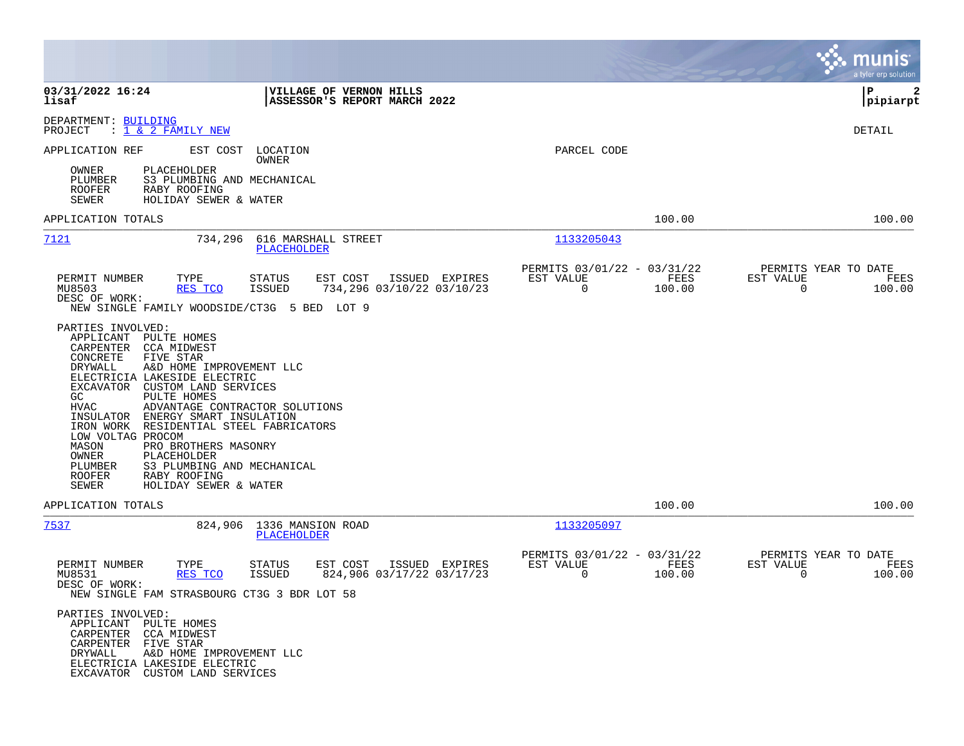|                                                                                                                                                                                                                                                                                                                                                                                                                                                                                                                                                                      |                                                                                    |                                                         |                | munis<br>a tyler erp solution                                   |
|----------------------------------------------------------------------------------------------------------------------------------------------------------------------------------------------------------------------------------------------------------------------------------------------------------------------------------------------------------------------------------------------------------------------------------------------------------------------------------------------------------------------------------------------------------------------|------------------------------------------------------------------------------------|---------------------------------------------------------|----------------|-----------------------------------------------------------------|
| 03/31/2022 16:24<br>lisaf                                                                                                                                                                                                                                                                                                                                                                                                                                                                                                                                            | VILLAGE OF VERNON HILLS<br>ASSESSOR'S REPORT MARCH 2022                            |                                                         |                | l P<br>2<br> pipiarpt                                           |
| DEPARTMENT: BUILDING<br>: 1 & 2 FAMILY NEW<br>PROJECT                                                                                                                                                                                                                                                                                                                                                                                                                                                                                                                |                                                                                    |                                                         |                | DETAIL                                                          |
| APPLICATION REF<br>EST COST                                                                                                                                                                                                                                                                                                                                                                                                                                                                                                                                          | LOCATION<br>OWNER                                                                  | PARCEL CODE                                             |                |                                                                 |
| <b>PLACEHOLDER</b><br>OWNER<br>S3 PLUMBING AND MECHANICAL<br>PLUMBER<br><b>ROOFER</b><br>RABY ROOFING<br>SEWER<br>HOLIDAY SEWER & WATER                                                                                                                                                                                                                                                                                                                                                                                                                              |                                                                                    |                                                         |                |                                                                 |
| APPLICATION TOTALS                                                                                                                                                                                                                                                                                                                                                                                                                                                                                                                                                   |                                                                                    |                                                         | 100.00         | 100.00                                                          |
| 7121<br>734,296                                                                                                                                                                                                                                                                                                                                                                                                                                                                                                                                                      | 616 MARSHALL STREET<br><b>PLACEHOLDER</b>                                          | 1133205043                                              |                |                                                                 |
| PERMIT NUMBER<br>TYPE<br>MU8503<br>RES TCO<br>DESC OF WORK:<br>NEW SINGLE FAMILY WOODSIDE/CT3G 5 BED LOT 9                                                                                                                                                                                                                                                                                                                                                                                                                                                           | EST COST<br>ISSUED EXPIRES<br>STATUS<br>734,296 03/10/22 03/10/23<br>ISSUED        | PERMITS 03/01/22 - 03/31/22<br>EST VALUE<br>$\mathbf 0$ | FEES<br>100.00 | PERMITS YEAR TO DATE<br>EST VALUE<br>FEES<br>$\Omega$<br>100.00 |
| PARTIES INVOLVED:<br>APPLICANT<br>PULTE HOMES<br>CARPENTER<br>CCA MIDWEST<br>CONCRETE<br>FIVE STAR<br>DRYWALL<br>A&D HOME IMPROVEMENT LLC<br>ELECTRICIA LAKESIDE ELECTRIC<br>CUSTOM LAND SERVICES<br>EXCAVATOR<br>GC<br>PULTE HOMES<br>HVAC<br>ADVANTAGE CONTRACTOR SOLUTIONS<br>INSULATOR<br>ENERGY SMART INSULATION<br>IRON WORK<br>RESIDENTIAL STEEL FABRICATORS<br>LOW VOLTAG PROCOM<br>MASON<br>PRO BROTHERS MASONRY<br>OWNER<br>PLACEHOLDER<br>PLUMBER<br>S3 PLUMBING AND MECHANICAL<br><b>ROOFER</b><br>RABY ROOFING<br><b>SEWER</b><br>HOLIDAY SEWER & WATER |                                                                                    |                                                         |                |                                                                 |
| APPLICATION TOTALS                                                                                                                                                                                                                                                                                                                                                                                                                                                                                                                                                   |                                                                                    |                                                         | 100.00         | 100.00                                                          |
| 7537                                                                                                                                                                                                                                                                                                                                                                                                                                                                                                                                                                 | 824,906 1336 MANSION ROAD<br>PLACEHOLDER                                           | 1133205097                                              |                |                                                                 |
| PERMIT NUMBER<br>TYPE<br>MU8531<br>RES TCO<br>DESC OF WORK:<br>NEW SINGLE FAM STRASBOURG CT3G 3 BDR LOT 58                                                                                                                                                                                                                                                                                                                                                                                                                                                           | EST COST<br>ISSUED EXPIRES<br>STATUS<br>824,906 03/17/22 03/17/23<br><b>ISSUED</b> | PERMITS 03/01/22 - 03/31/22<br>EST VALUE<br>0           | FEES<br>100.00 | PERMITS YEAR TO DATE<br>EST VALUE<br>FEES<br>$\Omega$<br>100.00 |
| PARTIES INVOLVED:<br>APPLICANT PULTE HOMES<br>CARPENTER CCA MIDWEST<br>CARPENTER FIVE STAR<br>DRYWALL<br>A&D HOME IMPROVEMENT LLC<br>ELECTRICIA LAKESIDE ELECTRIC<br>EXCAVATOR CUSTOM LAND SERVICES                                                                                                                                                                                                                                                                                                                                                                  |                                                                                    |                                                         |                |                                                                 |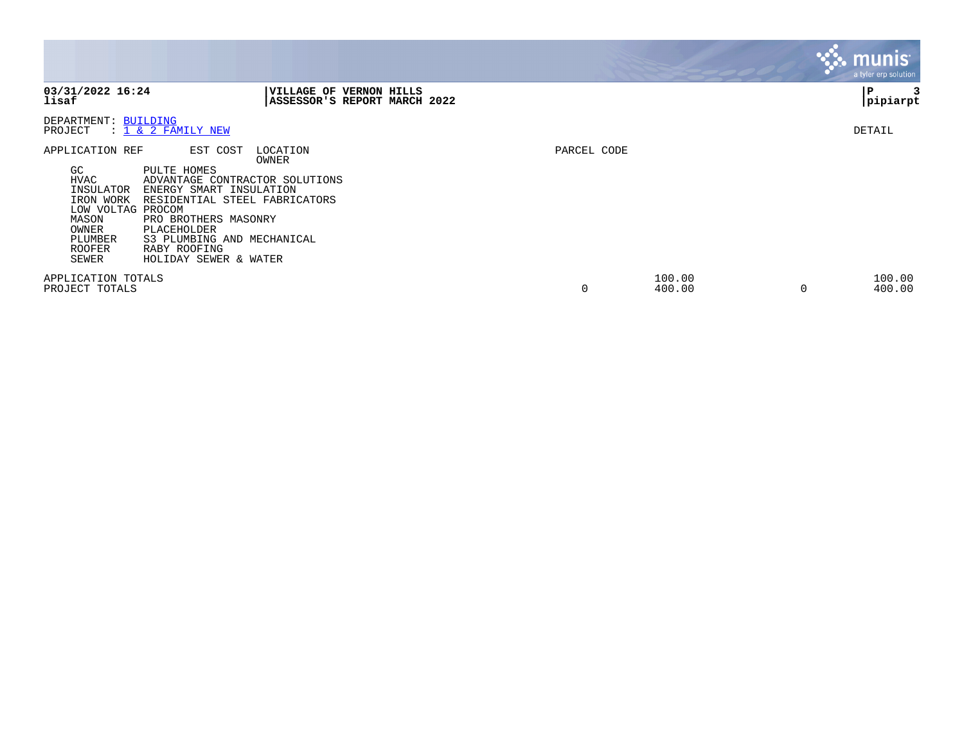|                                                                                                                                                                                                                                                                                                                                                                             |                                                         |             |                  | <b>munis</b> '<br>a tyler erp solution, |
|-----------------------------------------------------------------------------------------------------------------------------------------------------------------------------------------------------------------------------------------------------------------------------------------------------------------------------------------------------------------------------|---------------------------------------------------------|-------------|------------------|-----------------------------------------|
| 03/31/2022 16:24<br>lisaf                                                                                                                                                                                                                                                                                                                                                   | VILLAGE OF VERNON HILLS<br>ASSESSOR'S REPORT MARCH 2022 |             |                  | P<br>pipiarpt                           |
| DEPARTMENT: BUILDING<br>PROJECT<br>: 1 & 2 FAMILY NEW                                                                                                                                                                                                                                                                                                                       |                                                         |             |                  | DETAIL                                  |
| EST COST<br>APPLICATION REF<br>GC.<br>PULTE HOMES<br><b>HVAC</b><br>ADVANTAGE CONTRACTOR SOLUTIONS<br>INSULATOR<br>ENERGY SMART INSULATION<br>IRON WORK<br>RESIDENTIAL STEEL FABRICATORS<br>LOW VOLTAG PROCOM<br>MASON<br>PRO BROTHERS MASONRY<br>OWNER<br>PLACEHOLDER<br>PLUMBER<br>S3 PLUMBING AND MECHANICAL<br>RABY ROOFING<br>ROOFER<br>SEWER<br>HOLIDAY SEWER & WATER | LOCATION<br>OWNER                                       | PARCEL CODE |                  |                                         |
| APPLICATION TOTALS<br>PROJECT TOTALS                                                                                                                                                                                                                                                                                                                                        |                                                         | 0           | 100.00<br>400.00 | 100.00<br>$\Omega$<br>400.00            |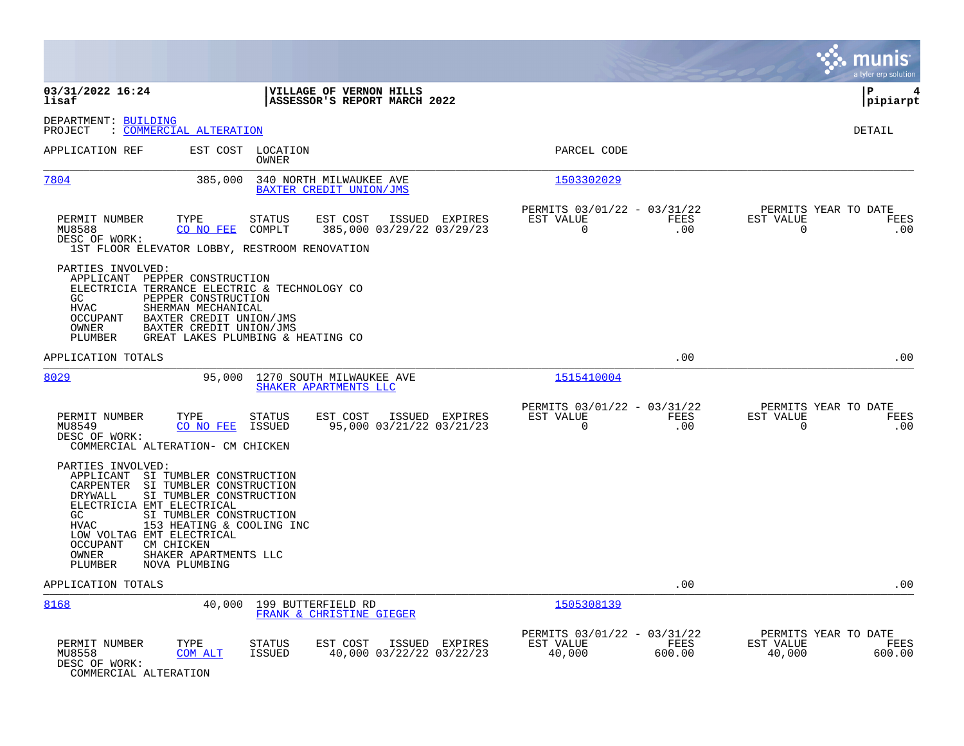|                                                                                                                                                                                                                                                                                                                                                            |                                                                                    |                                                                        | munis<br>a tyler erp solution                                   |
|------------------------------------------------------------------------------------------------------------------------------------------------------------------------------------------------------------------------------------------------------------------------------------------------------------------------------------------------------------|------------------------------------------------------------------------------------|------------------------------------------------------------------------|-----------------------------------------------------------------|
| 03/31/2022 16:24<br>lisaf                                                                                                                                                                                                                                                                                                                                  | VILLAGE OF VERNON HILLS<br>ASSESSOR'S REPORT MARCH 2022                            |                                                                        | ΙP<br>4<br> pipiarpt                                            |
| DEPARTMENT: BUILDING<br>: COMMERCIAL ALTERATION<br>PROJECT                                                                                                                                                                                                                                                                                                 |                                                                                    |                                                                        | DETAIL                                                          |
| APPLICATION REF                                                                                                                                                                                                                                                                                                                                            | EST COST LOCATION<br>OWNER                                                         | PARCEL CODE                                                            |                                                                 |
| 7804<br>385,000                                                                                                                                                                                                                                                                                                                                            | 340 NORTH MILWAUKEE AVE<br>BAXTER CREDIT UNION/JMS                                 | 1503302029                                                             |                                                                 |
| PERMIT NUMBER<br>TYPE<br>MU8588<br>CO NO FEE<br>DESC OF WORK:<br>1ST FLOOR ELEVATOR LOBBY, RESTROOM RENOVATION                                                                                                                                                                                                                                             | EST COST<br><b>STATUS</b><br>ISSUED EXPIRES<br>385,000 03/29/22 03/29/23<br>COMPLT | PERMITS 03/01/22 - 03/31/22<br>EST VALUE<br>FEES<br>$\Omega$<br>.00    | PERMITS YEAR TO DATE<br>EST VALUE<br>FEES<br>$\mathbf 0$<br>.00 |
| PARTIES INVOLVED:<br>APPLICANT PEPPER CONSTRUCTION<br>ELECTRICIA TERRANCE ELECTRIC & TECHNOLOGY CO<br>PEPPER CONSTRUCTION<br>GC<br><b>HVAC</b><br>SHERMAN MECHANICAL<br>BAXTER CREDIT UNION/JMS<br>OCCUPANT<br>BAXTER CREDIT UNION/JMS<br>OWNER<br>PLUMBER                                                                                                 | GREAT LAKES PLUMBING & HEATING CO                                                  |                                                                        |                                                                 |
| APPLICATION TOTALS                                                                                                                                                                                                                                                                                                                                         |                                                                                    | .00                                                                    | .00                                                             |
| 8029<br>95,000                                                                                                                                                                                                                                                                                                                                             | 1270 SOUTH MILWAUKEE AVE<br>SHAKER APARTMENTS LLC                                  | 1515410004                                                             |                                                                 |
| PERMIT NUMBER<br>TYPE<br>MU8549<br>CO NO FEE<br>DESC OF WORK:<br>COMMERCIAL ALTERATION- CM CHICKEN                                                                                                                                                                                                                                                         | <b>STATUS</b><br>EST COST<br>ISSUED EXPIRES<br>ISSUED<br>95,000 03/21/22 03/21/23  | PERMITS 03/01/22 - 03/31/22<br>FEES<br>EST VALUE<br>$\mathbf 0$<br>.00 | PERMITS YEAR TO DATE<br>EST VALUE<br>FEES<br>$\mathbf 0$<br>.00 |
| PARTIES INVOLVED:<br>APPLICANT SI TUMBLER CONSTRUCTION<br>CARPENTER SI TUMBLER CONSTRUCTION<br>DRYWALL<br>SI TUMBLER CONSTRUCTION<br>ELECTRICIA EMT ELECTRICAL<br>GC.<br>SI TUMBLER CONSTRUCTION<br>HVAC<br>153 HEATING & COOLING INC<br>LOW VOLTAG EMT ELECTRICAL<br>OCCUPANT<br>CM CHICKEN<br>SHAKER APARTMENTS LLC<br>OWNER<br>PLUMBER<br>NOVA PLUMBING |                                                                                    |                                                                        |                                                                 |
| APPLICATION TOTALS                                                                                                                                                                                                                                                                                                                                         |                                                                                    | .00                                                                    | .00                                                             |
| 8168<br>40,000                                                                                                                                                                                                                                                                                                                                             | 199 BUTTERFIELD RD<br>FRANK & CHRISTINE GIEGER                                     | 1505308139                                                             |                                                                 |
| PERMIT NUMBER<br>TYPE<br>MU8558<br>COM ALT<br>DESC OF WORK:<br>COMMERCIAL ALTERATION                                                                                                                                                                                                                                                                       | <b>STATUS</b><br>EST COST<br>ISSUED EXPIRES<br>40,000 03/22/22 03/22/23<br>ISSUED  | PERMITS 03/01/22 - 03/31/22<br>EST VALUE<br>FEES<br>40,000<br>600.00   | PERMITS YEAR TO DATE<br>EST VALUE<br>FEES<br>40,000<br>600.00   |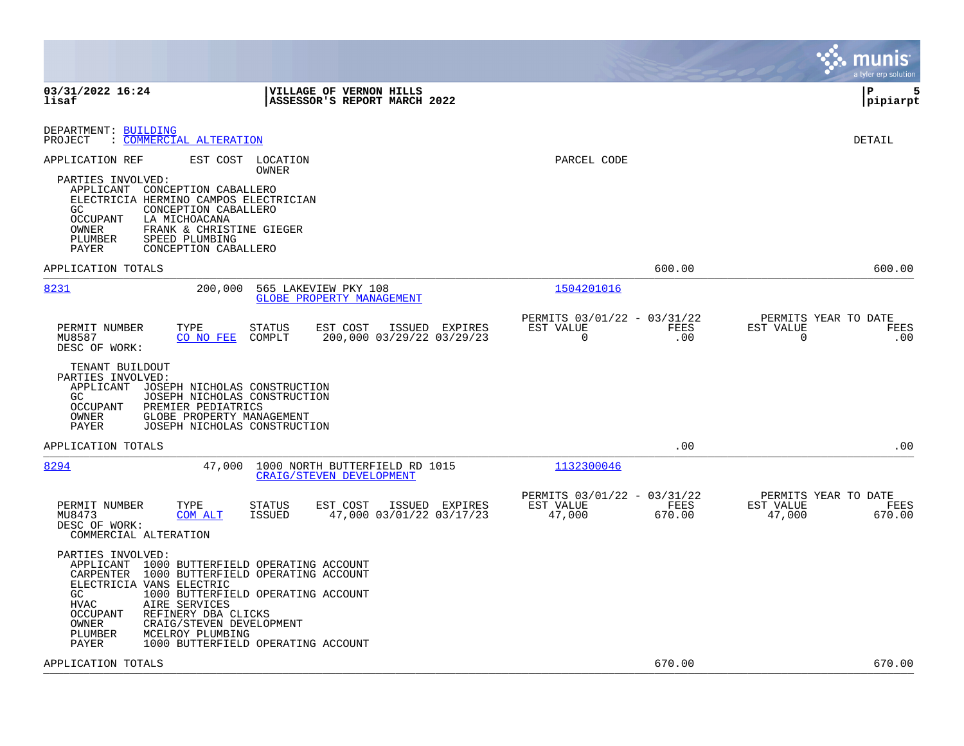|                                                                                                                                                                                                                                                                                                                                                                                       |                                                                           | munis<br>a tyler erp solution                                       |
|---------------------------------------------------------------------------------------------------------------------------------------------------------------------------------------------------------------------------------------------------------------------------------------------------------------------------------------------------------------------------------------|---------------------------------------------------------------------------|---------------------------------------------------------------------|
| 03/31/2022 16:24<br>VILLAGE OF VERNON HILLS<br>lisaf<br>ASSESSOR'S REPORT MARCH 2022                                                                                                                                                                                                                                                                                                  |                                                                           | l P<br>5<br> pipiarpt                                               |
| DEPARTMENT: BUILDING<br>: COMMERCIAL ALTERATION<br>PROJECT                                                                                                                                                                                                                                                                                                                            |                                                                           | DETAIL                                                              |
| APPLICATION REF<br>EST COST<br>LOCATION<br><b>OWNER</b><br>PARTIES INVOLVED:<br>APPLICANT CONCEPTION CABALLERO<br>ELECTRICIA HERMINO CAMPOS ELECTRICIAN<br>CONCEPTION CABALLERO<br>GC.<br><b>OCCUPANT</b><br>LA MICHOACANA<br>OWNER<br>FRANK & CHRISTINE GIEGER<br>SPEED PLUMBING<br>PLUMBER<br>CONCEPTION CABALLERO<br>PAYER                                                         | PARCEL CODE                                                               |                                                                     |
| APPLICATION TOTALS                                                                                                                                                                                                                                                                                                                                                                    | 600.00                                                                    | 600.00                                                              |
| 8231<br>200,000<br>565 LAKEVIEW PKY 108<br>GLOBE PROPERTY MANAGEMENT                                                                                                                                                                                                                                                                                                                  | 1504201016                                                                |                                                                     |
| PERMIT NUMBER<br>TYPE<br><b>STATUS</b><br>EST COST<br>ISSUED EXPIRES<br>CO NO FEE<br>COMPLT<br>200,000 03/29/22 03/29/23<br>MU8587<br>DESC OF WORK:                                                                                                                                                                                                                                   | PERMITS 03/01/22 - 03/31/22<br>FEES<br>EST VALUE<br>$\overline{0}$<br>.00 | PERMITS YEAR TO DATE<br>EST VALUE<br><b>FEES</b><br>$\Omega$<br>.00 |
| TENANT BUILDOUT<br>PARTIES INVOLVED:<br>APPLICANT<br>JOSEPH NICHOLAS CONSTRUCTION<br>GC.<br>JOSEPH NICHOLAS CONSTRUCTION<br>OCCUPANT<br>PREMIER PEDIATRICS<br>OWNER<br>GLOBE PROPERTY MANAGEMENT<br>PAYER<br>JOSEPH NICHOLAS CONSTRUCTION                                                                                                                                             |                                                                           |                                                                     |
| APPLICATION TOTALS                                                                                                                                                                                                                                                                                                                                                                    | .00                                                                       | .00                                                                 |
| 8294<br>47,000<br>1000 NORTH BUTTERFIELD RD 1015<br>CRAIG/STEVEN DEVELOPMENT                                                                                                                                                                                                                                                                                                          | 1132300046                                                                |                                                                     |
| PERMIT NUMBER<br>TYPE<br><b>STATUS</b><br>EST COST<br>ISSUED EXPIRES<br>47,000 03/01/22 03/17/23<br>MU8473<br>COM ALT<br>ISSUED<br>DESC OF WORK:<br>COMMERCIAL ALTERATION                                                                                                                                                                                                             | PERMITS 03/01/22 - 03/31/22<br>EST VALUE<br>FEES<br>47,000<br>670.00      | PERMITS YEAR TO DATE<br>EST VALUE<br>FEES<br>47,000<br>670.00       |
| PARTIES INVOLVED:<br>APPLICANT<br>1000 BUTTERFIELD OPERATING ACCOUNT<br>CARPENTER<br>1000 BUTTERFIELD OPERATING ACCOUNT<br>ELECTRICIA VANS ELECTRIC<br>GC<br>1000 BUTTERFIELD OPERATING ACCOUNT<br><b>HVAC</b><br>AIRE SERVICES<br>OCCUPANT<br>REFINERY DBA CLICKS<br>OWNER<br>CRAIG/STEVEN DEVELOPMENT<br>PLUMBER<br>MCELROY PLUMBING<br>PAYER<br>1000 BUTTERFIELD OPERATING ACCOUNT |                                                                           |                                                                     |
| APPLICATION TOTALS                                                                                                                                                                                                                                                                                                                                                                    | 670.00                                                                    | 670.00                                                              |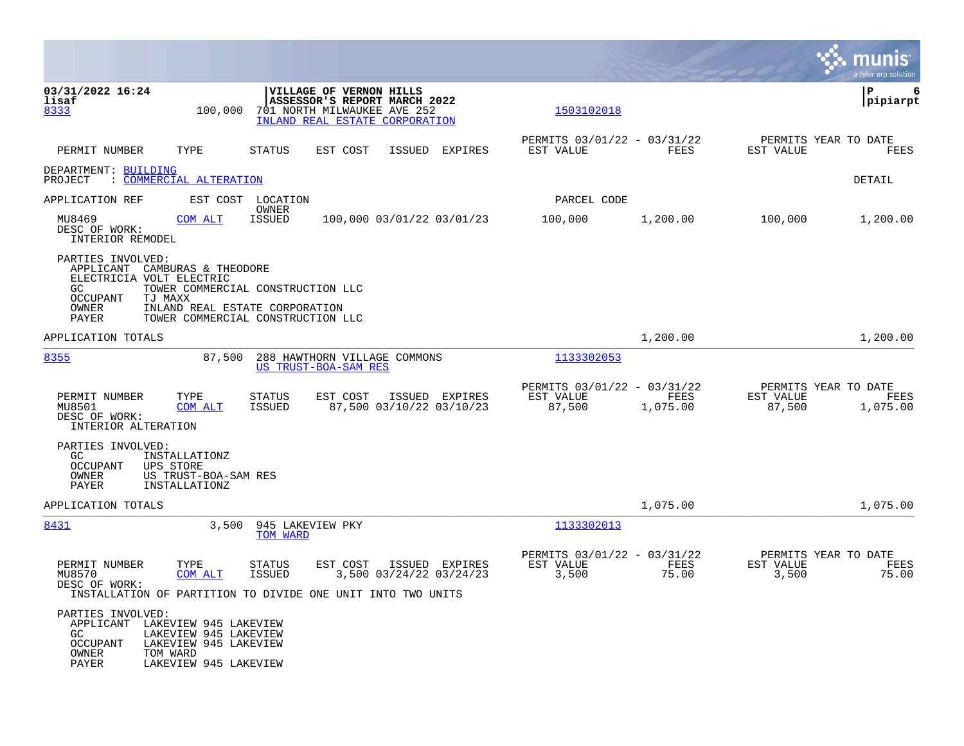|                                                                                                         |                                                                                                                                            |                                |                                                                                                                          |                           |                |                     |                                                 |                     | munis<br>a tyler erp solution            |
|---------------------------------------------------------------------------------------------------------|--------------------------------------------------------------------------------------------------------------------------------------------|--------------------------------|--------------------------------------------------------------------------------------------------------------------------|---------------------------|----------------|---------------------|-------------------------------------------------|---------------------|------------------------------------------|
| 03/31/2022 16:24<br>lisaf<br>8333                                                                       | 100,000                                                                                                                                    |                                | VILLAGE OF VERNON HILLS<br>ASSESSOR'S REPORT MARCH 2022<br>701 NORTH MILWAUKEE AVE 252<br>INLAND REAL ESTATE CORPORATION |                           |                |                     | 1503102018                                      |                     | P<br>6<br> pipiarpt                      |
| PERMIT NUMBER                                                                                           | TYPE                                                                                                                                       | <b>STATUS</b>                  | EST COST                                                                                                                 | <b>ISSUED</b>             | <b>EXPIRES</b> | EST VALUE           | PERMITS 03/01/22 - 03/31/22<br><b>FEES</b>      | EST VALUE           | PERMITS YEAR TO DATE<br>FEES             |
| DEPARTMENT: BUILDING<br>PROJECT                                                                         | : COMMERCIAL ALTERATION                                                                                                                    |                                |                                                                                                                          |                           |                |                     |                                                 |                     | DETAIL                                   |
| APPLICATION REF                                                                                         |                                                                                                                                            | EST COST LOCATION              |                                                                                                                          |                           |                |                     | PARCEL CODE                                     |                     |                                          |
| MU8469<br>DESC OF WORK:<br>INTERIOR REMODEL                                                             | COM ALT                                                                                                                                    | OWNER<br><b>ISSUED</b>         |                                                                                                                          | 100,000 03/01/22 03/01/23 |                | 100,000             | 1,200.00                                        | 100,000             | 1,200.00                                 |
| PARTIES INVOLVED:<br>APPLICANT<br>ELECTRICIA VOLT ELECTRIC<br>GC<br>OCCUPANT<br>OWNER<br>PAYER          | CAMBURAS & THEODORE<br>TOWER COMMERCIAL CONSTRUCTION LLC<br>TJ MAXX<br>INLAND REAL ESTATE CORPORATION<br>TOWER COMMERCIAL CONSTRUCTION LLC |                                |                                                                                                                          |                           |                |                     |                                                 |                     |                                          |
| APPLICATION TOTALS                                                                                      |                                                                                                                                            |                                |                                                                                                                          |                           |                |                     | 1,200.00                                        |                     | 1,200.00                                 |
| 8355                                                                                                    | 87,500                                                                                                                                     |                                | 288 HAWTHORN VILLAGE COMMONS<br>US TRUST-BOA-SAM RES                                                                     |                           |                | 1133302053          |                                                 |                     |                                          |
| PERMIT NUMBER<br>MU8501<br>DESC OF WORK:<br>INTERIOR ALTERATION                                         | TYPE<br>COM ALT                                                                                                                            | <b>STATUS</b><br><b>ISSUED</b> | EST COST                                                                                                                 | 87,500 03/10/22 03/10/23  | ISSUED EXPIRES | EST VALUE<br>87,500 | PERMITS 03/01/22 - 03/31/22<br>FEES<br>1,075.00 | EST VALUE<br>87,500 | PERMITS YEAR TO DATE<br>FEES<br>1,075.00 |
| PARTIES INVOLVED:<br>GC<br><b>OCCUPANT</b><br>OWNER<br>PAYER                                            | INSTALLATIONZ<br>UPS STORE<br>US TRUST-BOA-SAM RES<br>INSTALLATIONZ                                                                        |                                |                                                                                                                          |                           |                |                     |                                                 |                     |                                          |
| APPLICATION TOTALS                                                                                      |                                                                                                                                            |                                |                                                                                                                          |                           |                |                     | 1,075.00                                        |                     | 1,075.00                                 |
| 8431                                                                                                    | 3,500                                                                                                                                      | 945 LAKEVIEW PKY<br>TOM WARD   |                                                                                                                          |                           |                |                     | 1133302013                                      |                     |                                          |
| PERMIT NUMBER<br>MU8570<br>DESC OF WORK:<br>INSTALLATION OF PARTITION TO DIVIDE ONE UNIT INTO TWO UNITS | TYPE<br>COM ALT                                                                                                                            | <b>STATUS</b><br><b>ISSUED</b> | EST COST                                                                                                                 | 3,500 03/24/22 03/24/23   | ISSUED EXPIRES | EST VALUE<br>3,500  | PERMITS 03/01/22 - 03/31/22<br>FEES<br>75.00    | EST VALUE<br>3,500  | PERMITS YEAR TO DATE<br>FEES<br>75.00    |
| PARTIES INVOLVED:<br>APPLICANT<br>GC<br>OCCUPANT<br>OWNER<br>PAYER                                      | LAKEVIEW 945 LAKEVIEW<br>LAKEVIEW 945 LAKEVIEW<br>LAKEVIEW 945 LAKEVIEW<br>TOM WARD<br>LAKEVIEW 945 LAKEVIEW                               |                                |                                                                                                                          |                           |                |                     |                                                 |                     |                                          |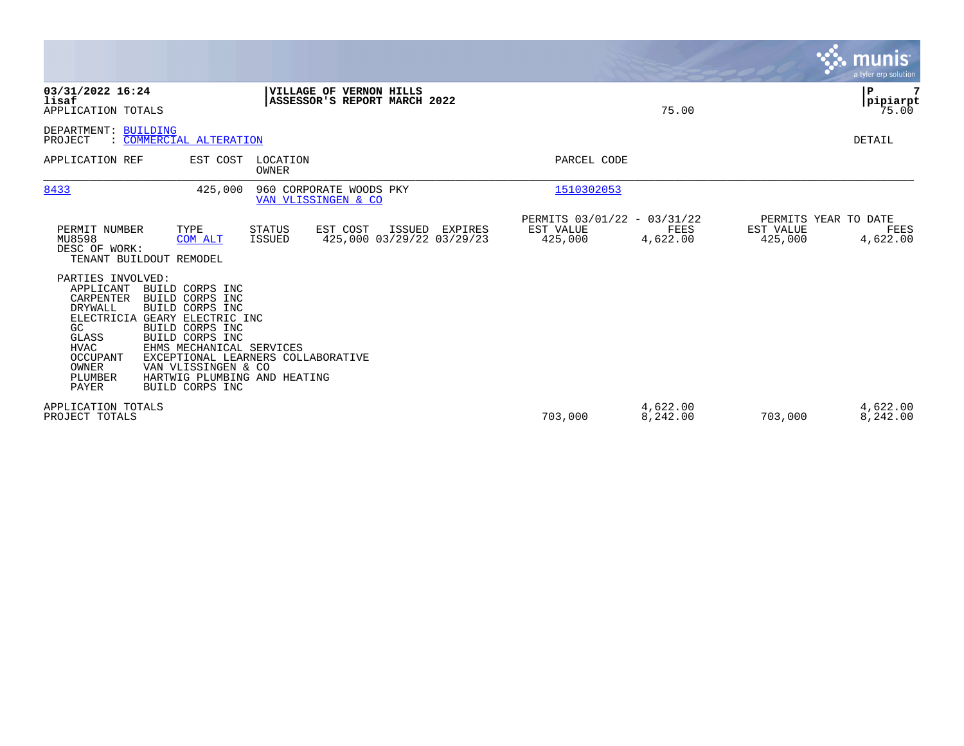|                                                                                                                                                                                                                                                                                                                                                                                      |                                                                                              |                                                     |                      |                      | munis<br>a tyler erp solution            |
|--------------------------------------------------------------------------------------------------------------------------------------------------------------------------------------------------------------------------------------------------------------------------------------------------------------------------------------------------------------------------------------|----------------------------------------------------------------------------------------------|-----------------------------------------------------|----------------------|----------------------|------------------------------------------|
| 03/31/2022 16:24<br>lisaf<br>APPLICATION TOTALS                                                                                                                                                                                                                                                                                                                                      | VILLAGE OF VERNON HILLS<br>ASSESSOR'S REPORT MARCH 2022                                      |                                                     | 75.00                |                      | ${\bf P}$<br>pipiarpt<br>75.00           |
| <b>BUILDING</b><br>DEPARTMENT:<br>: COMMERCIAL ALTERATION<br>PROJECT                                                                                                                                                                                                                                                                                                                 |                                                                                              |                                                     |                      |                      | DETAIL                                   |
| EST COST<br>APPLICATION REF                                                                                                                                                                                                                                                                                                                                                          | LOCATION<br>OWNER                                                                            | PARCEL CODE                                         |                      |                      |                                          |
| 8433<br>425,000                                                                                                                                                                                                                                                                                                                                                                      | 960 CORPORATE WOODS PKY<br>VAN VLISSINGEN & CO                                               | 1510302053                                          |                      |                      |                                          |
| PERMIT NUMBER<br>TYPE<br>MU8598<br>COM ALT<br>DESC OF WORK:<br>TENANT BUILDOUT REMODEL                                                                                                                                                                                                                                                                                               | EST COST<br><b>STATUS</b><br>ISSUED<br>EXPIRES<br>425,000 03/29/22 03/29/23<br><b>ISSUED</b> | PERMITS 03/01/22 - 03/31/22<br>EST VALUE<br>425,000 | FEES<br>4,622.00     | EST VALUE<br>425,000 | PERMITS YEAR TO DATE<br>FEES<br>4,622.00 |
| PARTIES INVOLVED:<br>APPLICANT<br>BUILD CORPS INC<br>CARPENTER<br>BUILD CORPS INC<br>DRYWALL<br>BUILD CORPS INC<br><b>ELECTRICIA</b><br>GEARY ELECTRIC INC<br>GC<br>BUILD CORPS INC<br>GLASS<br>BUILD CORPS INC<br><b>HVAC</b><br>EHMS MECHANICAL SERVICES<br>OCCUPANT<br>OWNER<br>VAN VLISSINGEN & CO<br>PLUMBER<br>HARTWIG PLUMBING AND HEATING<br><b>PAYER</b><br>BUILD CORPS INC | EXCEPTIONAL LEARNERS COLLABORATIVE                                                           |                                                     |                      |                      |                                          |
| APPLICATION TOTALS<br>PROJECT TOTALS                                                                                                                                                                                                                                                                                                                                                 |                                                                                              | 703,000                                             | 4,622.00<br>8,242.00 | 703,000              | 4,622.00<br>8,242.00                     |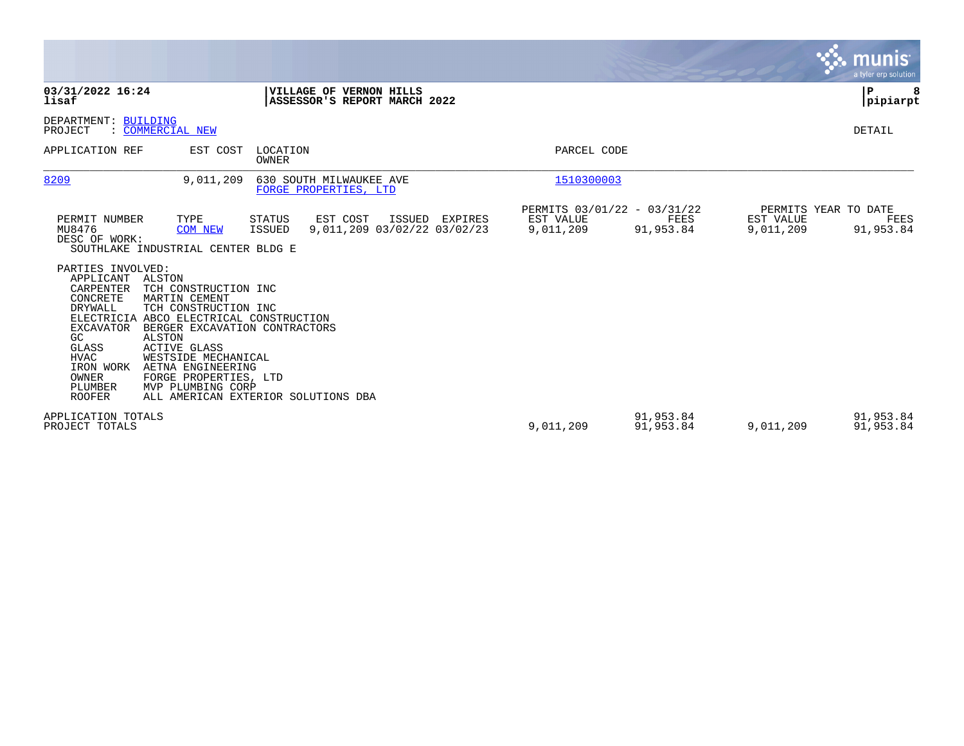|                                                                                                                                                                                                                                                                                                                                                                                                                                                                                                                                                                        |                                                       |                        |                        | munis<br>a tyler erp solution             |
|------------------------------------------------------------------------------------------------------------------------------------------------------------------------------------------------------------------------------------------------------------------------------------------------------------------------------------------------------------------------------------------------------------------------------------------------------------------------------------------------------------------------------------------------------------------------|-------------------------------------------------------|------------------------|------------------------|-------------------------------------------|
| VILLAGE OF VERNON HILLS<br>03/31/2022 16:24<br>ASSESSOR'S REPORT MARCH 2022<br>lisaf                                                                                                                                                                                                                                                                                                                                                                                                                                                                                   |                                                       |                        |                        | P<br> pipiarpt                            |
| DEPARTMENT: BUILDING<br>: COMMERCIAL NEW<br>PROJECT                                                                                                                                                                                                                                                                                                                                                                                                                                                                                                                    |                                                       |                        |                        | DETAIL                                    |
| LOCATION<br>APPLICATION REF<br>EST COST<br>OWNER                                                                                                                                                                                                                                                                                                                                                                                                                                                                                                                       | PARCEL CODE                                           |                        |                        |                                           |
| 8209<br>9,011,209<br>630 SOUTH MILWAUKEE AVE<br>FORGE PROPERTIES, LTD                                                                                                                                                                                                                                                                                                                                                                                                                                                                                                  | 1510300003                                            |                        |                        |                                           |
| PERMIT NUMBER<br>TYPE<br><b>STATUS</b><br>EST COST<br>ISSUED EXPIRES<br>MU8476<br>9,011,209 03/02/22 03/02/23<br>ISSUED<br><b>COM NEW</b><br>DESC OF WORK:<br>SOUTHLAKE INDUSTRIAL CENTER BLDG E<br>PARTIES INVOLVED:<br>APPLICANT ALSTON<br>CARPENTER<br>TCH CONSTRUCTION INC<br>CONCRETE<br>MARTIN CEMENT<br>DRYWALL<br>TCH CONSTRUCTION INC<br>ELECTRICIA ABCO ELECTRICAL CONSTRUCTION<br>EXCAVATOR<br>BERGER EXCAVATION CONTRACTORS<br><b>ALSTON</b><br>GC<br>GLASS<br><b>ACTIVE GLASS</b><br><b>HVAC</b><br>WESTSIDE MECHANICAL<br>IRON WORK<br>AETNA ENGINEERING | PERMITS 03/01/22 - 03/31/22<br>EST VALUE<br>9,011,209 | FEES<br>91,953.84      | EST VALUE<br>9,011,209 | PERMITS YEAR TO DATE<br>FEES<br>91,953.84 |
| OWNER<br>FORGE PROPERTIES, LTD<br>PLUMBER<br>MVP PLUMBING CORP<br><b>ROOFER</b><br>ALL AMERICAN EXTERIOR SOLUTIONS DBA<br>APPLICATION TOTALS<br>PROJECT TOTALS                                                                                                                                                                                                                                                                                                                                                                                                         | 9,011,209                                             | 91,953.84<br>91,953.84 | 9,011,209              | 91,953.84<br>91,953.84                    |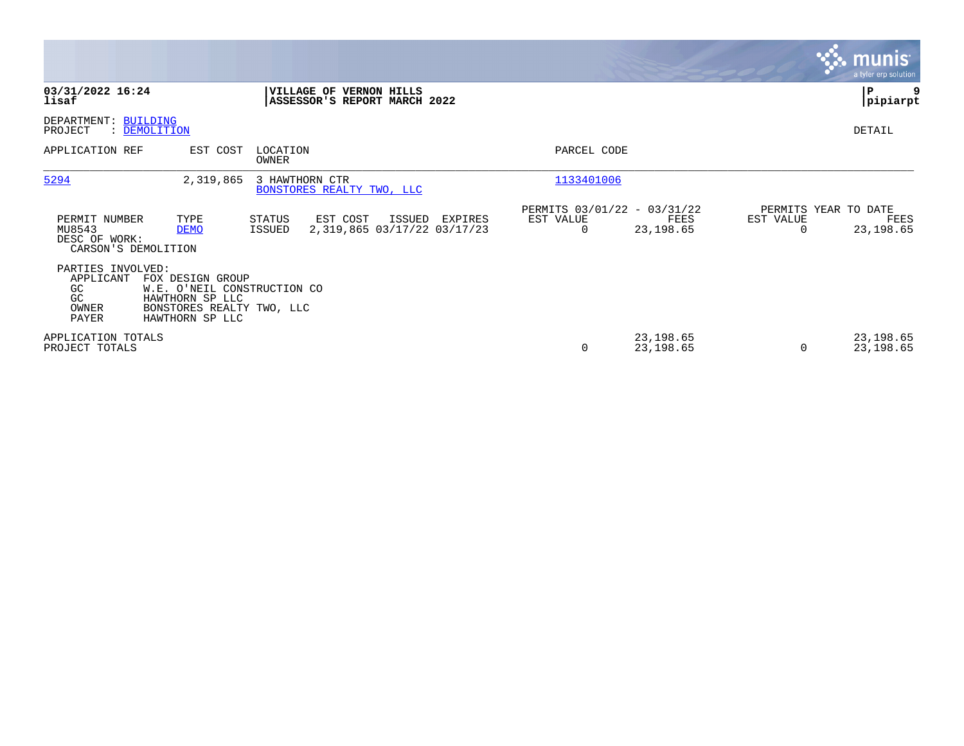|                                                                 |                                                                                                                    |                                                                |                                                  |                                               |                        |           | <b>munis</b><br>a tyler erp solution      |
|-----------------------------------------------------------------|--------------------------------------------------------------------------------------------------------------------|----------------------------------------------------------------|--------------------------------------------------|-----------------------------------------------|------------------------|-----------|-------------------------------------------|
| 03/31/2022 16:24<br>lisaf                                       |                                                                                                                    | <b>VILLAGE OF VERNON HILLS</b><br>ASSESSOR'S REPORT MARCH 2022 |                                                  |                                               |                        |           | ∣P<br> pipiarpt                           |
| DEPARTMENT: BUILDING<br>PROJECT                                 | : DEMOLITION                                                                                                       |                                                                |                                                  |                                               |                        |           | DETAIL                                    |
| APPLICATION REF                                                 | EST COST                                                                                                           | LOCATION<br>OWNER                                              |                                                  | PARCEL CODE                                   |                        |           |                                           |
| 5294                                                            | 2,319,865                                                                                                          | 3 HAWTHORN CTR<br>BONSTORES REALTY TWO, LLC                    |                                                  | 1133401006                                    |                        |           |                                           |
| PERMIT NUMBER<br>MU8543<br>DESC OF WORK:<br>CARSON'S DEMOLITION | TYPE<br><b>DEMO</b>                                                                                                | STATUS<br>EST COST<br><b>ISSUED</b>                            | ISSUED<br>EXPIRES<br>2,319,865 03/17/22 03/17/23 | PERMITS 03/01/22 - 03/31/22<br>EST VALUE<br>0 | FEES<br>23,198.65      | EST VALUE | PERMITS YEAR TO DATE<br>FEES<br>23,198.65 |
| PARTIES INVOLVED:<br>APPLICANT<br>GC.<br>GC<br>OWNER<br>PAYER   | FOX DESIGN GROUP<br>W.E. O'NEIL CONSTRUCTION CO<br>HAWTHORN SP LLC<br>BONSTORES REALTY TWO, LLC<br>HAWTHORN SP LLC |                                                                |                                                  |                                               |                        |           |                                           |
| APPLICATION TOTALS<br>PROJECT TOTALS                            |                                                                                                                    |                                                                |                                                  | 0                                             | 23,198.65<br>23,198.65 |           | 23,198.65<br>23,198.65                    |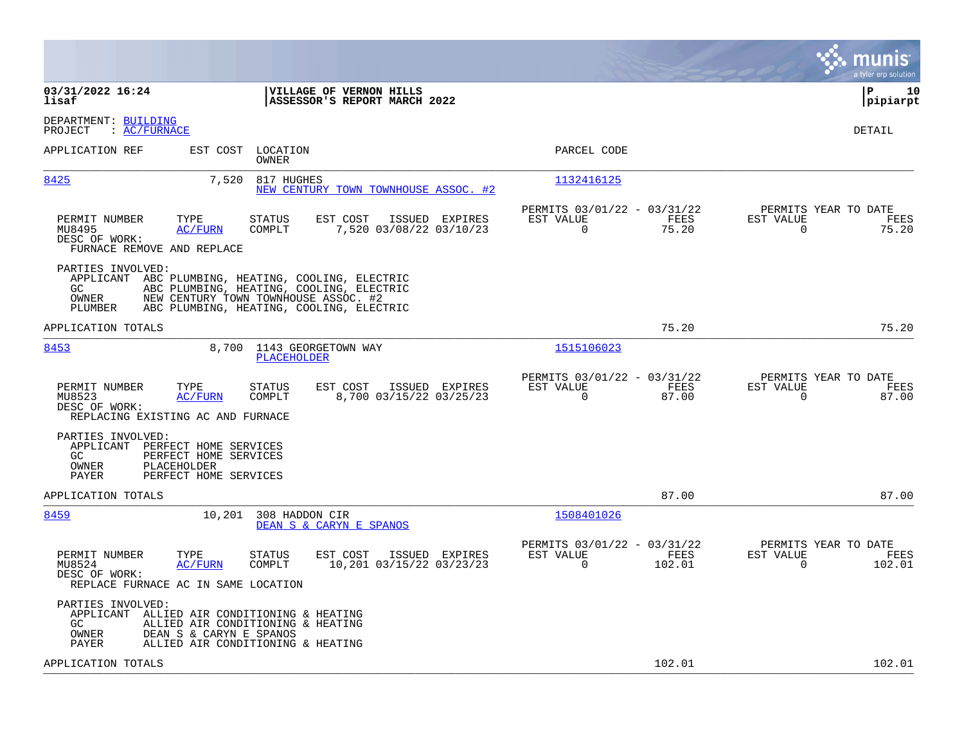|                                                                                                                                                                                                                                       |                                                                 | munis<br>a tyler erp solution                                     |
|---------------------------------------------------------------------------------------------------------------------------------------------------------------------------------------------------------------------------------------|-----------------------------------------------------------------|-------------------------------------------------------------------|
| 03/31/2022 16:24<br>VILLAGE OF VERNON HILLS<br>lisaf<br>ASSESSOR'S REPORT MARCH 2022                                                                                                                                                  |                                                                 | ∣P<br>10<br> pipiarpt                                             |
| DEPARTMENT: BUILDING<br>: AC/FWANCE<br>PROJECT                                                                                                                                                                                        |                                                                 | DETAIL                                                            |
| APPLICATION REF<br>LOCATION<br>EST COST<br>OWNER                                                                                                                                                                                      | PARCEL CODE                                                     |                                                                   |
| 8425<br>7,520<br>817 HUGHES<br>NEW CENTURY TOWN TOWNHOUSE ASSOC. #2                                                                                                                                                                   | 1132416125                                                      |                                                                   |
| PERMIT NUMBER<br>TYPE<br><b>STATUS</b><br>EST COST<br>ISSUED EXPIRES<br>COMPLT<br>7,520 03/08/22 03/10/23<br>MU8495<br><b>AC/FURN</b><br>DESC OF WORK:<br>FURNACE REMOVE AND REPLACE                                                  | PERMITS 03/01/22 - 03/31/22<br>EST VALUE<br>FEES<br>0<br>75.20  | PERMITS YEAR TO DATE<br>EST VALUE<br>FEES<br>75.20<br>$\mathbf 0$ |
| PARTIES INVOLVED:<br>APPLICANT<br>ABC PLUMBING, HEATING, COOLING, ELECTRIC<br>ABC PLUMBING, HEATING, COOLING, ELECTRIC<br>GC.<br>NEW CENTURY TOWN TOWNHOUSE ASSOC. #2<br>OWNER<br>PLUMBER<br>ABC PLUMBING, HEATING, COOLING, ELECTRIC |                                                                 |                                                                   |
| APPLICATION TOTALS                                                                                                                                                                                                                    | 75.20                                                           | 75.20                                                             |
| 8453<br>8,700 1143 GEORGETOWN WAY<br>PLACEHOLDER                                                                                                                                                                                      | 1515106023                                                      |                                                                   |
| EST COST<br>PERMIT NUMBER<br>TYPE<br>ISSUED EXPIRES<br>STATUS<br>MU8523<br>COMPLT<br>8,700 03/15/22 03/25/23<br>AC/FURN<br>DESC OF WORK:<br>REPLACING EXISTING AC AND FURNACE                                                         | PERMITS 03/01/22 - 03/31/22<br>EST VALUE<br>FEES<br>0<br>87.00  | PERMITS YEAR TO DATE<br>EST VALUE<br>FEES<br>$\mathbf 0$<br>87.00 |
| PARTIES INVOLVED:<br>APPLICANT<br>PERFECT HOME SERVICES<br>PERFECT HOME SERVICES<br>GC<br>OWNER<br>PLACEHOLDER<br>PAYER<br>PERFECT HOME SERVICES                                                                                      |                                                                 |                                                                   |
| APPLICATION TOTALS                                                                                                                                                                                                                    | 87.00                                                           | 87.00                                                             |
| 8459<br>10,201<br>308 HADDON CIR<br>DEAN S & CARYN E SPANOS                                                                                                                                                                           | 1508401026                                                      |                                                                   |
| PERMIT NUMBER<br>EST COST<br>TYPE<br><b>STATUS</b><br>ISSUED EXPIRES<br>10,201 03/15/22 03/23/23<br>MU8524<br>AC/FURN<br>COMPLT<br>DESC OF WORK:<br>REPLACE FURNACE AC IN SAME LOCATION                                               | PERMITS 03/01/22 - 03/31/22<br>EST VALUE<br>FEES<br>0<br>102.01 | PERMITS YEAR TO DATE<br>EST VALUE<br>FEES<br>102.01<br>0          |
| PARTIES INVOLVED:<br>APPLICANT ALLIED AIR CONDITIONING & HEATING<br>GC.<br>ALLIED AIR CONDITIONING & HEATING<br>OWNER<br>DEAN S & CARYN E SPANOS<br>PAYER<br>ALLIED AIR CONDITIONING & HEATING                                        |                                                                 |                                                                   |
| APPLICATION TOTALS                                                                                                                                                                                                                    | 102.01                                                          | 102.01                                                            |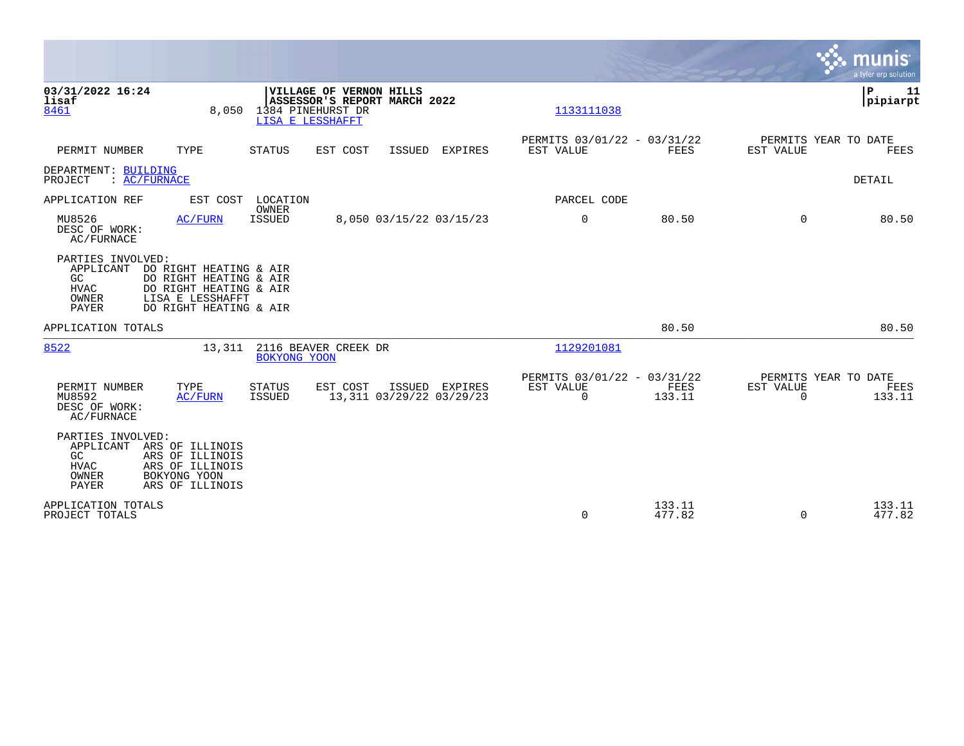|                                                                                                                                                            |                                                                                                      |                                                                                                         |                                            |                                                      |                  |                       | munis<br>a tyler erp solution          |
|------------------------------------------------------------------------------------------------------------------------------------------------------------|------------------------------------------------------------------------------------------------------|---------------------------------------------------------------------------------------------------------|--------------------------------------------|------------------------------------------------------|------------------|-----------------------|----------------------------------------|
| 03/31/2022 16:24<br>lisaf<br>8461                                                                                                                          | 8,050                                                                                                | <b>VILLAGE OF VERNON HILLS</b><br>ASSESSOR'S REPORT MARCH 2022<br>1384 PINEHURST DR<br>LISA E LESSHAFFT |                                            | 1133111038                                           |                  |                       | ΙP<br>11<br> pipiarpt                  |
| PERMIT NUMBER<br>TYPE                                                                                                                                      | STATUS                                                                                               | EST COST                                                                                                | ISSUED EXPIRES                             | PERMITS 03/01/22 - 03/31/22<br>EST VALUE             | FEES             | EST VALUE             | PERMITS YEAR TO DATE<br>FEES           |
| DEPARTMENT: BUILDING<br>PROJECT<br>: AC/FURNACE                                                                                                            |                                                                                                      |                                                                                                         |                                            |                                                      |                  |                       | DETAIL                                 |
| APPLICATION REF                                                                                                                                            | EST COST LOCATION                                                                                    |                                                                                                         |                                            | PARCEL CODE                                          |                  |                       |                                        |
| MU8526<br>DESC OF WORK:<br>AC/FURNACE                                                                                                                      | <b>OWNER</b><br><b>ISSUED</b><br><b>AC/FURN</b>                                                      |                                                                                                         | 8,050 03/15/22 03/15/23                    | $\mathbf 0$                                          | 80.50            | $\Omega$              | 80.50                                  |
| PARTIES INVOLVED:<br>APPLICANT<br>GC<br>HVAC<br>OWNER<br>LISA E LESSHAFFT<br>PAYER                                                                         | DO RIGHT HEATING & AIR<br>DO RIGHT HEATING & AIR<br>DO RIGHT HEATING & AIR<br>DO RIGHT HEATING & AIR |                                                                                                         |                                            |                                                      |                  |                       |                                        |
| APPLICATION TOTALS                                                                                                                                         |                                                                                                      |                                                                                                         |                                            |                                                      | 80.50            |                       | 80.50                                  |
| 8522                                                                                                                                                       | 13,311 2116 BEAVER CREEK DR<br>BOKYONG YOON                                                          |                                                                                                         |                                            | 1129201081                                           |                  |                       |                                        |
| PERMIT NUMBER<br>TYPE<br>MU8592<br>DESC OF WORK:<br><b>AC/FURNACE</b>                                                                                      | <b>STATUS</b><br>AC/FURN<br>ISSUED                                                                   | EST COST                                                                                                | ISSUED EXPIRES<br>13,311 03/29/22 03/29/23 | PERMITS 03/01/22 - 03/31/22<br>EST VALUE<br>$\Omega$ | FEES<br>133.11   | EST VALUE<br>$\Omega$ | PERMITS YEAR TO DATE<br>FEES<br>133.11 |
| PARTIES INVOLVED:<br>APPLICANT<br>ARS OF ILLINOIS<br>ARS OF ILLINOIS<br>GC<br>HVAC<br>ARS OF ILLINOIS<br>OWNER<br>BOKYONG YOON<br>PAYER<br>ARS OF ILLINOIS |                                                                                                      |                                                                                                         |                                            |                                                      |                  |                       |                                        |
| APPLICATION TOTALS<br>PROJECT TOTALS                                                                                                                       |                                                                                                      |                                                                                                         |                                            | 0                                                    | 133.11<br>477.82 | $\Omega$              | 133.11<br>477.82                       |

 $\blacksquare$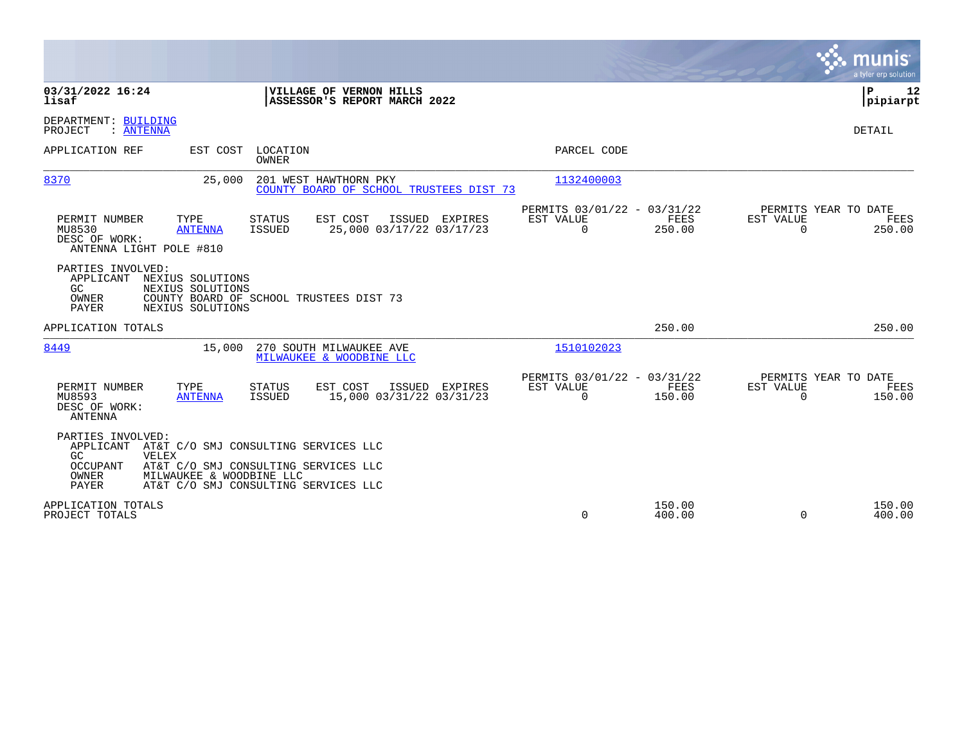|                                                                                                                                                                                                                                         |                                                                        | munis<br>a tyler erp solution                                   |
|-----------------------------------------------------------------------------------------------------------------------------------------------------------------------------------------------------------------------------------------|------------------------------------------------------------------------|-----------------------------------------------------------------|
| 03/31/2022 16:24<br>VILLAGE OF VERNON HILLS<br>ASSESSOR'S REPORT MARCH 2022<br>lisaf                                                                                                                                                    |                                                                        | ΙP<br>12<br> pipiarpt                                           |
| DEPARTMENT: BUILDING<br>PROJECT<br>: ANTENNA                                                                                                                                                                                            |                                                                        | DETAIL                                                          |
| APPLICATION REF<br>EST COST<br>LOCATION<br>OWNER                                                                                                                                                                                        | PARCEL CODE                                                            |                                                                 |
| 8370<br>201 WEST HAWTHORN PKY<br>25,000<br>COUNTY BOARD OF SCHOOL TRUSTEES DIST 73                                                                                                                                                      | 1132400003                                                             |                                                                 |
| PERMIT NUMBER<br>TYPE<br>EST COST<br>ISSUED EXPIRES<br>STATUS<br>MU8530<br>25,000 03/17/22 03/17/23<br><b>ANTENNA</b><br>ISSUED<br>DESC OF WORK:<br>ANTENNA LIGHT POLE #810                                                             | PERMITS 03/01/22 - 03/31/22<br>EST VALUE<br>FEES<br>$\Omega$<br>250.00 | PERMITS YEAR TO DATE<br>EST VALUE<br>FEES<br>$\Omega$<br>250.00 |
| PARTIES INVOLVED:<br>APPLICANT<br>NEXIUS SOLUTIONS<br>GC.<br>NEXIUS SOLUTIONS<br>OWNER<br>COUNTY BOARD OF SCHOOL TRUSTEES DIST 73<br><b>PAYER</b><br>NEXIUS SOLUTIONS                                                                   |                                                                        |                                                                 |
| APPLICATION TOTALS                                                                                                                                                                                                                      | 250.00                                                                 | 250.00                                                          |
| 8449<br>15,000<br>270 SOUTH MILWAUKEE AVE<br>MILWAUKEE & WOODBINE LLC                                                                                                                                                                   | 1510102023                                                             |                                                                 |
| EST COST<br>PERMIT NUMBER<br>TYPE<br>ISSUED EXPIRES<br><b>STATUS</b><br>15,000 03/31/22 03/31/23<br>MU8593<br>ISSUED<br><b>ANTENNA</b><br>DESC OF WORK:<br>ANTENNA                                                                      | PERMITS 03/01/22 - 03/31/22<br>EST VALUE<br>FEES<br>$\Omega$<br>150.00 | PERMITS YEAR TO DATE<br>EST VALUE<br>FEES<br>$\Omega$<br>150.00 |
| PARTIES INVOLVED:<br>APPLICANT<br>AT&T C/O SMJ CONSULTING SERVICES LLC<br>GC.<br>VELEX<br>OCCUPANT<br>AT&T C/O SMJ CONSULTING SERVICES LLC<br>OWNER<br>MILWAUKEE & WOODBINE LLC<br><b>PAYER</b><br>AT&T C/O SMJ CONSULTING SERVICES LLC |                                                                        |                                                                 |
| APPLICATION TOTALS<br>PROJECT TOTALS                                                                                                                                                                                                    | 150.00<br>0<br>400.00                                                  | 150.00<br>$\Omega$<br>400.00                                    |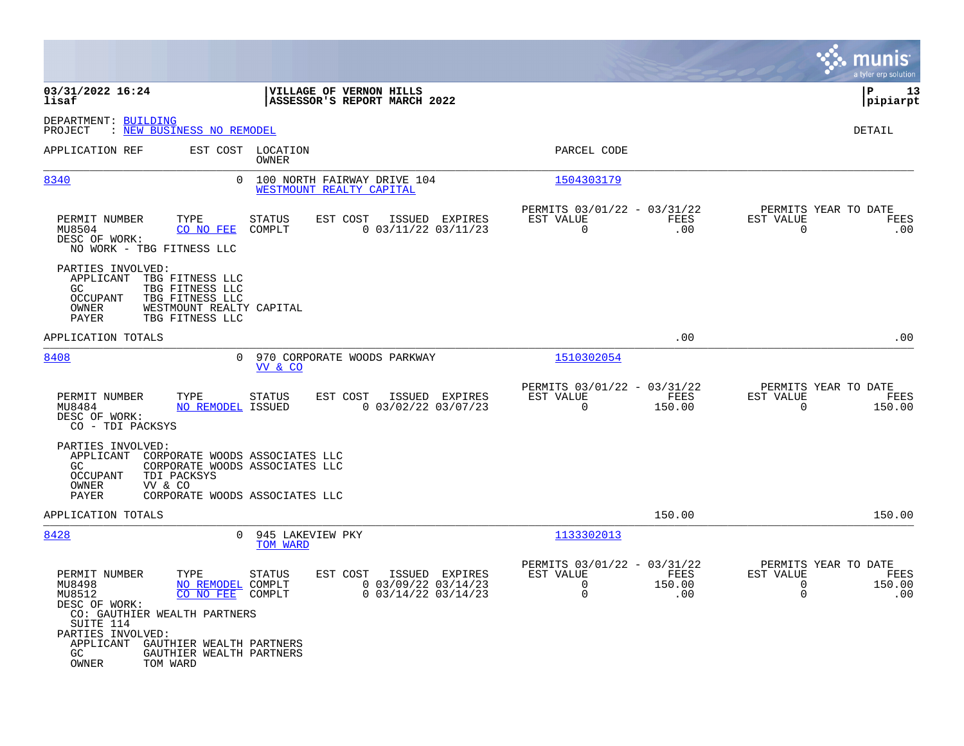|                                                                                                                                                                                                         |                                                                                                  |                                                                                       | munis<br>a tyler erp solution                                                  |
|---------------------------------------------------------------------------------------------------------------------------------------------------------------------------------------------------------|--------------------------------------------------------------------------------------------------|---------------------------------------------------------------------------------------|--------------------------------------------------------------------------------|
| 03/31/2022 16:24<br>lisaf                                                                                                                                                                               | VILLAGE OF VERNON HILLS<br>ASSESSOR'S REPORT MARCH 2022                                          |                                                                                       | ΙP<br>13<br> pipiarpt                                                          |
| DEPARTMENT: BUILDING<br>PROJECT<br>: NEW BUSINESS NO REMODEL                                                                                                                                            |                                                                                                  |                                                                                       | DETAIL                                                                         |
| APPLICATION REF                                                                                                                                                                                         | EST COST LOCATION<br>OWNER                                                                       | PARCEL CODE                                                                           |                                                                                |
| 8340<br>0                                                                                                                                                                                               | 100 NORTH FAIRWAY DRIVE 104<br>WESTMOUNT REALTY CAPITAL                                          | 1504303179                                                                            |                                                                                |
| TYPE<br>PERMIT NUMBER<br>MU8504<br>CO NO FEE<br>DESC OF WORK:<br>NO WORK - TBG FITNESS LLC                                                                                                              | EST COST<br>STATUS<br>ISSUED EXPIRES<br>$0$ 03/11/22 03/11/23<br>COMPLT                          | PERMITS 03/01/22 - 03/31/22<br>EST VALUE<br>FEES<br>$\mathbf 0$<br>.00                | PERMITS YEAR TO DATE<br>EST VALUE<br>FEES<br>$\mathbf 0$<br>.00                |
| PARTIES INVOLVED:<br>APPLICANT<br>TBG FITNESS LLC<br>GC<br>TBG FITNESS LLC<br><b>OCCUPANT</b><br>TBG FITNESS LLC<br>WESTMOUNT REALTY CAPITAL<br>OWNER<br>PAYER<br>TBG FITNESS LLC                       |                                                                                                  |                                                                                       |                                                                                |
| APPLICATION TOTALS                                                                                                                                                                                      |                                                                                                  | .00                                                                                   | .00                                                                            |
| 8408<br>$\overline{0}$                                                                                                                                                                                  | 970 CORPORATE WOODS PARKWAY<br>VV & CO                                                           | 1510302054                                                                            |                                                                                |
| TYPE<br>PERMIT NUMBER<br><b>NO REMODEL ISSUED</b><br>MU8484<br>DESC OF WORK:<br>CO - TDI PACKSYS                                                                                                        | EST COST<br>ISSUED EXPIRES<br>STATUS<br>$0$ 03/02/22 03/07/23                                    | PERMITS 03/01/22 - 03/31/22<br>EST VALUE<br>FEES<br>$\Omega$<br>150.00                | PERMITS YEAR TO DATE<br>EST VALUE<br>FEES<br>$\Omega$<br>150.00                |
| PARTIES INVOLVED:<br>APPLICANT<br>CORPORATE WOODS ASSOCIATES LLC<br>GC<br><b>OCCUPANT</b><br>TDI PACKSYS<br>VV & CO<br>OWNER<br>PAYER                                                                   | CORPORATE WOODS ASSOCIATES LLC<br>CORPORATE WOODS ASSOCIATES LLC                                 |                                                                                       |                                                                                |
| APPLICATION TOTALS                                                                                                                                                                                      |                                                                                                  | 150.00                                                                                | 150.00                                                                         |
| 8428<br>$\overline{0}$                                                                                                                                                                                  | 945 LAKEVIEW PKY<br>TOM WARD                                                                     | 1133302013                                                                            |                                                                                |
| TYPE<br>PERMIT NUMBER<br>MU8498<br>NO REMODEL COMPLT<br>MU8512<br>CO NO FEE<br>DESC OF WORK:<br>CO: GAUTHIER WEALTH PARTNERS<br>SUITE 114<br>PARTIES INVOLVED:<br>APPLICANT<br>GAUTHIER WEALTH PARTNERS | EST COST<br>ISSUED EXPIRES<br>STATUS<br>$0$ 03/09/22 03/14/23<br>$0$ 03/14/22 03/14/23<br>COMPLT | PERMITS 03/01/22 - 03/31/22<br>EST VALUE<br>FEES<br>0<br>150.00<br>$\mathbf 0$<br>.00 | PERMITS YEAR TO DATE<br>EST VALUE<br>FEES<br>150.00<br>0<br>$\mathbf 0$<br>.00 |
| GC.<br>GAUTHIER WEALTH PARTNERS<br>OWNER<br>TOM WARD                                                                                                                                                    |                                                                                                  |                                                                                       |                                                                                |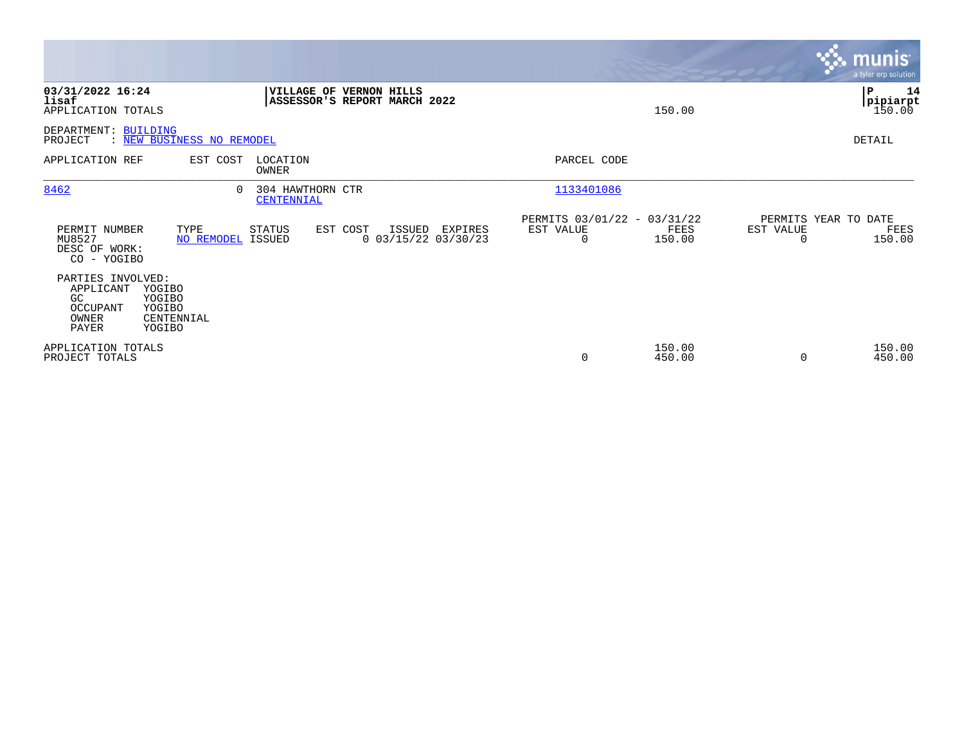|                                                                    |                                                    |                                                         |          |                                            |                                               |                  |                                   | <b>munis</b><br>a tyler erp solution |
|--------------------------------------------------------------------|----------------------------------------------------|---------------------------------------------------------|----------|--------------------------------------------|-----------------------------------------------|------------------|-----------------------------------|--------------------------------------|
| 03/31/2022 16:24<br>lisaf<br>APPLICATION TOTALS                    |                                                    | VILLAGE OF VERNON HILLS<br>ASSESSOR'S REPORT MARCH 2022 |          |                                            |                                               | 150.00           |                                   | P<br>14<br> pipiarpt<br>150.00       |
| DEPARTMENT: BUILDING<br>PROJECT                                    | : NEW BUSINESS NO REMODEL                          |                                                         |          |                                            |                                               |                  |                                   | DETAIL                               |
| APPLICATION REF                                                    | EST COST                                           | LOCATION<br>OWNER                                       |          |                                            | PARCEL CODE                                   |                  |                                   |                                      |
| 8462                                                               | $\Omega$                                           | 304 HAWTHORN CTR<br>CENTENNIAL                          |          |                                            | 1133401086                                    |                  |                                   |                                      |
| PERMIT NUMBER<br>MU8527<br>DESC OF WORK:<br>CO - YOGIBO            | TYPE<br>NO REMODEL ISSUED                          | STATUS                                                  | EST COST | ISSUED<br>EXPIRES<br>$0$ 03/15/22 03/30/23 | PERMITS 03/01/22 - 03/31/22<br>EST VALUE<br>0 | FEES<br>150.00   | PERMITS YEAR TO DATE<br>EST VALUE | FEES<br>150.00                       |
| PARTIES INVOLVED:<br>APPLICANT<br>GC<br>OCCUPANT<br>OWNER<br>PAYER | YOGIBO<br>YOGIBO<br>YOGIBO<br>CENTENNIAL<br>YOGIBO |                                                         |          |                                            |                                               |                  |                                   |                                      |
| APPLICATION TOTALS<br>PROJECT TOTALS                               |                                                    |                                                         |          |                                            | 0                                             | 150.00<br>450.00 |                                   | 150.00<br>450.00                     |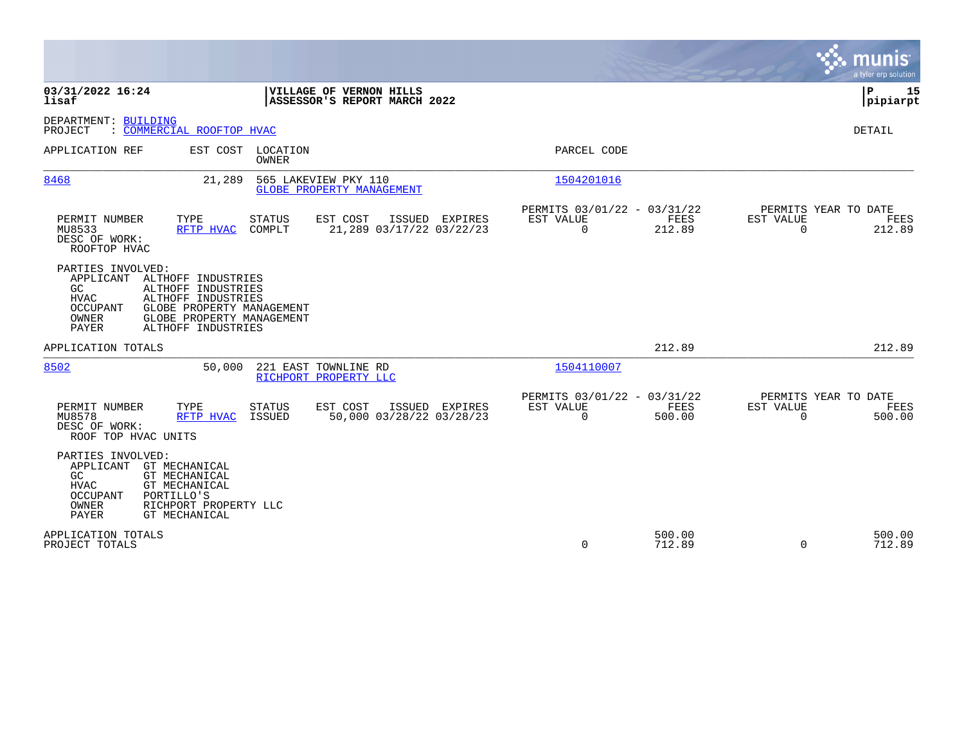|                                                                                                                                                                                                                                             | munis<br>a tyler erp solution                                                                                                             |
|---------------------------------------------------------------------------------------------------------------------------------------------------------------------------------------------------------------------------------------------|-------------------------------------------------------------------------------------------------------------------------------------------|
| 03/31/2022 16:24<br>VILLAGE OF VERNON HILLS<br>lisaf<br>ASSESSOR'S REPORT MARCH 2022                                                                                                                                                        | P<br>15<br> pipiarpt                                                                                                                      |
| DEPARTMENT: BUILDING<br>: COMMERCIAL ROOFTOP HVAC<br>PROJECT                                                                                                                                                                                | DETAIL                                                                                                                                    |
| EST COST LOCATION<br>APPLICATION REF<br><b>OWNER</b>                                                                                                                                                                                        | PARCEL CODE                                                                                                                               |
| 8468<br>21,289<br>565 LAKEVIEW PKY 110<br>GLOBE PROPERTY MANAGEMENT                                                                                                                                                                         | 1504201016                                                                                                                                |
| TYPE<br>EST COST<br>PERMIT NUMBER<br><b>STATUS</b><br>ISSUED EXPIRES<br>MU8533<br>RFTP HVAC<br>COMPLT<br>21,289 03/17/22 03/22/23<br>DESC OF WORK:<br>ROOFTOP HVAC                                                                          | PERMITS 03/01/22 - 03/31/22<br>PERMITS YEAR TO DATE<br>EST VALUE<br>FEES<br>EST VALUE<br>FEES<br>$\Omega$<br>212.89<br>212.89<br>$\Omega$ |
| PARTIES INVOLVED:<br>APPLICANT<br>ALTHOFF INDUSTRIES<br>GC.<br>ALTHOFF INDUSTRIES<br><b>HVAC</b><br>ALTHOFF INDUSTRIES<br>OCCUPANT<br>GLOBE PROPERTY MANAGEMENT<br>OWNER<br>GLOBE PROPERTY MANAGEMENT<br><b>PAYER</b><br>ALTHOFF INDUSTRIES |                                                                                                                                           |
| APPLICATION TOTALS                                                                                                                                                                                                                          | 212.89<br>212.89                                                                                                                          |
| 8502<br>221 EAST TOWNLINE RD<br>50,000<br>RICHPORT PROPERTY LLC                                                                                                                                                                             | 1504110007                                                                                                                                |
| PERMIT NUMBER<br>TYPE<br><b>STATUS</b><br>EST COST<br>ISSUED EXPIRES<br>50,000 03/28/22 03/28/23<br>MU8578<br>RFTP HVAC<br>ISSUED<br>DESC OF WORK:<br>ROOF TOP HVAC UNITS                                                                   | PERMITS 03/01/22 - 03/31/22<br>PERMITS YEAR TO DATE<br>EST VALUE<br>FEES<br>EST VALUE<br>FEES<br>$\Omega$<br>500.00<br>$\Omega$<br>500.00 |
| PARTIES INVOLVED:<br>APPLICANT<br>GT MECHANICAL<br>GC<br>GT MECHANICAL<br>HVAC<br>GT MECHANICAL<br>PORTILLO'S<br>OCCUPANT<br>OWNER<br>RICHPORT PROPERTY LLC<br>PAYER<br><b>GT MECHANICAL</b>                                                |                                                                                                                                           |
| APPLICATION TOTALS<br>PROJECT TOTALS                                                                                                                                                                                                        | 500.00<br>500.00<br>$\Omega$<br>712.89<br>$\Omega$<br>712.89                                                                              |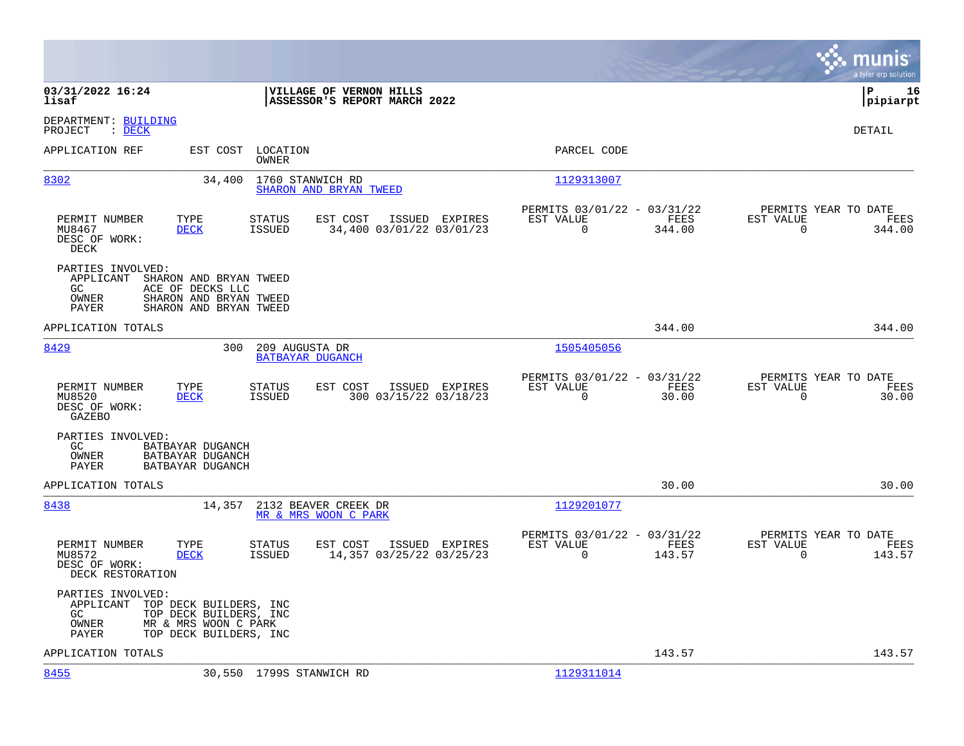|                                                                                                                                                                                 |                                                                           | munis<br>a tyler erp solution                                      |
|---------------------------------------------------------------------------------------------------------------------------------------------------------------------------------|---------------------------------------------------------------------------|--------------------------------------------------------------------|
| 03/31/2022 16:24<br>VILLAGE OF VERNON HILLS<br>ASSESSOR'S REPORT MARCH 2022<br>lisaf                                                                                            |                                                                           | l P<br>16<br> pipiarpt                                             |
| DEPARTMENT: BUILDING<br>PROJECT<br>$\therefore$ DECK                                                                                                                            |                                                                           | DETAIL                                                             |
| APPLICATION REF<br>EST COST<br>LOCATION<br>OWNER                                                                                                                                | PARCEL CODE                                                               |                                                                    |
| 8302<br>1760 STANWICH RD<br>34,400<br>SHARON AND BRYAN TWEED                                                                                                                    | 1129313007                                                                |                                                                    |
| ISSUED EXPIRES<br>PERMIT NUMBER<br>TYPE<br>STATUS<br>EST COST<br>34,400 03/01/22 03/01/23<br>MU8467<br><b>DECK</b><br><b>ISSUED</b><br>DESC OF WORK:<br>DECK                    | PERMITS 03/01/22 - 03/31/22<br>EST VALUE<br>FEES<br>$\mathbf 0$<br>344.00 | PERMITS YEAR TO DATE<br>EST VALUE<br>FEES<br>$\mathbf 0$<br>344.00 |
| PARTIES INVOLVED:<br>APPLICANT<br>SHARON AND BRYAN TWEED<br>GC.<br>ACE OF DECKS LLC<br>SHARON AND BRYAN TWEED<br>OWNER<br>PAYER<br>SHARON AND BRYAN TWEED                       |                                                                           |                                                                    |
| APPLICATION TOTALS                                                                                                                                                              | 344.00                                                                    | 344.00                                                             |
| 8429<br>300<br>209 AUGUSTA DR<br><b>BATBAYAR DUGANCH</b>                                                                                                                        | 1505405056                                                                |                                                                    |
| PERMIT NUMBER<br>TYPE<br>EST COST<br>ISSUED EXPIRES<br>STATUS<br>300 03/15/22 03/18/23<br>MU8520<br><b>DECK</b><br><b>ISSUED</b><br>DESC OF WORK:<br>GAZEBO                     | PERMITS 03/01/22 - 03/31/22<br>EST VALUE<br>FEES<br>$\mathbf 0$<br>30.00  | PERMITS YEAR TO DATE<br>EST VALUE<br>FEES<br>$\mathbf 0$<br>30.00  |
| PARTIES INVOLVED:<br>GC.<br>BATBAYAR DUGANCH<br>BATBAYAR DUGANCH<br>OWNER<br>PAYER<br>BATBAYAR DUGANCH                                                                          |                                                                           |                                                                    |
| APPLICATION TOTALS                                                                                                                                                              | 30.00                                                                     | 30.00                                                              |
| 8438<br>14,357<br>2132 BEAVER CREEK DR<br>MR & MRS WOON C PARK                                                                                                                  | 1129201077                                                                |                                                                    |
| PERMIT NUMBER<br>TYPE<br><b>STATUS</b><br>EST COST<br>ISSUED EXPIRES<br>MU8572<br><b>DECK</b><br><b>ISSUED</b><br>14,357 03/25/22 03/25/23<br>DESC OF WORK:<br>DECK RESTORATION | PERMITS 03/01/22 - 03/31/22<br>EST VALUE<br><b>FEES</b><br>0<br>143.57    | PERMITS YEAR TO DATE<br>EST VALUE<br>FEES<br>$\mathbf 0$<br>143.57 |
| PARTIES INVOLVED:<br>APPLICANT<br>TOP DECK BUILDERS, INC<br>GC.<br>TOP DECK BUILDERS, INC<br>OWNER<br>MR & MRS WOON C PARK<br>PAYER<br>TOP DECK BUILDERS, INC                   |                                                                           |                                                                    |
| APPLICATION TOTALS                                                                                                                                                              | 143.57                                                                    | 143.57                                                             |
| 8455<br>30,550 1799S STANWICH RD                                                                                                                                                | 1129311014                                                                |                                                                    |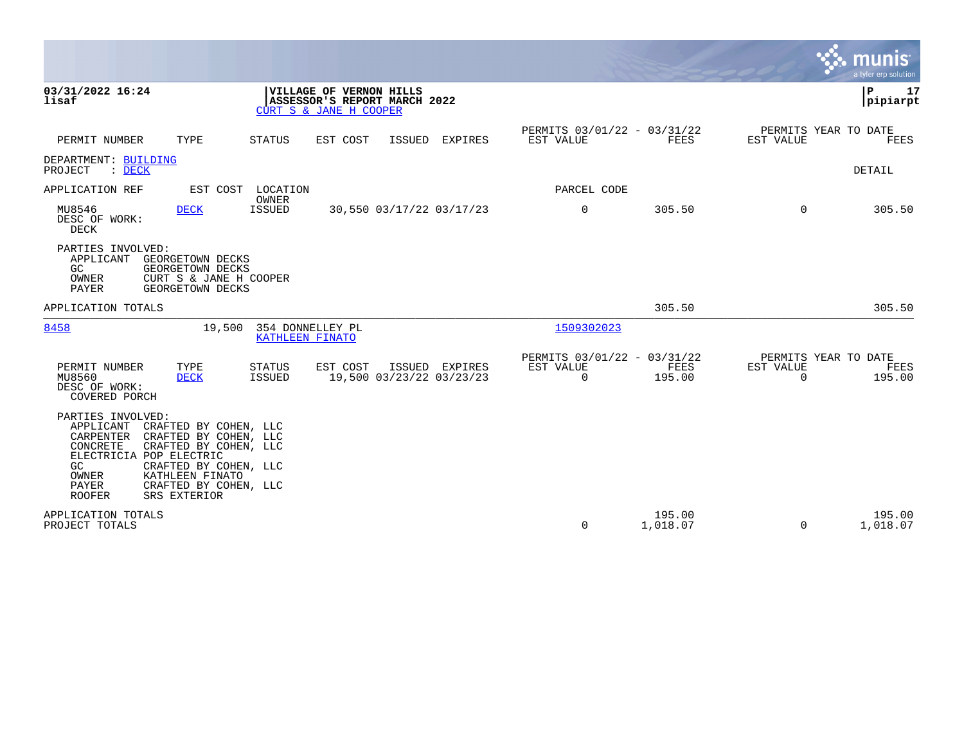|                                                                                                                                                   |                                                                                                                                     |                                     |                                                                                   |               |                                            |                                               |                    |                                                  | ९: munis<br>a tyler erp solution |
|---------------------------------------------------------------------------------------------------------------------------------------------------|-------------------------------------------------------------------------------------------------------------------------------------|-------------------------------------|-----------------------------------------------------------------------------------|---------------|--------------------------------------------|-----------------------------------------------|--------------------|--------------------------------------------------|----------------------------------|
| 03/31/2022 16:24<br>lisaf                                                                                                                         |                                                                                                                                     |                                     | VILLAGE OF VERNON HILLS<br>ASSESSOR'S REPORT MARCH 2022<br>CURT S & JANE H COOPER |               |                                            |                                               |                    |                                                  | lР<br>17<br> pipiarpt            |
| PERMIT NUMBER                                                                                                                                     | TYPE                                                                                                                                | <b>STATUS</b>                       | EST COST                                                                          | <b>ISSUED</b> | EXPIRES                                    | PERMITS 03/01/22 - 03/31/22<br>EST VALUE      | FEES               | PERMITS YEAR TO DATE<br>EST VALUE                | FEES                             |
| DEPARTMENT: BUILDING<br>$\therefore$ DECK<br>PROJECT                                                                                              |                                                                                                                                     |                                     |                                                                                   |               |                                            |                                               |                    |                                                  | DETAIL                           |
| APPLICATION REF                                                                                                                                   |                                                                                                                                     | EST COST LOCATION                   |                                                                                   |               |                                            | PARCEL CODE                                   |                    |                                                  |                                  |
| MU8546<br>DESC OF WORK:<br>DECK                                                                                                                   | <b>DECK</b>                                                                                                                         | OWNER<br>ISSUED                     |                                                                                   |               | 30,550 03/17/22 03/17/23                   | 0                                             | 305.50             | $\Omega$                                         | 305.50                           |
| PARTIES INVOLVED:<br>APPLICANT<br>GC<br>OWNER<br>PAYER                                                                                            | GEORGETOWN DECKS<br>GEORGETOWN DECKS<br>CURT S & JANE H COOPER<br>GEORGETOWN DECKS                                                  |                                     |                                                                                   |               |                                            |                                               |                    |                                                  |                                  |
| APPLICATION TOTALS                                                                                                                                |                                                                                                                                     |                                     |                                                                                   |               |                                            |                                               | 305.50             |                                                  | 305.50                           |
| 8458                                                                                                                                              | 19,500                                                                                                                              | 354 DONNELLEY PL<br>KATHLEEN FINATO |                                                                                   |               |                                            | 1509302023                                    |                    |                                                  |                                  |
| PERMIT NUMBER<br>MU8560<br>DESC OF WORK:<br>COVERED PORCH                                                                                         | TYPE<br><b>DECK</b>                                                                                                                 | <b>STATUS</b><br><b>ISSUED</b>      | EST COST                                                                          |               | ISSUED EXPIRES<br>19,500 03/23/22 03/23/23 | PERMITS 03/01/22 - 03/31/22<br>EST VALUE<br>0 | FEES<br>195.00     | PERMITS YEAR TO DATE<br>EST VALUE<br>$\mathbf 0$ | FEES<br>195.00                   |
| PARTIES INVOLVED:<br>APPLICANT<br>CARPENTER CRAFTED BY COHEN, LLC<br>CONCRETE<br>ELECTRICIA POP ELECTRIC<br>GC<br>OWNER<br>PAYER<br><b>ROOFER</b> | CRAFTED BY COHEN, LLC<br>CRAFTED BY COHEN, LLC<br>CRAFTED BY COHEN, LLC<br>KATHLEEN FINATO<br>CRAFTED BY COHEN, LLC<br>SRS EXTERIOR |                                     |                                                                                   |               |                                            |                                               |                    |                                                  |                                  |
| APPLICATION TOTALS<br>PROJECT TOTALS                                                                                                              |                                                                                                                                     |                                     |                                                                                   |               |                                            | $\mathbf 0$                                   | 195.00<br>1,018.07 | $\Omega$                                         | 195.00<br>1,018.07               |

 $\bullet$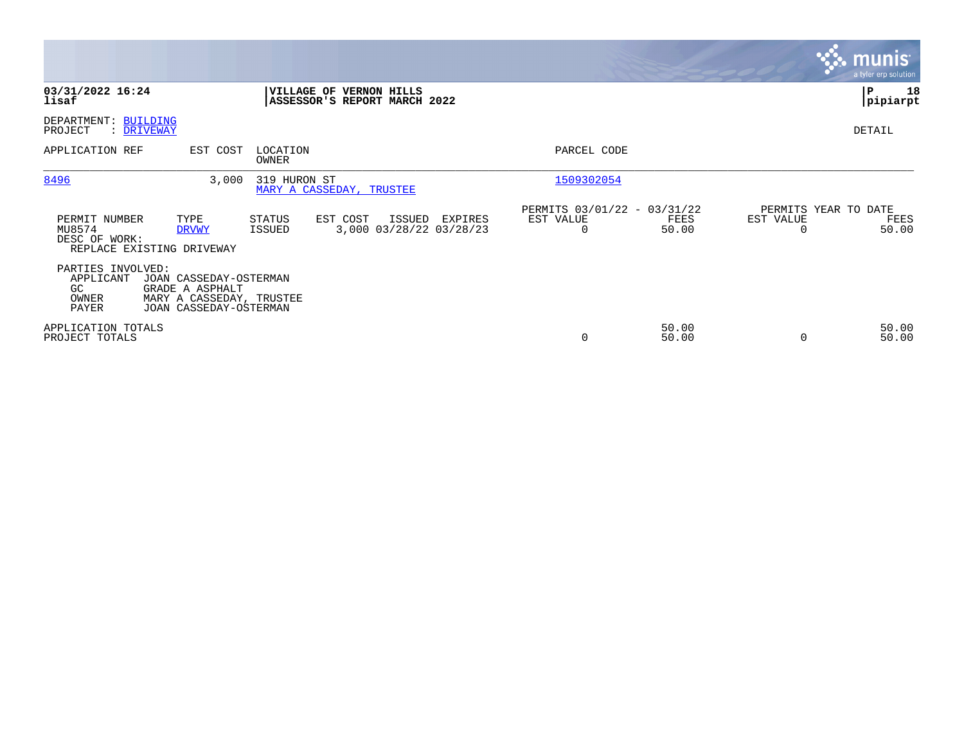|                                                                                                                                                            |                                                                                            |                                                                       | munis <sup>®</sup><br>a tyler erp solution         |
|------------------------------------------------------------------------------------------------------------------------------------------------------------|--------------------------------------------------------------------------------------------|-----------------------------------------------------------------------|----------------------------------------------------|
| 03/31/2022 16:24<br>lisaf                                                                                                                                  | <b>VERNON HILLS</b><br><b>VILLAGE OF</b><br>ASSESSOR'S REPORT MARCH 2022                   |                                                                       | P<br>18<br> pipiarpt                               |
| DEPARTMENT: BUILDING<br>: DRIVEWAY<br>PROJECT                                                                                                              |                                                                                            |                                                                       | DETAIL                                             |
| APPLICATION REF<br>EST COST                                                                                                                                | LOCATION<br>OWNER                                                                          | PARCEL CODE                                                           |                                                    |
| 8496<br>3,000                                                                                                                                              | 319 HURON ST<br>MARY A CASSEDAY, TRUSTEE                                                   | 1509302054                                                            |                                                    |
| TYPE<br>PERMIT NUMBER<br>MU8574<br><b>DRVWY</b><br>DESC OF WORK:<br>REPLACE EXISTING DRIVEWAY                                                              | <b>STATUS</b><br>EST COST<br>ISSUED<br>EXPIRES<br>3,000 03/28/22 03/28/23<br><b>ISSUED</b> | PERMITS 03/01/22 - 03/31/22<br>EST VALUE<br>FEES<br>50.00<br>$\Omega$ | PERMITS YEAR TO DATE<br>EST VALUE<br>FEES<br>50.00 |
| PARTIES INVOLVED:<br>APPLICANT<br>JOAN CASSEDAY-OSTERMAN<br>GRADE A ASPHALT<br>GC.<br>MARY A CASSEDAY, TRUSTEE<br>OWNER<br>PAYER<br>JOAN CASSEDAY-OSTERMAN |                                                                                            |                                                                       |                                                    |
| APPLICATION TOTALS<br>PROJECT TOTALS                                                                                                                       |                                                                                            | 50.00<br>$\mathbf 0$<br>50.00                                         | 50.00<br>50.00<br>0                                |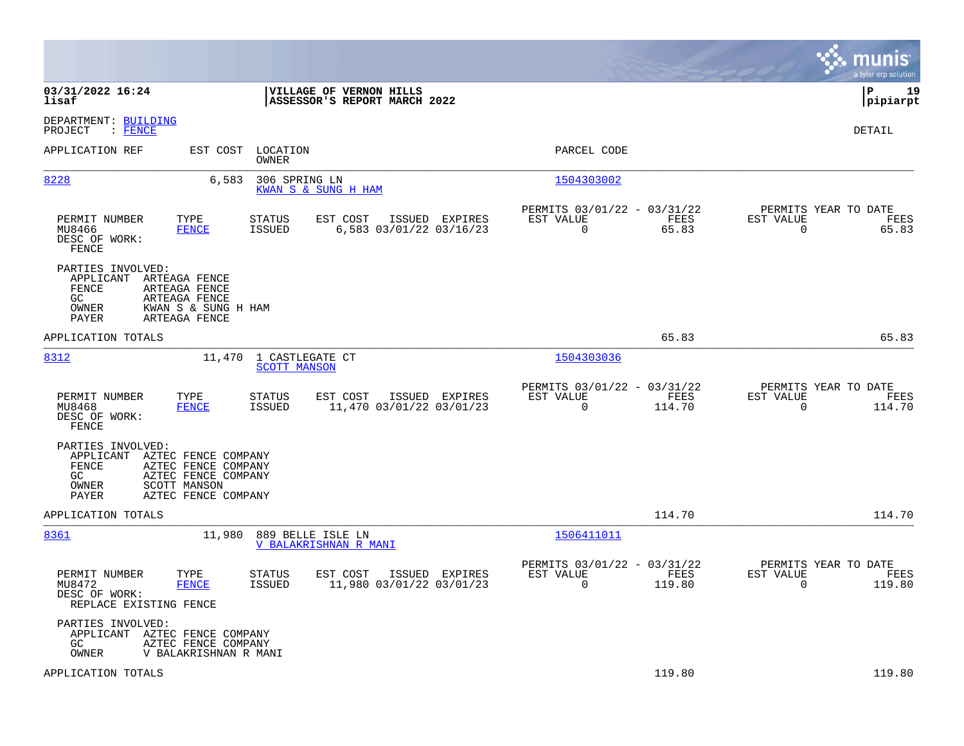|                                                                                                                                                                              |                                                                                   |                                                                              | munis<br>a tyler erp solution                                   |
|------------------------------------------------------------------------------------------------------------------------------------------------------------------------------|-----------------------------------------------------------------------------------|------------------------------------------------------------------------------|-----------------------------------------------------------------|
| 03/31/2022 16:24<br>lisaf                                                                                                                                                    | VILLAGE OF VERNON HILLS<br>ASSESSOR'S REPORT MARCH 2022                           |                                                                              | 19<br>l P<br> pipiarpt                                          |
| DEPARTMENT: BUILDING<br>PROJECT<br>$\colon$ FENCE                                                                                                                            |                                                                                   |                                                                              | DETAIL                                                          |
| APPLICATION REF                                                                                                                                                              | EST COST LOCATION<br>OWNER                                                        | PARCEL CODE                                                                  |                                                                 |
| 8228                                                                                                                                                                         | 6,583<br>306 SPRING LN<br>KWAN S & SUNG H HAM                                     | 1504303002                                                                   |                                                                 |
| PERMIT NUMBER<br>TYPE<br>MU8466<br><b>FENCE</b><br>DESC OF WORK:<br>FENCE                                                                                                    | EST COST<br>ISSUED EXPIRES<br><b>STATUS</b><br>6,583 03/01/22 03/16/23<br>ISSUED  | PERMITS 03/01/22 - 03/31/22<br>EST VALUE<br>FEES<br>65.83<br>$\overline{0}$  | PERMITS YEAR TO DATE<br>EST VALUE<br>FEES<br>$\Omega$<br>65.83  |
| PARTIES INVOLVED:<br>APPLICANT<br>ARTEAGA FENCE<br>FENCE<br>ARTEAGA FENCE<br>GC.<br>ARTEAGA FENCE<br>OWNER<br>KWAN S & SUNG H HAM<br>PAYER<br>ARTEAGA FENCE                  |                                                                                   |                                                                              |                                                                 |
| APPLICATION TOTALS                                                                                                                                                           |                                                                                   | 65.83                                                                        | 65.83                                                           |
| 8312                                                                                                                                                                         | 11,470 1 CASTLEGATE CT<br><b>SCOTT MANSON</b>                                     | 1504303036                                                                   |                                                                 |
| TYPE<br>PERMIT NUMBER<br>MU8468<br><b>FENCE</b><br>DESC OF WORK:<br>FENCE                                                                                                    | EST COST<br>ISSUED EXPIRES<br>STATUS<br>11,470 03/01/22 03/01/23<br>ISSUED        | PERMITS 03/01/22 - 03/31/22<br>EST VALUE<br>FEES<br>$\overline{0}$<br>114.70 | PERMITS YEAR TO DATE<br>EST VALUE<br>FEES<br>$\Omega$<br>114.70 |
| PARTIES INVOLVED:<br>APPLICANT<br>AZTEC FENCE COMPANY<br>FENCE<br>AZTEC FENCE COMPANY<br>GC.<br>AZTEC FENCE COMPANY<br>SCOTT MANSON<br>OWNER<br>AZTEC FENCE COMPANY<br>PAYER |                                                                                   |                                                                              |                                                                 |
| APPLICATION TOTALS                                                                                                                                                           |                                                                                   | 114.70                                                                       | 114.70                                                          |
| 8361                                                                                                                                                                         | 11,980 889 BELLE ISLE LN<br>V BALAKRISHNAN R MANI                                 | 1506411011                                                                   |                                                                 |
| PERMIT NUMBER<br>TYPE<br>MU8472<br><b>FENCE</b><br>DESC OF WORK:<br>REPLACE EXISTING FENCE                                                                                   | <b>STATUS</b><br>EST COST<br>ISSUED EXPIRES<br>11,980 03/01/22 03/01/23<br>ISSUED | PERMITS 03/01/22 - 03/31/22<br>EST VALUE<br>FEES<br>119.80<br>0              | PERMITS YEAR TO DATE<br>EST VALUE<br>FEES<br>119.80<br>0        |
| PARTIES INVOLVED:<br>APPLICANT AZTEC FENCE COMPANY<br>GC<br>AZTEC FENCE COMPANY<br>OWNER<br>V BALAKRISHNAN R MANI                                                            |                                                                                   |                                                                              |                                                                 |
| APPLICATION TOTALS                                                                                                                                                           |                                                                                   | 119.80                                                                       | 119.80                                                          |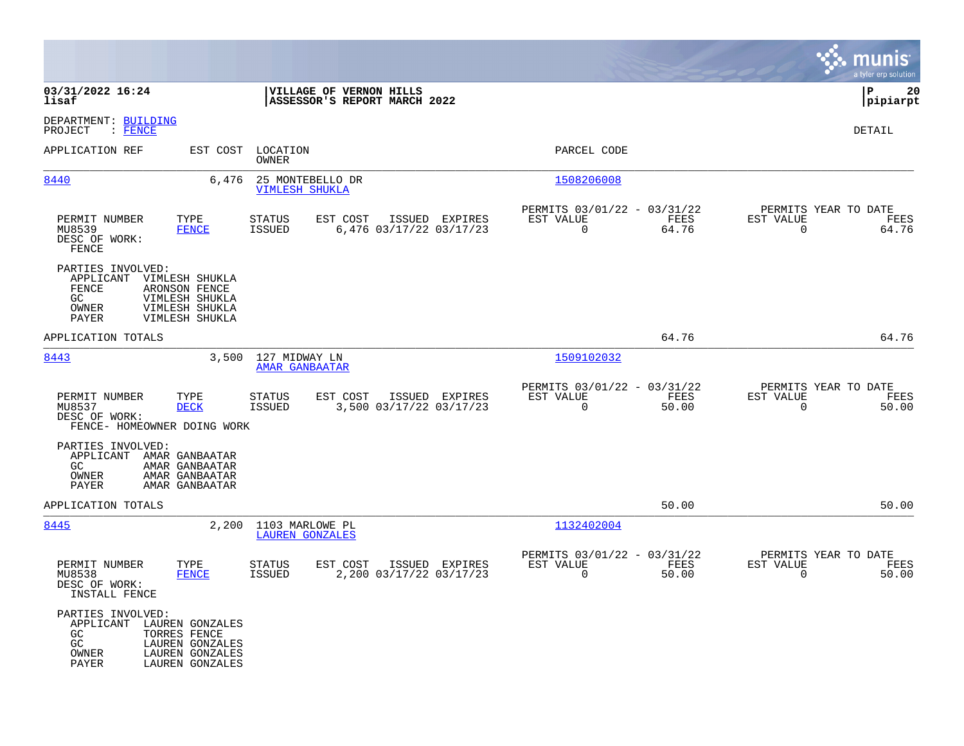|                                                                                       |                                                                                          |                                           |                                                         |                |                                                            |               |                                                  | munis<br>a tyler erp solution |
|---------------------------------------------------------------------------------------|------------------------------------------------------------------------------------------|-------------------------------------------|---------------------------------------------------------|----------------|------------------------------------------------------------|---------------|--------------------------------------------------|-------------------------------|
| 03/31/2022 16:24<br>lisaf                                                             |                                                                                          |                                           | VILLAGE OF VERNON HILLS<br>ASSESSOR'S REPORT MARCH 2022 |                |                                                            |               |                                                  | l P<br>20<br> pipiarpt        |
| DEPARTMENT: BUILDING<br>$:$ FENCE<br>PROJECT                                          |                                                                                          |                                           |                                                         |                |                                                            |               |                                                  | DETAIL                        |
| APPLICATION REF                                                                       | EST COST                                                                                 | LOCATION<br>OWNER                         |                                                         |                | PARCEL CODE                                                |               |                                                  |                               |
| 8440                                                                                  | 6,476                                                                                    | 25 MONTEBELLO DR<br><b>VIMLESH SHUKLA</b> |                                                         |                | 1508206008                                                 |               |                                                  |                               |
| PERMIT NUMBER<br>MU8539<br>DESC OF WORK:<br>FENCE                                     | TYPE<br><b>FENCE</b>                                                                     | STATUS<br>ISSUED                          | EST COST<br>6,476 03/17/22 03/17/23                     | ISSUED EXPIRES | PERMITS 03/01/22 - 03/31/22<br>EST VALUE<br>$\mathbf 0$    | FEES<br>64.76 | PERMITS YEAR TO DATE<br>EST VALUE<br>$\mathbf 0$ | FEES<br>64.76                 |
| PARTIES INVOLVED:<br>APPLICANT VIMLESH SHUKLA<br><b>FENCE</b><br>GC<br>OWNER<br>PAYER | ARONSON FENCE<br>VIMLESH SHUKLA<br>VIMLESH SHUKLA<br>VIMLESH SHUKLA                      |                                           |                                                         |                |                                                            |               |                                                  |                               |
| APPLICATION TOTALS                                                                    |                                                                                          |                                           |                                                         |                |                                                            | 64.76         |                                                  | 64.76                         |
| 8443                                                                                  | 3,500                                                                                    | 127 MIDWAY LN<br><b>AMAR GANBAATAR</b>    |                                                         |                | 1509102032                                                 |               |                                                  |                               |
| PERMIT NUMBER<br>MU8537<br>DESC OF WORK:<br>FENCE- HOMEOWNER DOING WORK               | TYPE<br><b>DECK</b>                                                                      | STATUS<br>ISSUED                          | EST COST<br>3,500 03/17/22 03/17/23                     | ISSUED EXPIRES | PERMITS 03/01/22 - 03/31/22<br>EST VALUE<br>$\Omega$       | FEES<br>50.00 | PERMITS YEAR TO DATE<br>EST VALUE<br>$\mathbf 0$ | FEES<br>50.00                 |
| PARTIES INVOLVED:<br>APPLICANT AMAR GANBAATAR<br>GC<br>OWNER<br>PAYER                 | AMAR GANBAATAR<br>AMAR GANBAATAR<br>AMAR GANBAATAR                                       |                                           |                                                         |                |                                                            |               |                                                  |                               |
| APPLICATION TOTALS                                                                    |                                                                                          |                                           |                                                         |                |                                                            | 50.00         |                                                  | 50.00                         |
| 8445                                                                                  | 2,200                                                                                    | 1103 MARLOWE PL<br><b>LAUREN GONZALES</b> |                                                         |                | 1132402004                                                 |               |                                                  |                               |
| PERMIT NUMBER<br>MU8538<br>DESC OF WORK:<br>INSTALL FENCE                             | TYPE<br><b>FENCE</b>                                                                     | <b>STATUS</b><br>ISSUED                   | EST COST<br>2,200 03/17/22 03/17/23                     | ISSUED EXPIRES | PERMITS 03/01/22 - 03/31/22<br>EST VALUE<br>$\overline{0}$ | FEES<br>50.00 | PERMITS YEAR TO DATE<br>EST VALUE<br>$\mathbf 0$ | FEES<br>50.00                 |
| PARTIES INVOLVED:<br>APPLICANT<br>GC<br>GC<br>OWNER<br>PAYER                          | LAUREN GONZALES<br>TORRES FENCE<br>LAUREN GONZALES<br>LAUREN GONZALES<br>LAUREN GONZALES |                                           |                                                         |                |                                                            |               |                                                  |                               |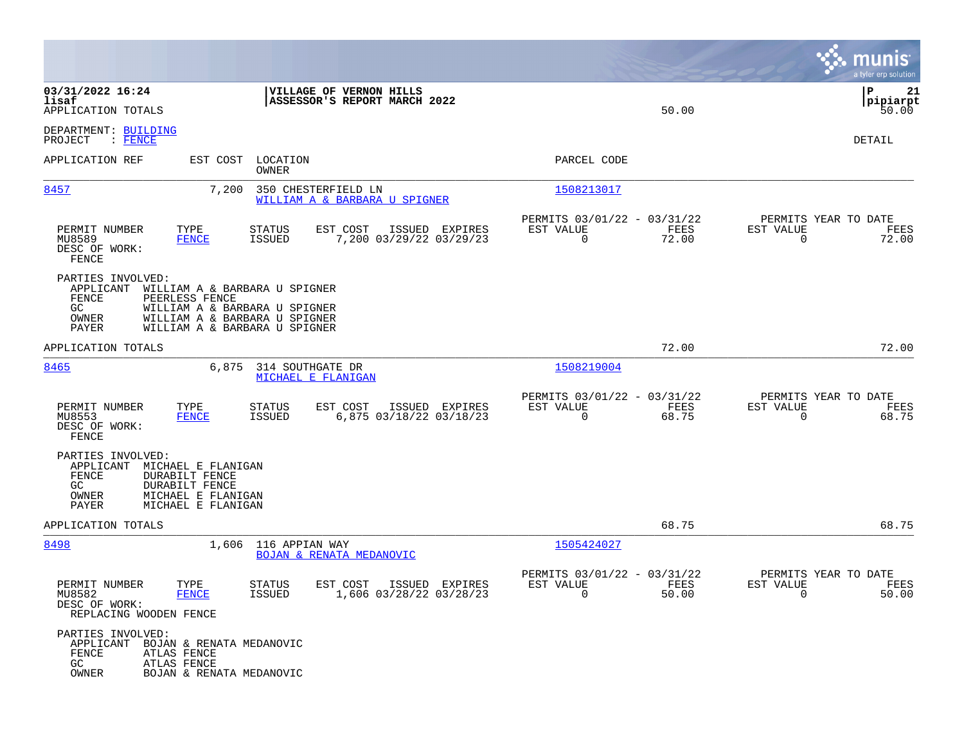|                                                                                                            |                                                                                                                                  |                                                                              |                            | munis<br>a tyler erp solution                                     |
|------------------------------------------------------------------------------------------------------------|----------------------------------------------------------------------------------------------------------------------------------|------------------------------------------------------------------------------|----------------------------|-------------------------------------------------------------------|
| 03/31/2022 16:24<br>lisaf<br>APPLICATION TOTALS                                                            | VILLAGE OF VERNON HILLS<br>ASSESSOR'S REPORT MARCH 2022                                                                          |                                                                              | 50.00                      | l P<br>21<br> pipiarpt<br>50.00                                   |
| DEPARTMENT: BUILDING<br>PROJECT<br>$\cdot$ FENCE                                                           |                                                                                                                                  |                                                                              |                            | DETAIL                                                            |
| APPLICATION REF                                                                                            | EST COST LOCATION<br>OWNER                                                                                                       | PARCEL CODE                                                                  |                            |                                                                   |
| 8457                                                                                                       | 7,200<br>350 CHESTERFIELD LN<br>WILLIAM A & BARBARA U SPIGNER                                                                    | 1508213017                                                                   |                            |                                                                   |
| PERMIT NUMBER<br>TYPE<br><b>FENCE</b><br>MU8589<br>DESC OF WORK:<br>FENCE                                  | EST COST<br>STATUS<br>7,200 03/29/22 03/29/23<br>ISSUED                                                                          | PERMITS 03/01/22 - 03/31/22<br>ISSUED EXPIRES<br>EST VALUE<br>$\mathbf 0$    | FEES<br>EST VALUE<br>72.00 | PERMITS YEAR TO DATE<br>FEES<br>$\overline{0}$<br>72.00           |
| PARTIES INVOLVED:<br>APPLICANT<br>FENCE<br>PEERLESS FENCE<br>GC<br>OWNER<br>PAYER                          | WILLIAM A & BARBARA U SPIGNER<br>WILLIAM A & BARBARA U SPIGNER<br>WILLIAM A & BARBARA U SPIGNER<br>WILLIAM A & BARBARA U SPIGNER |                                                                              |                            |                                                                   |
| APPLICATION TOTALS                                                                                         |                                                                                                                                  |                                                                              | 72.00                      | 72.00                                                             |
| 8465                                                                                                       | 6,875<br>314 SOUTHGATE DR<br>MICHAEL E FLANIGAN                                                                                  | 1508219004                                                                   |                            |                                                                   |
| PERMIT NUMBER<br>TYPE<br>MU8553<br><b>FENCE</b><br>DESC OF WORK:<br>FENCE                                  | EST COST<br>STATUS<br>6,875 03/18/22 03/18/23<br>ISSUED                                                                          | PERMITS 03/01/22 - 03/31/22<br>EST VALUE<br>ISSUED EXPIRES<br>$\mathbf 0$    | FEES<br>EST VALUE<br>68.75 | PERMITS YEAR TO DATE<br>FEES<br>$\mathbf 0$<br>68.75              |
| PARTIES INVOLVED:<br>APPLICANT<br>FENCE<br><b>DURABILT FENCE</b><br>GC<br>DURABILT FENCE<br>OWNER<br>PAYER | MICHAEL E FLANIGAN<br>MICHAEL E FLANIGAN<br>MICHAEL E FLANIGAN                                                                   |                                                                              |                            |                                                                   |
| APPLICATION TOTALS                                                                                         |                                                                                                                                  |                                                                              | 68.75                      | 68.75                                                             |
| 8498                                                                                                       | 1,606 116 APPIAN WAY<br><b>BOJAN &amp; RENATA MEDANOVIC</b>                                                                      | 1505424027                                                                   |                            |                                                                   |
| PERMIT NUMBER<br>TYPE<br>MU8582<br><b>FENCE</b><br>DESC OF WORK:<br>REPLACING WOODEN FENCE                 | <b>STATUS</b><br>EST COST<br>ISSUED<br>1,606 03/28/22 03/28/23                                                                   | PERMITS 03/01/22 - 03/31/22<br>ISSUED EXPIRES<br>EST VALUE<br>$\overline{0}$ | FEES<br>EST VALUE<br>50.00 | PERMITS YEAR TO DATE<br>FEES<br>50.00<br>$\overline{\phantom{0}}$ |
| PARTIES INVOLVED:<br>APPLICANT<br>FENCE<br>ATLAS FENCE<br>GC<br>ATLAS FENCE<br>OWNER                       | BOJAN & RENATA MEDANOVIC<br>BOJAN & RENATA MEDANOVIC                                                                             |                                                                              |                            |                                                                   |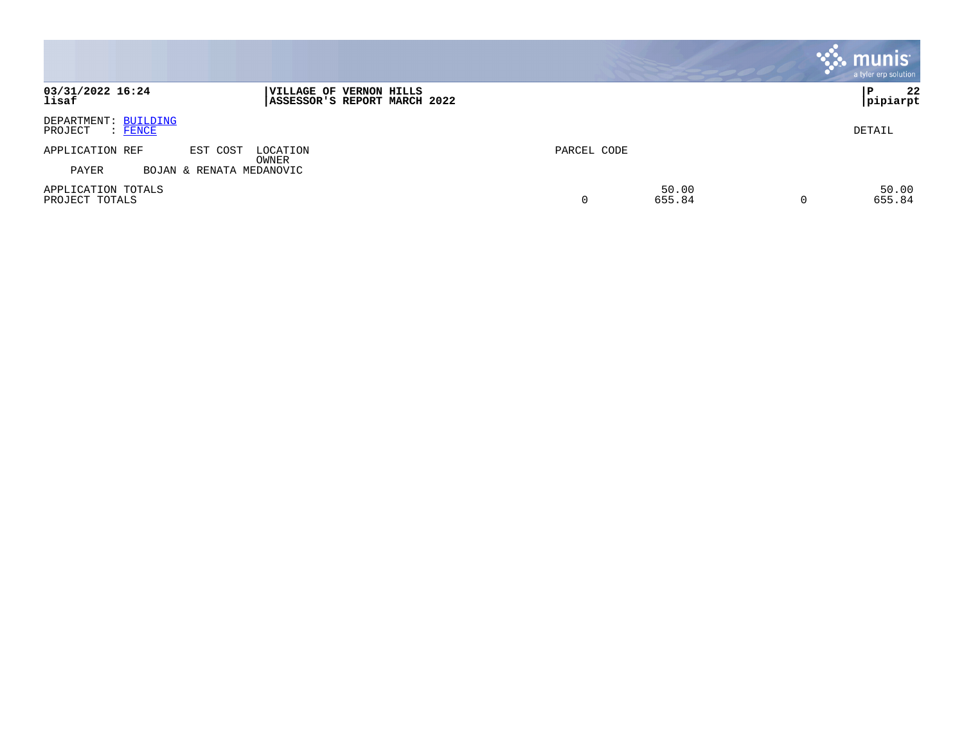|                                                   |                                                         |             |                 |   | munis <sup>®</sup><br>a tyler erp solution |
|---------------------------------------------------|---------------------------------------------------------|-------------|-----------------|---|--------------------------------------------|
| 03/31/2022 16:24<br>lisaf                         | VILLAGE OF VERNON HILLS<br>ASSESSOR'S REPORT MARCH 2022 |             |                 |   | 22<br>P<br> pipiarpt                       |
| DEPARTMENT: BUILDING<br>PROJECT<br>$\colon$ FENCE |                                                         |             |                 |   | DETAIL                                     |
| APPLICATION REF                                   | EST COST<br>LOCATION<br>OWNER                           | PARCEL CODE |                 |   |                                            |
| PAYER                                             | BOJAN & RENATA MEDANOVIC                                |             |                 |   |                                            |
| APPLICATION TOTALS<br>PROJECT TOTALS              |                                                         | 0           | 50.00<br>655.84 | 0 | 50.00<br>655.84                            |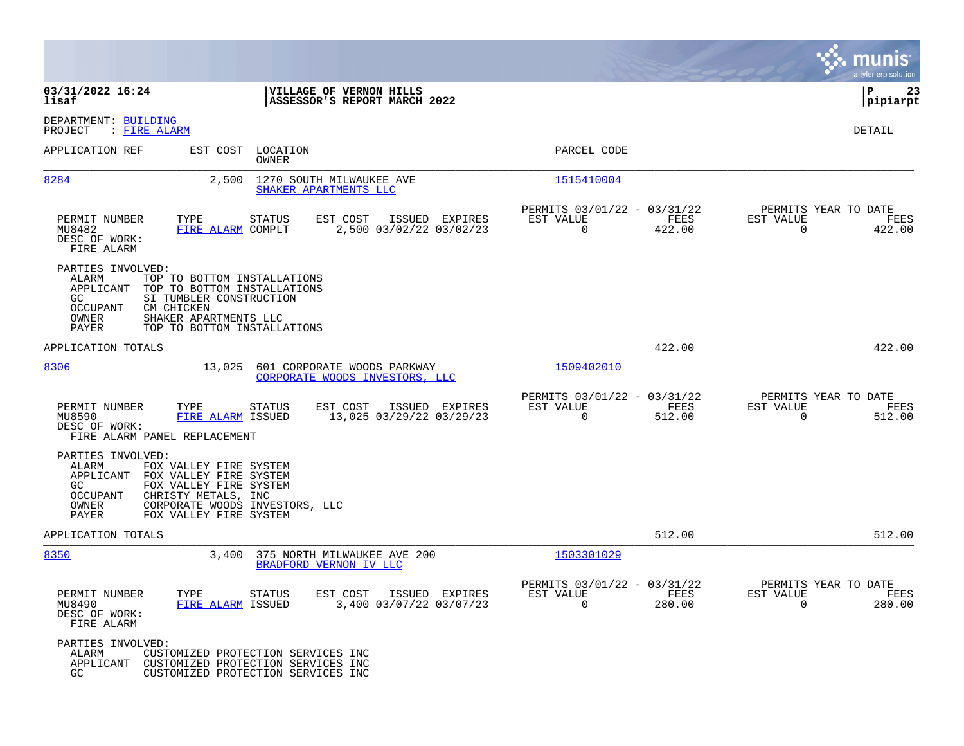|                                                                                                                                                                                                            |                                                                                                                |                                                                        | munis<br>a tyler erp solution                                      |
|------------------------------------------------------------------------------------------------------------------------------------------------------------------------------------------------------------|----------------------------------------------------------------------------------------------------------------|------------------------------------------------------------------------|--------------------------------------------------------------------|
| 03/31/2022 16:24<br>lisaf                                                                                                                                                                                  | VILLAGE OF VERNON HILLS<br>ASSESSOR'S REPORT MARCH 2022                                                        |                                                                        | l P<br>23<br> pipiarpt                                             |
| DEPARTMENT: BUILDING<br>PROJECT<br>: FIRE ALARM                                                                                                                                                            |                                                                                                                |                                                                        | <b>DETAIL</b>                                                      |
| APPLICATION REF                                                                                                                                                                                            | EST COST LOCATION<br><b>OWNER</b>                                                                              | PARCEL CODE                                                            |                                                                    |
| 8284                                                                                                                                                                                                       | 2,500<br>1270 SOUTH MILWAUKEE AVE<br>SHAKER APARTMENTS LLC                                                     | 1515410004                                                             |                                                                    |
| PERMIT NUMBER<br>TYPE<br>MU8482<br>DESC OF WORK:<br>FIRE ALARM                                                                                                                                             | <b>STATUS</b><br>EST COST<br>ISSUED EXPIRES<br>2,500 03/02/22 03/02/23<br>FIRE ALARM COMPLT                    | PERMITS 03/01/22 - 03/31/22<br>EST VALUE<br>FEES<br>$\Omega$<br>422.00 | PERMITS YEAR TO DATE<br>EST VALUE<br>FEES<br>$\Omega$<br>422.00    |
| PARTIES INVOLVED:<br>ALARM<br>APPLICANT<br>GC<br>SI TUMBLER CONSTRUCTION<br><b>OCCUPANT</b><br>CM CHICKEN<br>OWNER<br>SHAKER APARTMENTS LLC<br>PAYER                                                       | TOP TO BOTTOM INSTALLATIONS<br>TOP TO BOTTOM INSTALLATIONS<br>TOP TO BOTTOM INSTALLATIONS                      |                                                                        |                                                                    |
| APPLICATION TOTALS                                                                                                                                                                                         |                                                                                                                | 422.00                                                                 | 422.00                                                             |
| 8306                                                                                                                                                                                                       | 13,025 601 CORPORATE WOODS PARKWAY<br>CORPORATE WOODS INVESTORS, LLC                                           | 1509402010                                                             |                                                                    |
| PERMIT NUMBER<br>TYPE<br>MU8590<br>DESC OF WORK:<br>FIRE ALARM PANEL REPLACEMENT                                                                                                                           | EST COST<br>STATUS<br>ISSUED EXPIRES<br>13,025 03/29/22 03/29/23<br>FIRE ALARM ISSUED                          | PERMITS 03/01/22 - 03/31/22<br>EST VALUE<br>FEES<br>0<br>512.00        | PERMITS YEAR TO DATE<br>EST VALUE<br>FEES<br>$\mathbf 0$<br>512.00 |
| PARTIES INVOLVED:<br>ALARM<br>FOX VALLEY FIRE SYSTEM<br>APPLICANT<br>FOX VALLEY FIRE SYSTEM<br>FOX VALLEY FIRE SYSTEM<br>GC<br>OCCUPANT<br>CHRISTY METALS, INC<br>OWNER<br>PAYER<br>FOX VALLEY FIRE SYSTEM | CORPORATE WOODS INVESTORS, LLC                                                                                 |                                                                        |                                                                    |
| APPLICATION TOTALS                                                                                                                                                                                         |                                                                                                                | 512.00                                                                 | 512.00                                                             |
| 8350<br>3,400                                                                                                                                                                                              | 375 NORTH MILWAUKEE AVE 200<br>BRADFORD VERNON IV LLC                                                          | 1503301029                                                             |                                                                    |
| PERMIT NUMBER<br>TYPE<br>MU8490<br>DESC OF WORK:<br>FIRE ALARM                                                                                                                                             | EST COST<br>ISSUED EXPIRES<br>STATUS<br>3,400 03/07/22 03/07/23<br>FIRE ALARM ISSUED                           | PERMITS 03/01/22 - 03/31/22<br>FEES<br>EST VALUE<br>$\Omega$<br>280.00 | PERMITS YEAR TO DATE<br>EST VALUE<br>FEES<br>$\Omega$<br>280.00    |
| PARTIES INVOLVED:<br>ALARM<br>APPLICANT<br>GC.                                                                                                                                                             | CUSTOMIZED PROTECTION SERVICES INC<br>CUSTOMIZED PROTECTION SERVICES INC<br>CUSTOMIZED PROTECTION SERVICES INC |                                                                        |                                                                    |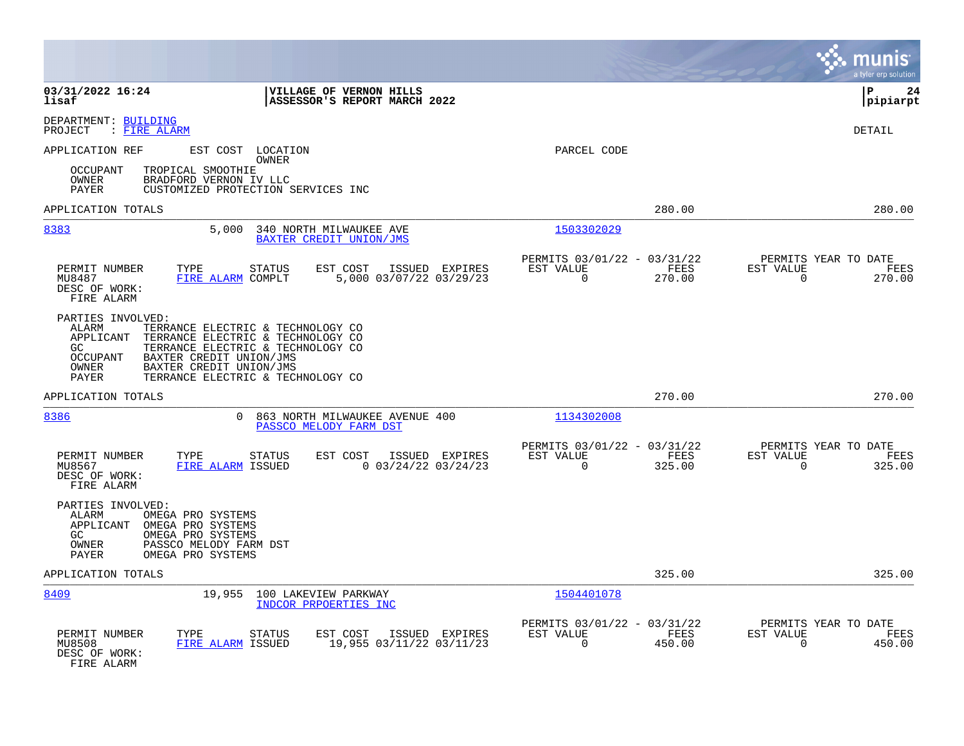|                                                                                                                                                                                                                                                                                              |                                                                           | munis<br>a tyler erp solution                                      |
|----------------------------------------------------------------------------------------------------------------------------------------------------------------------------------------------------------------------------------------------------------------------------------------------|---------------------------------------------------------------------------|--------------------------------------------------------------------|
| 03/31/2022 16:24<br>VILLAGE OF VERNON HILLS<br>lisaf<br>ASSESSOR'S REPORT MARCH 2022                                                                                                                                                                                                         |                                                                           | l P<br>24<br> pipiarpt                                             |
| DEPARTMENT: BUILDING<br>: FIRE ALARM<br>PROJECT                                                                                                                                                                                                                                              |                                                                           | <b>DETAIL</b>                                                      |
| APPLICATION REF<br>EST COST LOCATION<br>OWNER                                                                                                                                                                                                                                                | PARCEL CODE                                                               |                                                                    |
| TROPICAL SMOOTHIE<br>OCCUPANT<br>OWNER<br>BRADFORD VERNON IV LLC<br>CUSTOMIZED PROTECTION SERVICES INC<br>PAYER                                                                                                                                                                              |                                                                           |                                                                    |
| APPLICATION TOTALS                                                                                                                                                                                                                                                                           | 280.00                                                                    | 280.00                                                             |
| 8383<br>5,000<br>340 NORTH MILWAUKEE AVE<br>BAXTER CREDIT UNION/JMS                                                                                                                                                                                                                          | 1503302029                                                                |                                                                    |
| EST COST<br>PERMIT NUMBER<br>TYPE<br>STATUS<br>ISSUED EXPIRES<br>5,000 03/07/22 03/29/23<br>MU8487<br>FIRE ALARM COMPLT<br>DESC OF WORK:<br>FIRE ALARM                                                                                                                                       | PERMITS 03/01/22 - 03/31/22<br>FEES<br>EST VALUE<br>$\mathbf 0$<br>270.00 | PERMITS YEAR TO DATE<br>EST VALUE<br>FEES<br>$\mathbf 0$<br>270.00 |
| PARTIES INVOLVED:<br>ALARM<br>TERRANCE ELECTRIC & TECHNOLOGY CO<br>APPLICANT<br>TERRANCE ELECTRIC & TECHNOLOGY CO<br>GC<br>TERRANCE ELECTRIC & TECHNOLOGY CO<br><b>OCCUPANT</b><br>BAXTER CREDIT UNION/JMS<br>OWNER<br>BAXTER CREDIT UNION/JMS<br>TERRANCE ELECTRIC & TECHNOLOGY CO<br>PAYER |                                                                           |                                                                    |
| APPLICATION TOTALS                                                                                                                                                                                                                                                                           | 270.00                                                                    | 270.00                                                             |
| 8386<br>863 NORTH MILWAUKEE AVENUE 400<br>0<br>PASSCO MELODY FARM DST                                                                                                                                                                                                                        | 1134302008                                                                |                                                                    |
| PERMIT NUMBER<br>TYPE<br>STATUS<br>EST COST<br>ISSUED EXPIRES<br>FIRE ALARM ISSUED<br>$0$ 03/24/22 03/24/23<br>MU8567<br>DESC OF WORK:<br>FIRE ALARM                                                                                                                                         | PERMITS 03/01/22 - 03/31/22<br>EST VALUE<br>FEES<br>$\mathbf 0$<br>325.00 | PERMITS YEAR TO DATE<br>EST VALUE<br>FEES<br>$\mathbf 0$<br>325.00 |
| PARTIES INVOLVED:<br>ALARM<br>OMEGA PRO SYSTEMS<br>APPLICANT<br>OMEGA PRO SYSTEMS<br>GC<br>OMEGA PRO SYSTEMS<br>OWNER<br>PASSCO MELODY FARM DST<br><b>PAYER</b><br>OMEGA PRO SYSTEMS                                                                                                         |                                                                           |                                                                    |
| APPLICATION TOTALS                                                                                                                                                                                                                                                                           | 325.00                                                                    | 325.00                                                             |
| 8409<br>19,955<br>100 LAKEVIEW PARKWAY<br>INDCOR PRPOERTIES INC                                                                                                                                                                                                                              | 1504401078                                                                |                                                                    |
| PERMIT NUMBER<br>TYPE<br>EST COST<br>ISSUED EXPIRES<br>STATUS<br>19,955 03/11/22 03/11/23<br>MU8508<br>FIRE ALARM ISSUED<br>DESC OF WORK:<br>FIRE ALARM                                                                                                                                      | PERMITS 03/01/22 - 03/31/22<br>EST VALUE<br>FEES<br>$\Omega$<br>450.00    | PERMITS YEAR TO DATE<br>EST VALUE<br>FEES<br>450.00<br>$\Omega$    |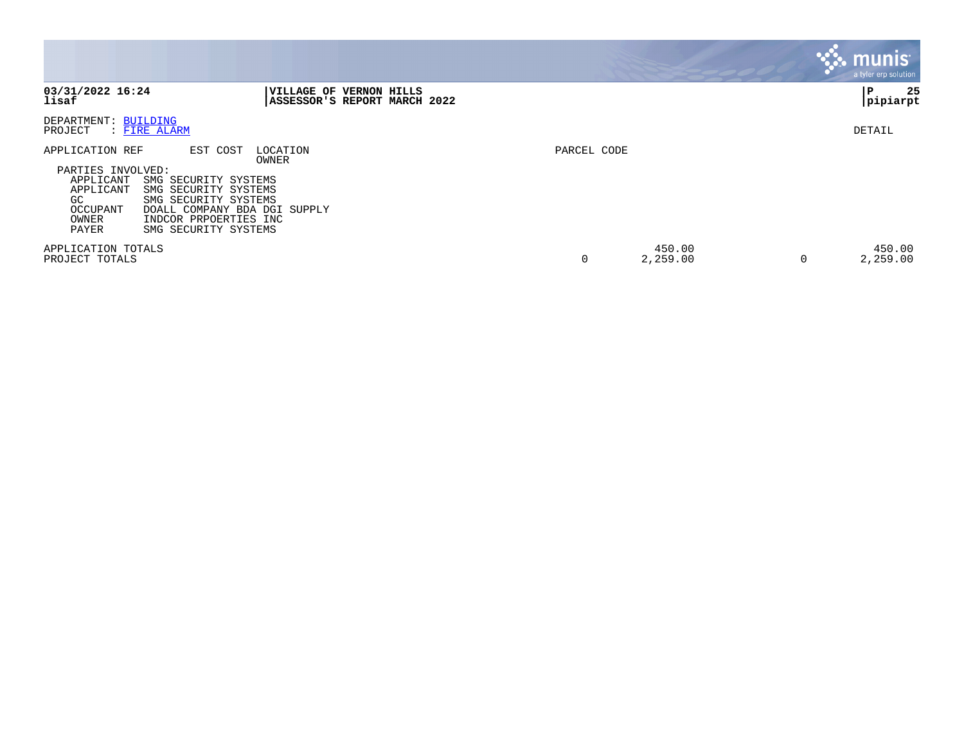|                                                                                                     |                                                                                                                                                                                        |             |                    |   | <b>munis</b><br>a tyler erp solution |
|-----------------------------------------------------------------------------------------------------|----------------------------------------------------------------------------------------------------------------------------------------------------------------------------------------|-------------|--------------------|---|--------------------------------------|
| 03/31/2022 16:24<br>lisaf                                                                           | <b> VILLAGE OF VERNON HILLS</b><br>ASSESSOR'S REPORT MARCH 2022                                                                                                                        |             |                    |   | 25<br>P<br> pipiarpt                 |
| DEPARTMENT: BUILDING<br>PROJECT                                                                     | : FIRE ALARM                                                                                                                                                                           |             |                    |   | DETAIL                               |
| APPLICATION REF<br>PARTIES INVOLVED:<br>APPLICANT<br>APPLICANT<br>GC.<br>OCCUPANT<br>OWNER<br>PAYER | EST COST<br>LOCATION<br>OWNER<br>SMG SECURITY SYSTEMS<br>SMG SECURITY SYSTEMS<br>SMG SECURITY SYSTEMS<br>DOALL COMPANY BDA DGI SUPPLY<br>INDCOR PRPOERTIES INC<br>SMG SECURITY SYSTEMS | PARCEL CODE |                    |   |                                      |
| APPLICATION TOTALS<br>PROJECT TOTALS                                                                |                                                                                                                                                                                        | 0           | 450.00<br>2,259.00 | 0 | 450.00<br>2,259.00                   |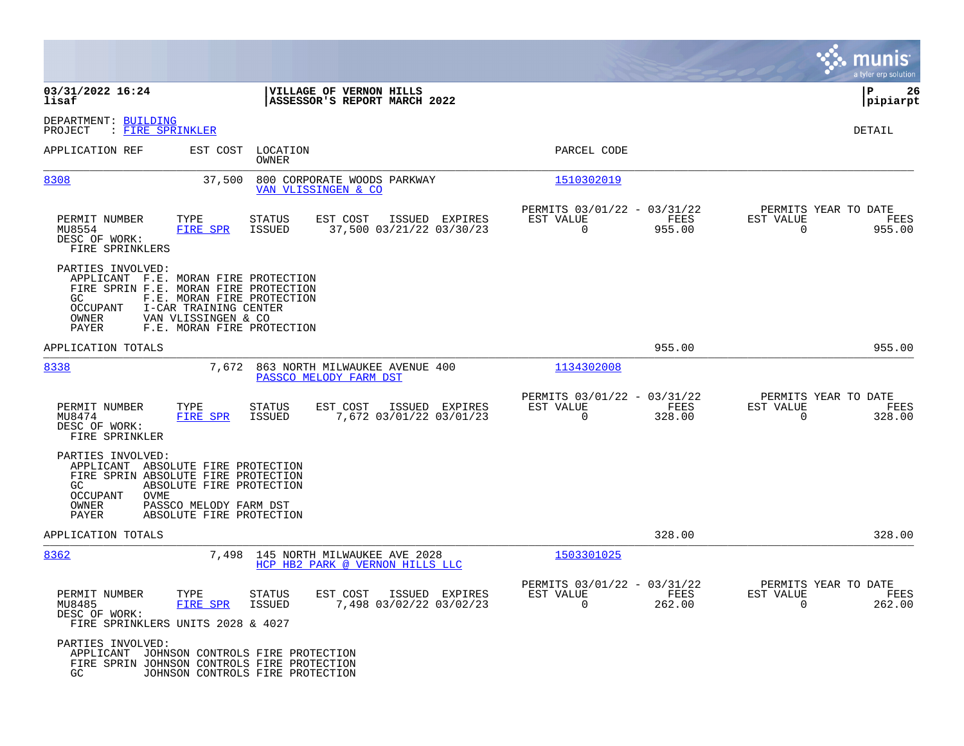|                                                                                                                                                          |                                                                                                          |                                                                       |                                                         |                                           |                                                      |                |                                               | munis<br>a tyler erp solution |
|----------------------------------------------------------------------------------------------------------------------------------------------------------|----------------------------------------------------------------------------------------------------------|-----------------------------------------------------------------------|---------------------------------------------------------|-------------------------------------------|------------------------------------------------------|----------------|-----------------------------------------------|-------------------------------|
| 03/31/2022 16:24<br>lisaf                                                                                                                                |                                                                                                          |                                                                       | VILLAGE OF VERNON HILLS<br>ASSESSOR'S REPORT MARCH 2022 |                                           |                                                      |                |                                               | l P<br>26<br> pipiarpt        |
| DEPARTMENT: BUILDING<br>PROJECT<br>: FIRE SPRINKLER                                                                                                      |                                                                                                          |                                                                       |                                                         |                                           |                                                      |                |                                               | DETAIL                        |
| APPLICATION REF                                                                                                                                          |                                                                                                          | EST COST LOCATION<br>OWNER                                            |                                                         |                                           | PARCEL CODE                                          |                |                                               |                               |
| 8308                                                                                                                                                     | 37,500                                                                                                   | 800 CORPORATE WOODS PARKWAY<br>VAN VLISSINGEN & CO                    |                                                         |                                           | 1510302019                                           |                |                                               |                               |
| PERMIT NUMBER<br>MU8554<br>DESC OF WORK:<br>FIRE SPRINKLERS                                                                                              | TYPE<br>FIRE SPR                                                                                         | <b>STATUS</b><br>ISSUED                                               | EST COST<br>37,500 03/21/22 03/30/23                    | ISSUED EXPIRES                            | PERMITS 03/01/22 - 03/31/22<br>EST VALUE<br>$\Omega$ | FEES<br>955.00 | PERMITS YEAR TO DATE<br>EST VALUE<br>$\Omega$ | FEES<br>955.00                |
| PARTIES INVOLVED:<br>APPLICANT F.E. MORAN FIRE PROTECTION<br>FIRE SPRIN F.E. MORAN FIRE PROTECTION<br>GC.<br>OCCUPANT<br>OWNER<br>PAYER                  | F.E. MORAN FIRE PROTECTION<br>I-CAR TRAINING CENTER<br>VAN VLISSINGEN & CO<br>F.E. MORAN FIRE PROTECTION |                                                                       |                                                         |                                           |                                                      |                |                                               |                               |
| APPLICATION TOTALS                                                                                                                                       |                                                                                                          |                                                                       |                                                         |                                           |                                                      | 955.00         |                                               | 955.00                        |
| 8338                                                                                                                                                     | 7,672                                                                                                    | 863 NORTH MILWAUKEE AVENUE 400<br>PASSCO MELODY FARM DST              |                                                         |                                           | 1134302008                                           |                |                                               |                               |
| PERMIT NUMBER<br>MU8474<br>DESC OF WORK:<br>FIRE SPRINKLER                                                                                               | TYPE<br>FIRE SPR                                                                                         | <b>STATUS</b><br>ISSUED                                               | EST COST                                                | ISSUED EXPIRES<br>7,672 03/01/22 03/01/23 | PERMITS 03/01/22 - 03/31/22<br>EST VALUE<br>$\Omega$ | FEES<br>328.00 | PERMITS YEAR TO DATE<br>EST VALUE<br>$\Omega$ | FEES<br>328.00                |
| PARTIES INVOLVED:<br>APPLICANT ABSOLUTE FIRE PROTECTION<br>FIRE SPRIN ABSOLUTE FIRE PROTECTION<br>GC<br><b>OCCUPANT</b><br><b>OVME</b><br>OWNER<br>PAYER | ABSOLUTE FIRE PROTECTION<br>PASSCO MELODY FARM DST<br>ABSOLUTE FIRE PROTECTION                           |                                                                       |                                                         |                                           |                                                      |                |                                               |                               |
| APPLICATION TOTALS                                                                                                                                       |                                                                                                          |                                                                       |                                                         |                                           |                                                      | 328.00         |                                               | 328.00                        |
| 8362                                                                                                                                                     |                                                                                                          | 7,498 145 NORTH MILWAUKEE AVE 2028<br>HCP HB2 PARK @ VERNON HILLS LLC |                                                         |                                           | 1503301025                                           |                |                                               |                               |
| PERMIT NUMBER<br>MU8485<br>DESC OF WORK:<br>FIRE SPRINKLERS UNITS 2028 & 4027                                                                            | TYPE<br>FIRE SPR                                                                                         | <b>STATUS</b><br><b>ISSUED</b>                                        | EST COST                                                | ISSUED EXPIRES<br>7,498 03/02/22 03/02/23 | PERMITS 03/01/22 - 03/31/22<br>EST VALUE<br>$\Omega$ | FEES<br>262.00 | PERMITS YEAR TO DATE<br>EST VALUE<br>$\Omega$ | FEES<br>262.00                |
| PARTIES INVOLVED:<br>APPLICANT JOHNSON CONTROLS FIRE PROTECTION<br>FIRE SPRIN JOHNSON CONTROLS FIRE PROTECTION<br>GC                                     | JOHNSON CONTROLS FIRE PROTECTION                                                                         |                                                                       |                                                         |                                           |                                                      |                |                                               |                               |

**College**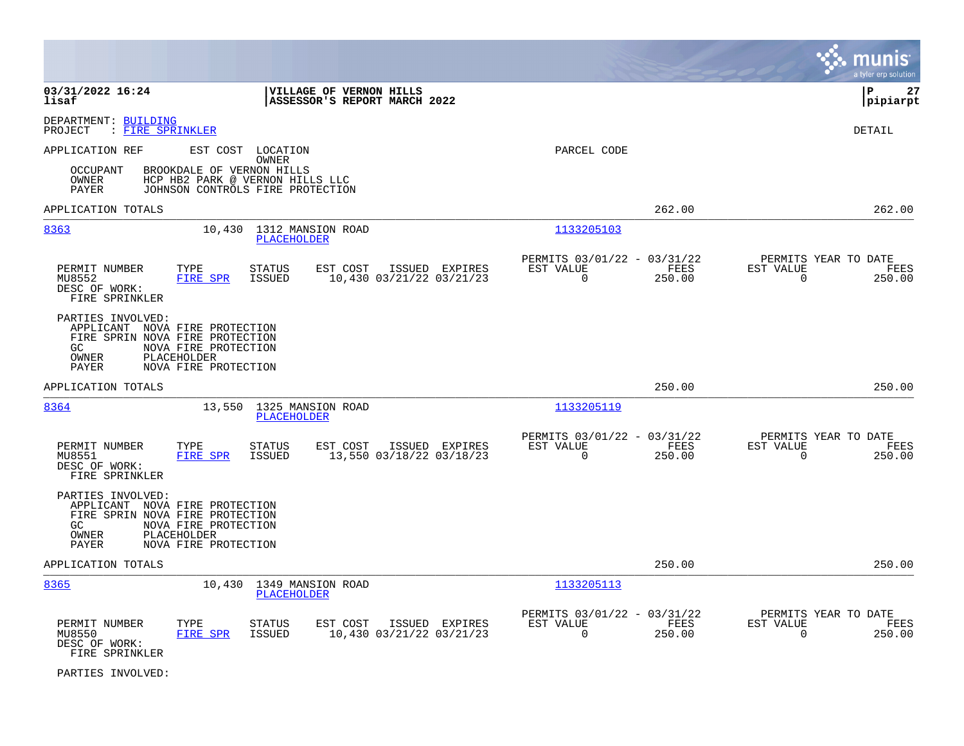|                                                                                                                                                                                      |                                                                                   |                                                                           | a tyler erp solution                                               |
|--------------------------------------------------------------------------------------------------------------------------------------------------------------------------------------|-----------------------------------------------------------------------------------|---------------------------------------------------------------------------|--------------------------------------------------------------------|
| 03/31/2022 16:24<br>lisaf                                                                                                                                                            | VILLAGE OF VERNON HILLS<br>ASSESSOR'S REPORT MARCH 2022                           |                                                                           | lР<br>27<br> pipiarpt                                              |
| DEPARTMENT: BUILDING<br>: FIRE SPRINKLER<br>PROJECT                                                                                                                                  |                                                                                   |                                                                           | DETAIL                                                             |
| APPLICATION REF                                                                                                                                                                      | EST COST LOCATION<br><b>OWNER</b>                                                 | PARCEL CODE                                                               |                                                                    |
| BROOKDALE OF VERNON HILLS<br><b>OCCUPANT</b><br>OWNER<br><b>PAYER</b>                                                                                                                | HCP HB2 PARK @ VERNON HILLS LLC<br>JOHNSON CONTROLS FIRE PROTECTION               |                                                                           |                                                                    |
| APPLICATION TOTALS                                                                                                                                                                   |                                                                                   | 262.00                                                                    | 262.00                                                             |
| 8363                                                                                                                                                                                 | 10,430 1312 MANSION ROAD<br>PLACEHOLDER                                           | 1133205103                                                                |                                                                    |
| PERMIT NUMBER<br>TYPE<br>MU8552<br><b>FIRE SPR</b><br>DESC OF WORK:<br>FIRE SPRINKLER                                                                                                | STATUS<br>EST COST<br>ISSUED EXPIRES<br>ISSUED<br>10,430 03/21/22 03/21/23        | PERMITS 03/01/22 - 03/31/22<br>EST VALUE<br>FEES<br>$\mathbf 0$<br>250.00 | PERMITS YEAR TO DATE<br>EST VALUE<br>FEES<br>$\mathbf 0$<br>250.00 |
| PARTIES INVOLVED:<br>APPLICANT NOVA FIRE PROTECTION<br>FIRE SPRIN NOVA FIRE PROTECTION<br>GC<br>NOVA FIRE PROTECTION<br><b>OWNER</b><br>PLACEHOLDER<br>NOVA FIRE PROTECTION<br>PAYER |                                                                                   |                                                                           |                                                                    |
| APPLICATION TOTALS                                                                                                                                                                   |                                                                                   | 250.00                                                                    | 250.00                                                             |
| 8364<br>13,550                                                                                                                                                                       | 1325 MANSION ROAD<br>PLACEHOLDER                                                  | 1133205119                                                                |                                                                    |
| PERMIT NUMBER<br>TYPE<br><b>FIRE SPR</b><br>MU8551<br>DESC OF WORK:<br>FIRE SPRINKLER                                                                                                | <b>STATUS</b><br>EST COST<br>ISSUED EXPIRES<br>ISSUED<br>13,550 03/18/22 03/18/23 | PERMITS 03/01/22 - 03/31/22<br>EST VALUE<br>FEES<br>$\mathbf 0$<br>250.00 | PERMITS YEAR TO DATE<br>EST VALUE<br>FEES<br>$\mathbf 0$<br>250.00 |
| PARTIES INVOLVED:<br>APPLICANT NOVA FIRE PROTECTION<br>FIRE SPRIN NOVA FIRE PROTECTION<br>GC<br>NOVA FIRE PROTECTION<br><b>OWNER</b><br>PLACEHOLDER<br>NOVA FIRE PROTECTION<br>PAYER |                                                                                   |                                                                           |                                                                    |
| APPLICATION TOTALS                                                                                                                                                                   |                                                                                   | 250.00                                                                    | 250.00                                                             |
| 8365                                                                                                                                                                                 | 10,430 1349 MANSION ROAD<br>PLACEHOLDER                                           | 1133205113                                                                |                                                                    |
| PERMIT NUMBER<br>TYPE<br>MU8550<br>FIRE SPR<br>DESC OF WORK:<br>FIRE SPRINKLER                                                                                                       | EST COST<br>STATUS<br>ISSUED EXPIRES<br>ISSUED<br>10,430 03/21/22 03/21/23        | PERMITS 03/01/22 - 03/31/22<br>EST VALUE<br>FEES<br>0<br>250.00           | PERMITS YEAR TO DATE<br>EST VALUE<br>FEES<br>0<br>250.00           |
| PARTIES INVOLVED:                                                                                                                                                                    |                                                                                   |                                                                           |                                                                    |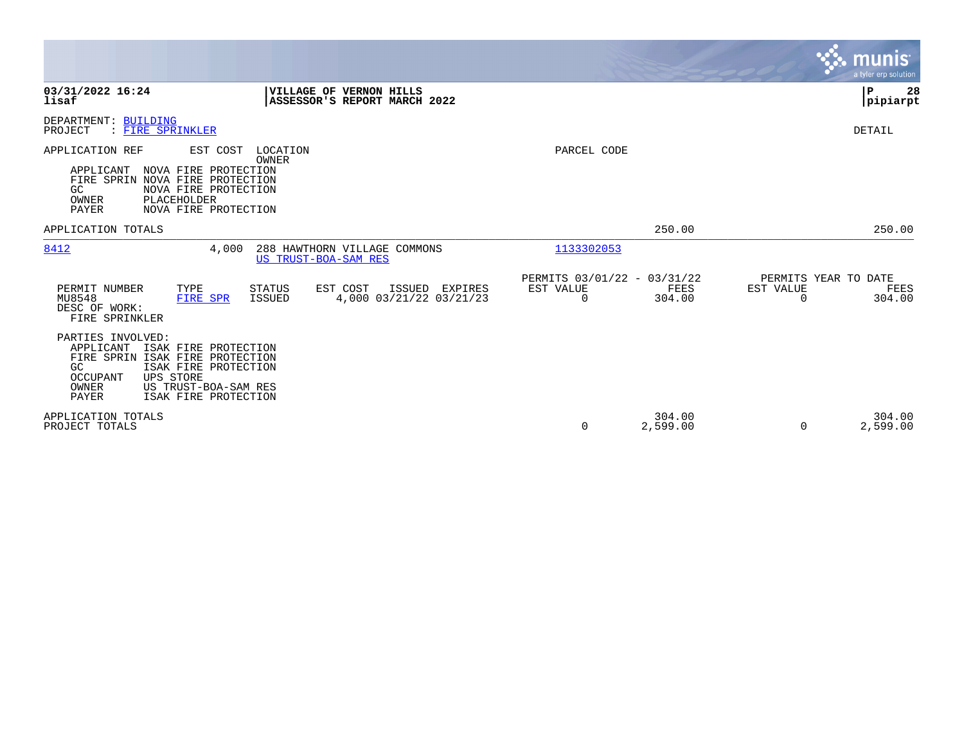|                                                                                                                                                                                                                                  |                                                                        | munis<br>a tyler erp solution                                   |
|----------------------------------------------------------------------------------------------------------------------------------------------------------------------------------------------------------------------------------|------------------------------------------------------------------------|-----------------------------------------------------------------|
| 03/31/2022 16:24<br>VILLAGE OF VERNON HILLS<br>lisaf<br>ASSESSOR'S REPORT MARCH 2022                                                                                                                                             |                                                                        | l P<br>28<br> pipiarpt                                          |
| DEPARTMENT: BUILDING<br>PROJECT<br>: FIRE SPRINKLER                                                                                                                                                                              |                                                                        | DETAIL                                                          |
| APPLICATION REF<br>EST COST<br>LOCATION<br>OWNER<br>NOVA FIRE PROTECTION<br>APPLICANT<br>FIRE SPRIN NOVA FIRE PROTECTION<br>GC<br>NOVA FIRE PROTECTION<br>OWNER<br>PLACEHOLDER<br><b>PAYER</b><br>NOVA FIRE PROTECTION           | PARCEL CODE                                                            |                                                                 |
| APPLICATION TOTALS                                                                                                                                                                                                               | 250.00                                                                 | 250.00                                                          |
| 8412<br>4,000<br>288 HAWTHORN VILLAGE COMMONS<br>US TRUST-BOA-SAM RES                                                                                                                                                            | 1133302053                                                             |                                                                 |
| EST COST<br>PERMIT NUMBER<br>TYPE<br>STATUS<br>ISSUED EXPIRES<br>MU8548<br>ISSUED<br>4,000 03/21/22 03/21/23<br>FIRE SPR<br>DESC OF WORK:<br>FIRE SPRINKLER                                                                      | PERMITS 03/01/22 - 03/31/22<br>EST VALUE<br>FEES<br>$\Omega$<br>304.00 | PERMITS YEAR TO DATE<br>EST VALUE<br>FEES<br>$\Omega$<br>304.00 |
| PARTIES INVOLVED:<br>APPLICANT<br>ISAK FIRE PROTECTION<br>FIRE SPRIN ISAK FIRE PROTECTION<br>GC<br>ISAK FIRE PROTECTION<br><b>UPS STORE</b><br><b>OCCUPANT</b><br>OWNER<br>US TRUST-BOA-SAM RES<br>PAYER<br>ISAK FIRE PROTECTION |                                                                        |                                                                 |
| APPLICATION TOTALS<br>PROJECT TOTALS                                                                                                                                                                                             | 304.00<br>2,599.00<br>0                                                | 304.00<br>2,599.00<br>$\Omega$                                  |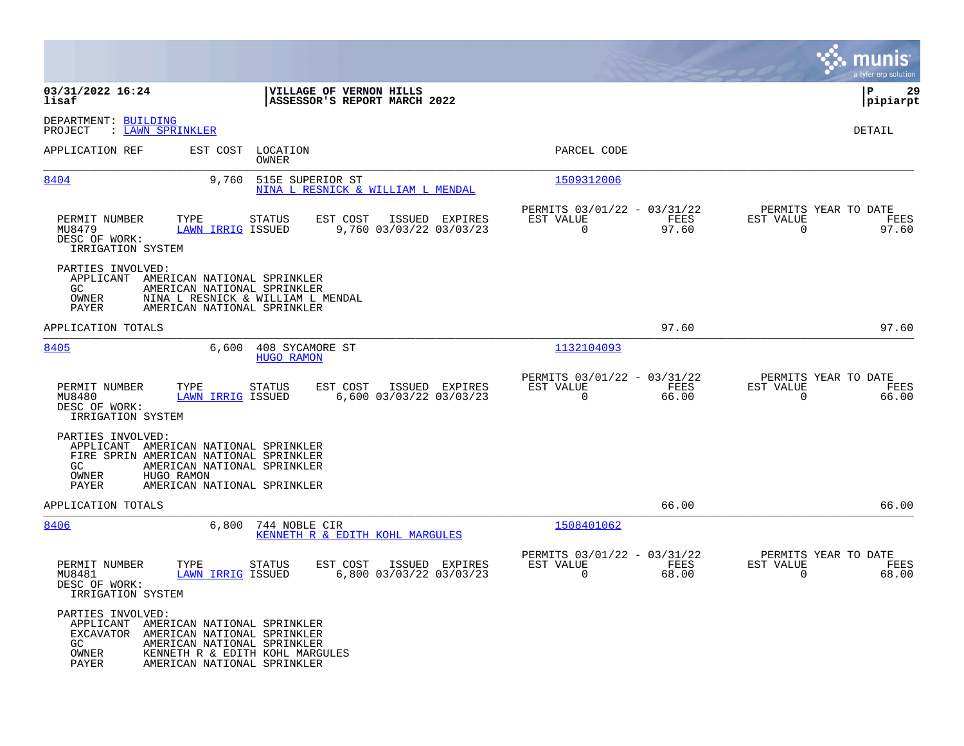|                                                               |                                                                                                                                                                                 |                                                                       | munis<br>a tyler erp solution                                     |
|---------------------------------------------------------------|---------------------------------------------------------------------------------------------------------------------------------------------------------------------------------|-----------------------------------------------------------------------|-------------------------------------------------------------------|
| 03/31/2022 16:24<br>lisaf                                     | VILLAGE OF VERNON HILLS<br>ASSESSOR'S REPORT MARCH 2022                                                                                                                         |                                                                       | lР<br>29<br> pipiarpt                                             |
| DEPARTMENT: BUILDING<br>PROJECT                               | : LAWN SPRINKLER                                                                                                                                                                |                                                                       | DETAIL                                                            |
| APPLICATION REF                                               | EST COST LOCATION<br>OWNER                                                                                                                                                      | PARCEL CODE                                                           |                                                                   |
| 8404                                                          | 9,760<br>515E SUPERIOR ST<br>NINA L RESNICK & WILLIAM L MENDAL                                                                                                                  | 1509312006                                                            |                                                                   |
| PERMIT NUMBER<br>MU8479<br>DESC OF WORK:<br>IRRIGATION SYSTEM | TYPE<br>EST COST<br><b>STATUS</b><br>ISSUED EXPIRES<br>9,760 03/03/22 03/03/23<br><b>LAWN IRRIG ISSUED</b>                                                                      | PERMITS 03/01/22 - 03/31/22<br>EST VALUE<br>FEES<br>0<br>97.60        | PERMITS YEAR TO DATE<br>EST VALUE<br>FEES<br>97.60<br>0           |
| PARTIES INVOLVED:<br>GC<br>OWNER<br>PAYER                     | APPLICANT AMERICAN NATIONAL SPRINKLER<br>AMERICAN NATIONAL SPRINKLER<br>NINA L RESNICK & WILLIAM L MENDAL<br>AMERICAN NATIONAL SPRINKLER                                        |                                                                       |                                                                   |
| APPLICATION TOTALS                                            |                                                                                                                                                                                 | 97.60                                                                 | 97.60                                                             |
| 8405                                                          | 6,600<br>408 SYCAMORE ST<br><b>HUGO RAMON</b>                                                                                                                                   | 1132104093                                                            |                                                                   |
| PERMIT NUMBER<br>MU8480<br>DESC OF WORK:<br>IRRIGATION SYSTEM | EST COST<br>ISSUED EXPIRES<br>TYPE<br><b>STATUS</b><br>6,600 03/03/22 03/03/23<br><b>LAWN IRRIG ISSUED</b>                                                                      | PERMITS 03/01/22 - 03/31/22<br>EST VALUE<br>FEES<br>0<br>66.00        | PERMITS YEAR TO DATE<br>EST VALUE<br>FEES<br>$\mathbf 0$<br>66.00 |
| PARTIES INVOLVED:<br>GC.<br>OWNER<br>PAYER                    | APPLICANT AMERICAN NATIONAL SPRINKLER<br>FIRE SPRIN AMERICAN NATIONAL SPRINKLER<br>AMERICAN NATIONAL SPRINKLER<br>HUGO RAMON<br>AMERICAN NATIONAL SPRINKLER                     |                                                                       |                                                                   |
| APPLICATION TOTALS                                            |                                                                                                                                                                                 | 66.00                                                                 | 66.00                                                             |
| 8406                                                          | 6,800<br>744 NOBLE CIR<br>KENNETH R & EDITH KOHL MARGULES                                                                                                                       | 1508401062                                                            |                                                                   |
| PERMIT NUMBER<br>MU8481<br>DESC OF WORK:<br>IRRIGATION SYSTEM | TYPE<br>EST COST<br>ISSUED EXPIRES<br>STATUS<br>6,800 03/03/22 03/03/23<br><b>LAWN IRRIG ISSUED</b>                                                                             | PERMITS 03/01/22 - 03/31/22<br>EST VALUE<br>FEES<br>$\Omega$<br>68.00 | PERMITS YEAR TO DATE<br>EST VALUE<br>FEES<br>$\Omega$<br>68.00    |
| PARTIES INVOLVED:<br>GC.<br>OWNER<br>PAYER                    | APPLICANT AMERICAN NATIONAL SPRINKLER<br>EXCAVATOR AMERICAN NATIONAL SPRINKLER<br>AMERICAN NATIONAL SPRINKLER<br>KENNETH R & EDITH KOHL MARGULES<br>AMERICAN NATIONAL SPRINKLER |                                                                       |                                                                   |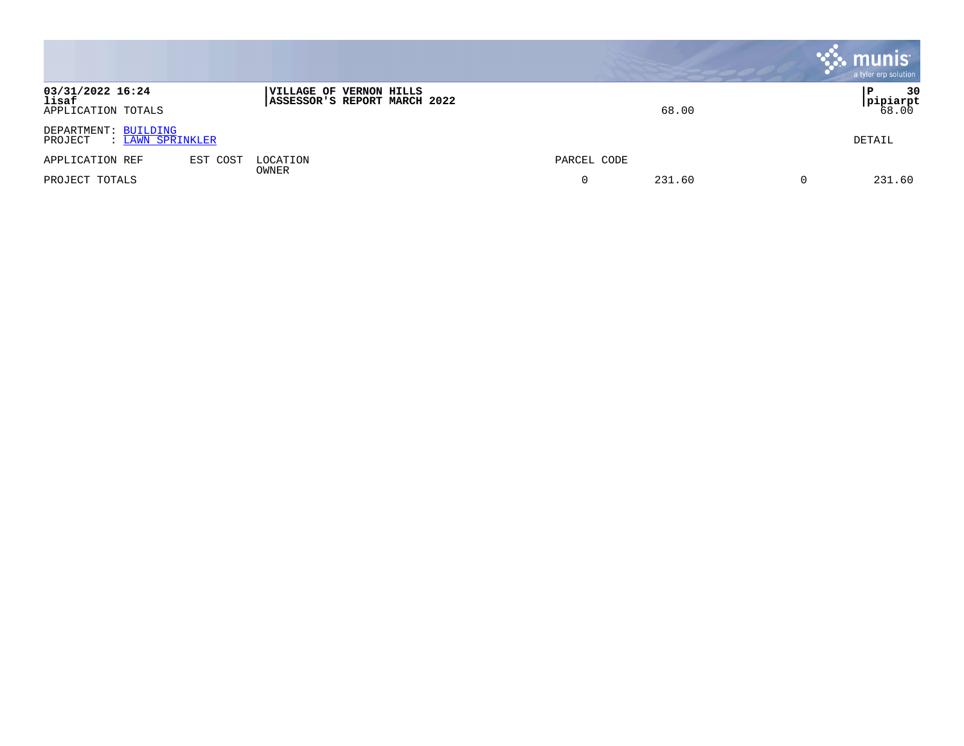|                                                     |          |                                                         |             | , munis <sup>.</sup><br>a tyler erp solution |
|-----------------------------------------------------|----------|---------------------------------------------------------|-------------|----------------------------------------------|
| 03/31/2022 16:24<br>lisaf<br>APPLICATION TOTALS     |          | VILLAGE OF VERNON HILLS<br>ASSESSOR'S REPORT MARCH 2022 | 68.00       | 30<br>l P<br><b>pipiarpt</b><br>68.00        |
| DEPARTMENT: BUILDING<br>PROJECT<br>: LAWN SPRINKLER |          |                                                         |             | DETAIL                                       |
| APPLICATION REF                                     | EST COST | LOCATION<br>OWNER                                       | PARCEL CODE |                                              |
| PROJECT TOTALS                                      |          |                                                         | 231.60<br>0 | 231.60                                       |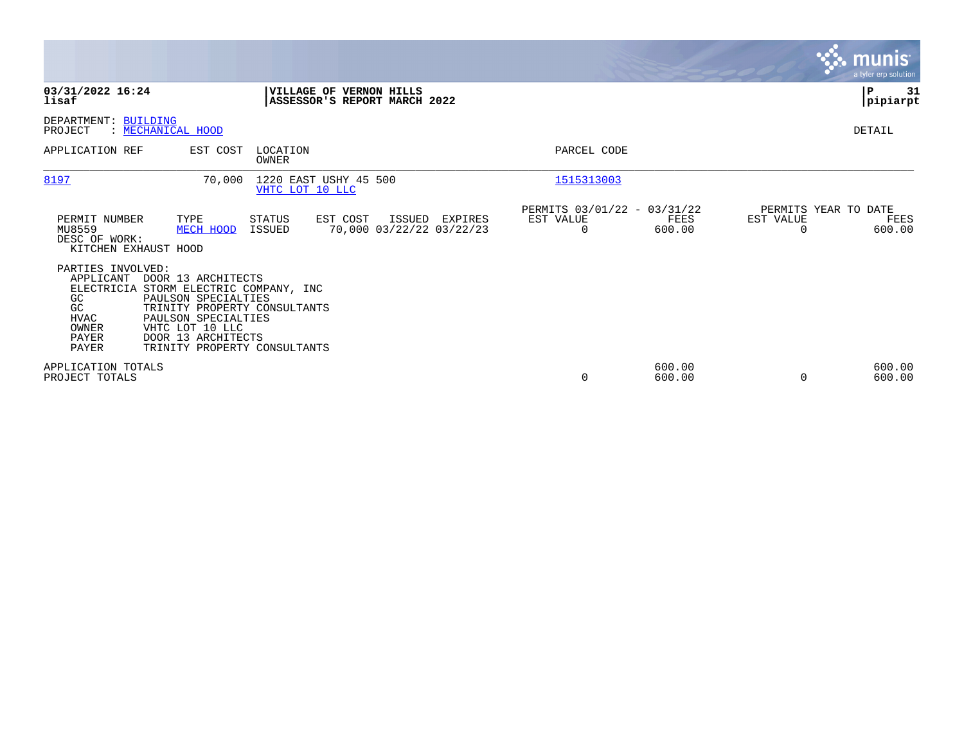|                                                                                      |                                                                                                                                                                                                                     |                                                         |                                    |         |                                               |                  |                | munis <sup>®</sup><br>a tyler erp solution |
|--------------------------------------------------------------------------------------|---------------------------------------------------------------------------------------------------------------------------------------------------------------------------------------------------------------------|---------------------------------------------------------|------------------------------------|---------|-----------------------------------------------|------------------|----------------|--------------------------------------------|
| 03/31/2022 16:24<br>lisaf                                                            |                                                                                                                                                                                                                     | VILLAGE OF VERNON HILLS<br>ASSESSOR'S REPORT MARCH 2022 |                                    |         |                                               |                  |                | P<br>31<br>pipiarpt                        |
| DEPARTMENT: BUILDING<br>PROJECT                                                      | : MECHANICAL HOOD                                                                                                                                                                                                   |                                                         |                                    |         |                                               |                  |                | DETAIL                                     |
| APPLICATION REF                                                                      | EST COST                                                                                                                                                                                                            | LOCATION<br>OWNER                                       |                                    |         | PARCEL CODE                                   |                  |                |                                            |
| 8197                                                                                 | 70,000                                                                                                                                                                                                              | 1220 EAST USHY 45 500<br>VHTC LOT 10 LLC                |                                    |         | 1515313003                                    |                  |                |                                            |
| PERMIT NUMBER<br>MU8559<br>DESC OF WORK:<br>KITCHEN EXHAUST HOOD                     | TYPE<br>MECH HOOD                                                                                                                                                                                                   | STATUS<br>EST COST<br>ISSUED                            | ISSUED<br>70,000 03/22/22 03/22/23 | EXPIRES | PERMITS 03/01/22 - 03/31/22<br>EST VALUE<br>0 | FEES<br>600.00   | EST VALUE<br>0 | PERMITS YEAR TO DATE<br>FEES<br>600.00     |
| PARTIES INVOLVED:<br>APPLICANT<br>GC<br>GC<br><b>HVAC</b><br>OWNER<br>PAYER<br>PAYER | DOOR 13 ARCHITECTS<br>ELECTRICIA STORM ELECTRIC COMPANY, INC<br>PAULSON SPECIALTIES<br>TRINITY PROPERTY CONSULTANTS<br>PAULSON SPECIALTIES<br>VHTC LOT 10 LLC<br>DOOR 13 ARCHITECTS<br>TRINITY PROPERTY CONSULTANTS |                                                         |                                    |         |                                               |                  |                |                                            |
| APPLICATION TOTALS<br>PROJECT TOTALS                                                 |                                                                                                                                                                                                                     |                                                         |                                    |         | 0                                             | 600.00<br>600.00 | $\Omega$       | 600.00<br>600.00                           |

the contract of the contract of

and the control of the control of the control of the control of the control of the control of the control of the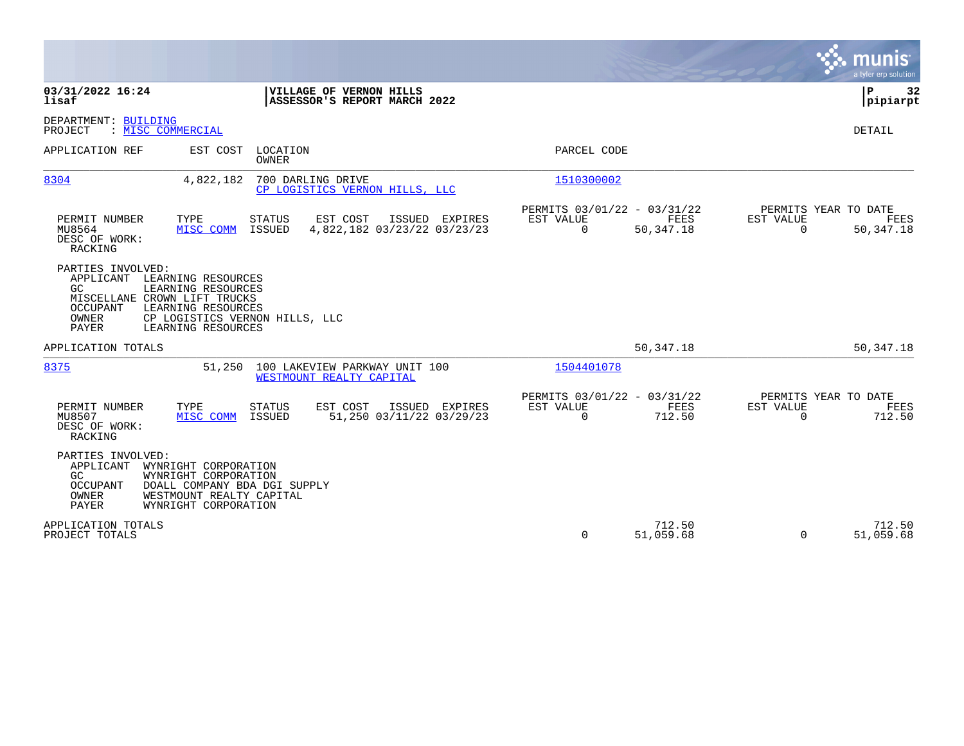|                                                                                                                                                                                                                            | <b>munis</b><br>a tyler erp solution                                                                                                                |
|----------------------------------------------------------------------------------------------------------------------------------------------------------------------------------------------------------------------------|-----------------------------------------------------------------------------------------------------------------------------------------------------|
| 03/31/2022 16:24<br>VILLAGE OF VERNON HILLS<br>lisaf<br>ASSESSOR'S REPORT MARCH 2022                                                                                                                                       | 32<br>ΙP<br> pipiarpt                                                                                                                               |
| DEPARTMENT: BUILDING<br>: MISC COMMERCIAL<br>PROJECT                                                                                                                                                                       | DETAIL                                                                                                                                              |
| APPLICATION REF<br>LOCATION<br>EST COST<br><b>OWNER</b>                                                                                                                                                                    | PARCEL CODE                                                                                                                                         |
| 8304<br>4,822,182<br>700 DARLING DRIVE<br>CP LOGISTICS VERNON HILLS, LLC                                                                                                                                                   | 1510300002                                                                                                                                          |
| PERMIT NUMBER<br>TYPE<br><b>STATUS</b><br>EST COST<br>ISSUED EXPIRES<br>4,822,182 03/23/22 03/23/23<br>MU8564<br>MISC COMM<br>ISSUED<br>DESC OF WORK:<br>RACKING                                                           | PERMITS 03/01/22 - 03/31/22<br>PERMITS YEAR TO DATE<br>EST VALUE<br>FEES<br>EST VALUE<br>FEES<br>$\Omega$<br>$\Omega$<br>50, 347. 18<br>50, 347. 18 |
| PARTIES INVOLVED:<br>APPLICANT LEARNING RESOURCES<br>GC.<br>LEARNING RESOURCES<br>MISCELLANE CROWN LIFT TRUCKS<br>LEARNING RESOURCES<br>OCCUPANT<br>OWNER<br>CP LOGISTICS VERNON HILLS, LLC<br>PAYER<br>LEARNING RESOURCES |                                                                                                                                                     |
| APPLICATION TOTALS                                                                                                                                                                                                         | 50, 347. 18<br>50,347.18                                                                                                                            |
| 8375<br>100 LAKEVIEW PARKWAY UNIT 100<br>51,250<br>WESTMOUNT REALTY CAPITAL                                                                                                                                                | 1504401078                                                                                                                                          |
| TYPE<br>PERMIT NUMBER<br><b>STATUS</b><br>EST COST<br>ISSUED EXPIRES<br>MU8507<br>51,250 03/11/22 03/29/23<br>MISC COMM<br>ISSUED<br>DESC OF WORK:<br>RACKING                                                              | PERMITS 03/01/22 - 03/31/22<br>PERMITS YEAR TO DATE<br>EST VALUE<br>FEES<br><b>EST VALUE</b><br>FEES<br>$\Omega$<br>712.50<br>$\Omega$<br>712.50    |
| PARTIES INVOLVED:<br>WYNRIGHT CORPORATION<br>APPLICANT<br>GC.<br>WYNRIGHT CORPORATION<br>OCCUPANT<br>DOALL COMPANY BDA DGI SUPPLY<br>OWNER<br>WESTMOUNT REALTY CAPITAL<br><b>PAYER</b><br>WYNRIGHT CORPORATION             |                                                                                                                                                     |
| APPLICATION TOTALS<br>PROJECT TOTALS                                                                                                                                                                                       | 712.50<br>712.50<br>51,059.68<br>0<br>51,059.68<br>$\Omega$                                                                                         |

**College**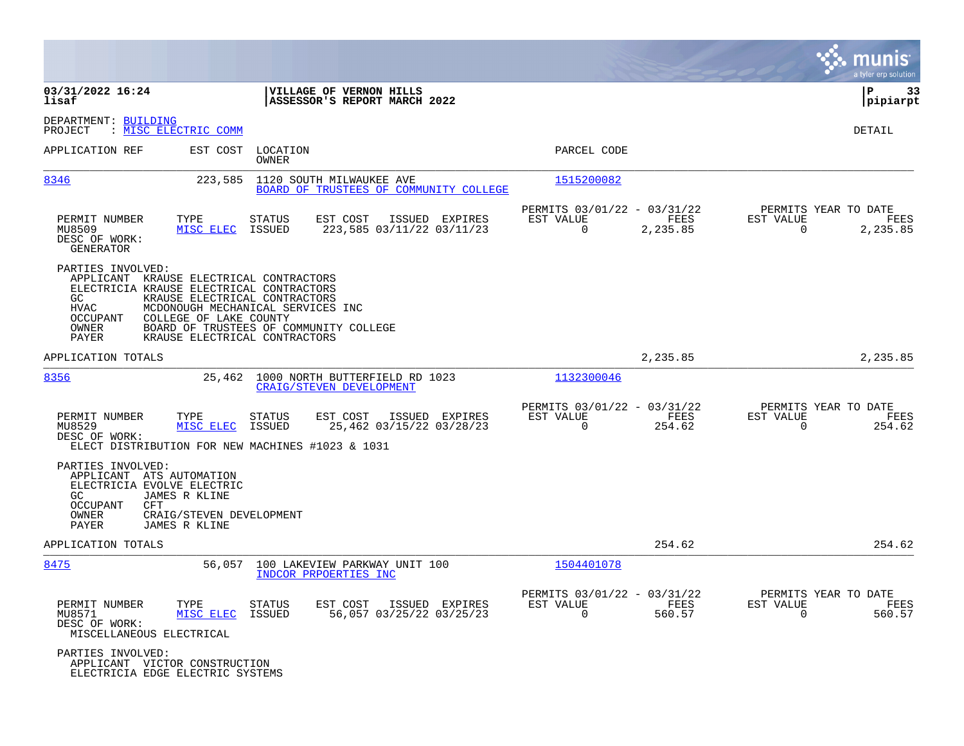|                                                                                                                                                                                                     |                                                                                                                                               |                                                                          | munis<br>a tyler erp solution                                        |
|-----------------------------------------------------------------------------------------------------------------------------------------------------------------------------------------------------|-----------------------------------------------------------------------------------------------------------------------------------------------|--------------------------------------------------------------------------|----------------------------------------------------------------------|
| 03/31/2022 16:24<br>lisaf                                                                                                                                                                           | VILLAGE OF VERNON HILLS<br>ASSESSOR'S REPORT MARCH 2022                                                                                       |                                                                          | l P<br>33<br> pipiarpt                                               |
| DEPARTMENT: BUILDING<br>: MISC ELECTRIC COMM<br>PROJECT                                                                                                                                             |                                                                                                                                               |                                                                          | <b>DETAIL</b>                                                        |
| APPLICATION REF                                                                                                                                                                                     | EST COST LOCATION<br>OWNER                                                                                                                    | PARCEL CODE                                                              |                                                                      |
| 8346<br>223,585                                                                                                                                                                                     | 1120 SOUTH MILWAUKEE AVE<br>BOARD OF TRUSTEES OF COMMUNITY COLLEGE                                                                            | 1515200082                                                               |                                                                      |
| PERMIT NUMBER<br>TYPE<br>MU8509<br>MISC ELEC<br>DESC OF WORK:<br>GENERATOR                                                                                                                          | <b>STATUS</b><br>EST COST<br>ISSUED EXPIRES<br>223,585 03/11/22 03/11/23<br>ISSUED                                                            | PERMITS 03/01/22 - 03/31/22<br>EST VALUE<br>FEES<br>$\Omega$<br>2,235.85 | PERMITS YEAR TO DATE<br>EST VALUE<br>FEES<br>$\mathbf 0$<br>2,235.85 |
| PARTIES INVOLVED:<br>APPLICANT KRAUSE ELECTRICAL CONTRACTORS<br>ELECTRICIA KRAUSE ELECTRICAL CONTRACTORS<br>GC.<br>HVAC<br>OCCUPANT<br>COLLEGE OF LAKE COUNTY<br>OWNER<br>PAYER                     | KRAUSE ELECTRICAL CONTRACTORS<br>MCDONOUGH MECHANICAL SERVICES INC<br>BOARD OF TRUSTEES OF COMMUNITY COLLEGE<br>KRAUSE ELECTRICAL CONTRACTORS |                                                                          |                                                                      |
| APPLICATION TOTALS                                                                                                                                                                                  |                                                                                                                                               | 2,235.85                                                                 | 2,235.85                                                             |
| 8356                                                                                                                                                                                                | 25,462<br>1000 NORTH BUTTERFIELD RD 1023<br><b>CRAIG/STEVEN DEVELOPMENT</b>                                                                   | 1132300046                                                               |                                                                      |
| PERMIT NUMBER<br>TYPE<br>MU8529<br>MISC ELEC<br>DESC OF WORK:                                                                                                                                       | STATUS<br>EST COST<br>ISSUED EXPIRES<br>25,462 03/15/22 03/28/23<br>ISSUED<br>ELECT DISTRIBUTION FOR NEW MACHINES #1023 & 1031                | PERMITS 03/01/22 - 03/31/22<br>EST VALUE<br>FEES<br>$\Omega$<br>254.62   | PERMITS YEAR TO DATE<br>EST VALUE<br>FEES<br>$\Omega$<br>254.62      |
| PARTIES INVOLVED:<br>APPLICANT ATS AUTOMATION<br>ELECTRICIA EVOLVE ELECTRIC<br>GC.<br>JAMES R KLINE<br><b>OCCUPANT</b><br>CFT<br>OWNER<br>CRAIG/STEVEN DEVELOPMENT<br><b>PAYER</b><br>JAMES R KLINE |                                                                                                                                               |                                                                          |                                                                      |
| APPLICATION TOTALS                                                                                                                                                                                  |                                                                                                                                               | 254.62                                                                   | 254.62                                                               |
| 8475                                                                                                                                                                                                | 56,057<br>100 LAKEVIEW PARKWAY UNIT 100<br>INDCOR PRPOERTIES INC                                                                              | 1504401078                                                               |                                                                      |
| PERMIT NUMBER<br>TYPE<br>MU8571<br>MISC ELEC<br>DESC OF WORK:<br>MISCELLANEOUS ELECTRICAL                                                                                                           | <b>STATUS</b><br>EST COST<br>ISSUED EXPIRES<br>56,057 03/25/22 03/25/23<br>ISSUED                                                             | PERMITS 03/01/22 - 03/31/22<br>EST VALUE<br>FEES<br>$\Omega$<br>560.57   | PERMITS YEAR TO DATE<br>EST VALUE<br>FEES<br>0<br>560.57             |
| PARTIES INVOLVED:<br>APPLICANT VICTOR CONSTRUCTION<br>ELECTRICIA EDGE ELECTRIC SYSTEMS                                                                                                              |                                                                                                                                               |                                                                          |                                                                      |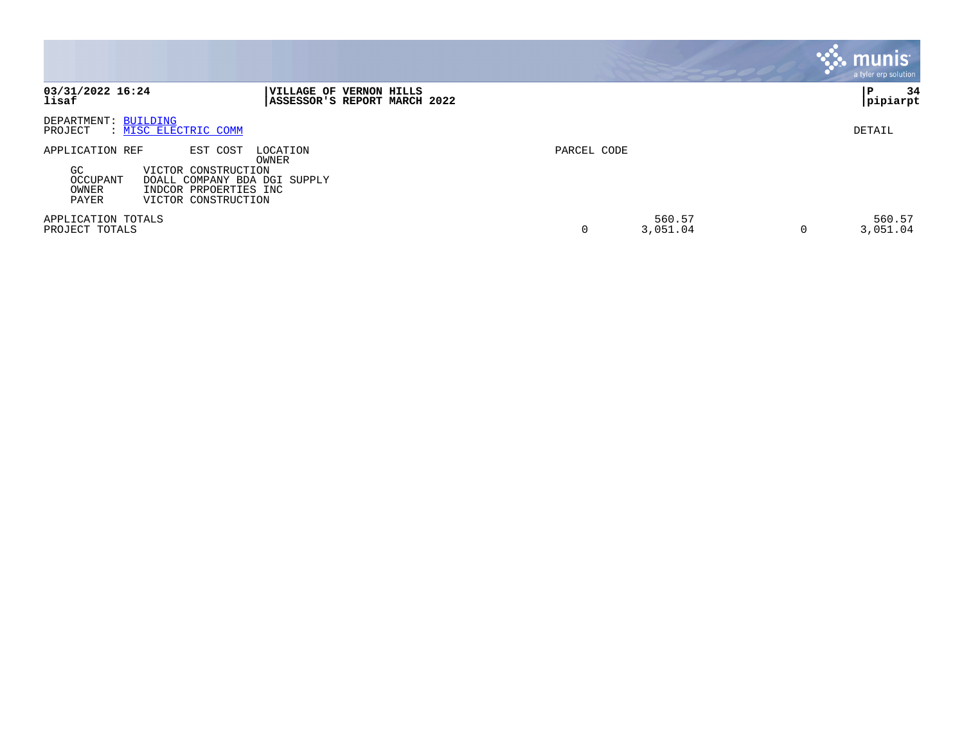|                                                            |                                                                                                                                      |             |                    | munis<br>a tyler erp solution |
|------------------------------------------------------------|--------------------------------------------------------------------------------------------------------------------------------------|-------------|--------------------|-------------------------------|
| 03/31/2022 16:24<br>lisaf                                  | <b>VILLAGE OF VERNON HILLS</b><br>ASSESSOR'S REPORT MARCH 2022                                                                       |             |                    | 34<br>P<br>pipiarpt           |
| DEPARTMENT: BUILDING<br>PROJECT                            | : MISC ELECTRIC COMM                                                                                                                 |             |                    | DETAIL                        |
| APPLICATION REF<br><b>GC</b><br>OCCUPANT<br>OWNER<br>PAYER | EST COST<br>LOCATION<br>OWNER<br>VICTOR CONSTRUCTION<br>DOALL COMPANY BDA DGI SUPPLY<br>INDCOR PRPOERTIES INC<br>VICTOR CONSTRUCTION | PARCEL CODE |                    |                               |
| APPLICATION TOTALS<br>PROJECT TOTALS                       |                                                                                                                                      | 0           | 560.57<br>3,051.04 | 560.57<br>3,051.04            |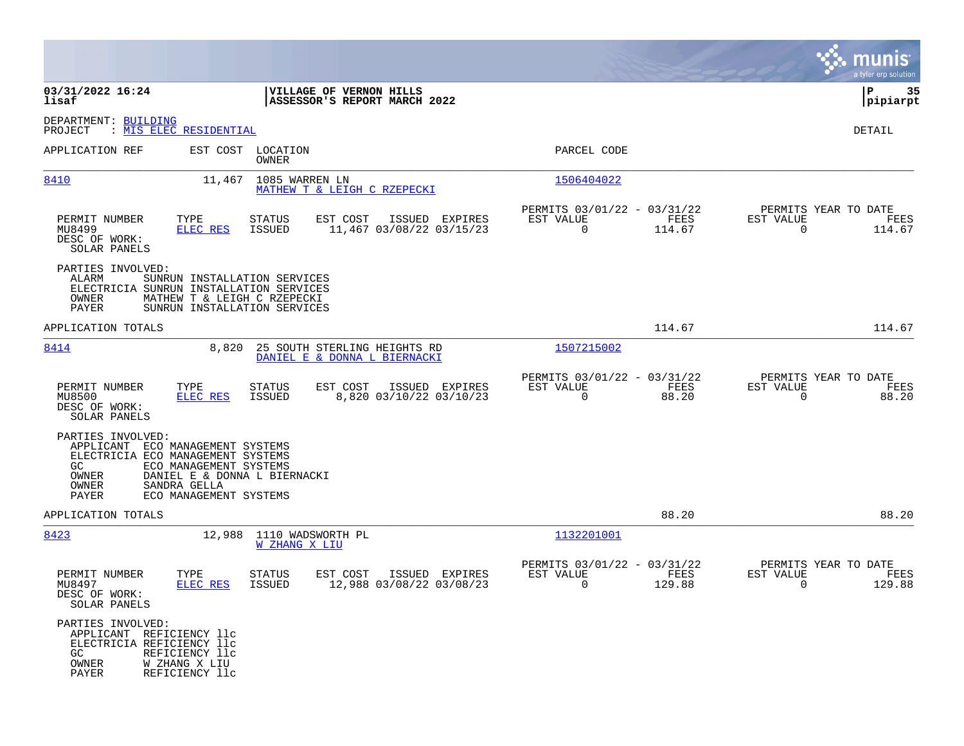|                                                                                                                                                                                                  |                                                                                             |                                                                                  | munis<br>a tyler erp solution                                     |
|--------------------------------------------------------------------------------------------------------------------------------------------------------------------------------------------------|---------------------------------------------------------------------------------------------|----------------------------------------------------------------------------------|-------------------------------------------------------------------|
| 03/31/2022 16:24<br>lisaf                                                                                                                                                                        | VILLAGE OF VERNON HILLS<br>ASSESSOR'S REPORT MARCH 2022                                     |                                                                                  | ΙP<br>35<br> pipiarpt                                             |
| DEPARTMENT: BUILDING<br>PROJECT<br>: MIS ELEC RESIDENTIAL                                                                                                                                        |                                                                                             |                                                                                  | DETAIL                                                            |
| APPLICATION REF                                                                                                                                                                                  | EST COST LOCATION<br><b>OWNER</b>                                                           | PARCEL CODE                                                                      |                                                                   |
| 8410                                                                                                                                                                                             | 11,467<br>1085 WARREN LN<br>MATHEW T & LEIGH C RZEPECKI                                     | 1506404022                                                                       |                                                                   |
| PERMIT NUMBER<br>TYPE<br>MU8499<br>ELEC RES<br>DESC OF WORK:<br>SOLAR PANELS                                                                                                                     | STATUS<br>EST COST<br>ISSUED EXPIRES<br>ISSUED<br>11,467 03/08/22 03/15/23                  | PERMITS 03/01/22 - 03/31/22<br>EST VALUE<br>FEES<br>$\mathbf 0$<br>114.67        | PERMITS YEAR TO DATE<br>EST VALUE<br>FEES<br>$\Omega$<br>114.67   |
| PARTIES INVOLVED:<br>ALARM<br>ELECTRICIA SUNRUN INSTALLATION SERVICES<br>OWNER<br><b>PAYER</b>                                                                                                   | SUNRUN INSTALLATION SERVICES<br>MATHEW T & LEIGH C RZEPECKI<br>SUNRUN INSTALLATION SERVICES |                                                                                  |                                                                   |
| APPLICATION TOTALS                                                                                                                                                                               |                                                                                             | 114.67                                                                           | 114.67                                                            |
| 8414                                                                                                                                                                                             | 25 SOUTH STERLING HEIGHTS RD<br>8,820<br>DANIEL E & DONNA L BIERNACKI                       | 1507215002                                                                       |                                                                   |
| PERMIT NUMBER<br>TYPE<br>MU8500<br>ELEC RES<br>DESC OF WORK:<br>SOLAR PANELS                                                                                                                     | EST COST<br>STATUS<br>ISSUED EXPIRES<br>ISSUED<br>8,820 03/10/22 03/10/23                   | PERMITS 03/01/22 - 03/31/22<br>EST VALUE<br>FEES<br>$\mathbf 0$<br>88.20         | PERMITS YEAR TO DATE<br>EST VALUE<br>FEES<br>$\mathbf 0$<br>88.20 |
| PARTIES INVOLVED:<br>APPLICANT ECO MANAGEMENT SYSTEMS<br>ELECTRICIA ECO MANAGEMENT SYSTEMS<br>GC.<br>ECO MANAGEMENT SYSTEMS<br>OWNER<br>OWNER<br>SANDRA GELLA<br>PAYER<br>ECO MANAGEMENT SYSTEMS | DANIEL E & DONNA L BIERNACKI                                                                |                                                                                  |                                                                   |
| APPLICATION TOTALS                                                                                                                                                                               |                                                                                             | 88.20                                                                            | 88.20                                                             |
| 8423                                                                                                                                                                                             | 12,988 1110 WADSWORTH PL<br><b>W ZHANG X LIU</b>                                            | 1132201001                                                                       |                                                                   |
| PERMIT NUMBER<br>TYPE<br>MU8497<br>ELEC RES<br>DESC OF WORK:<br>SOLAR PANELS                                                                                                                     | STATUS<br>EST COST<br>ISSUED EXPIRES<br>12,988 03/08/22 03/08/23<br><b>ISSUED</b>           | PERMITS 03/01/22 - 03/31/22<br>EST VALUE<br><b>FEES</b><br>$\mathbf 0$<br>129.88 | PERMITS YEAR TO DATE<br>EST VALUE<br>FEES<br>0<br>129.88          |
| PARTIES INVOLVED:<br>APPLICANT REFICIENCY llc<br>ELECTRICIA REFICIENCY llc<br>REFICIENCY 11c<br>GC<br>OWNER<br>W ZHANG X LIU<br>PAYER<br>REFICIENCY 11c                                          |                                                                                             |                                                                                  |                                                                   |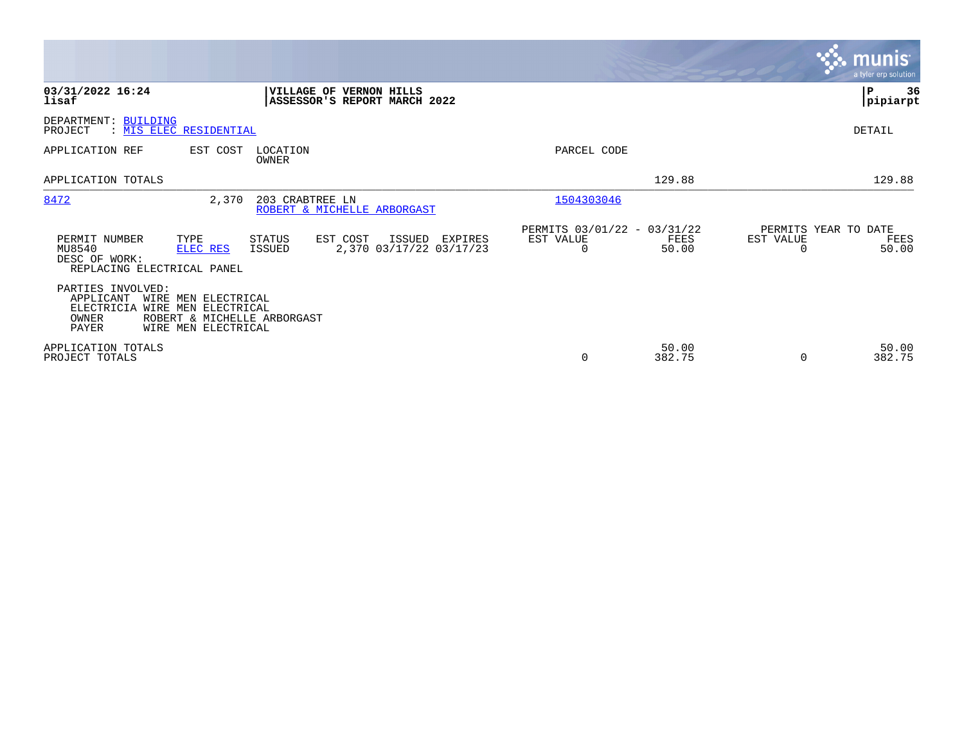|                                                                                                                                                                                          |                                                                       | munis<br>a tyler erp solution                      |
|------------------------------------------------------------------------------------------------------------------------------------------------------------------------------------------|-----------------------------------------------------------------------|----------------------------------------------------|
| 03/31/2022 16:24<br>VILLAGE OF VERNON HILLS<br>lisaf<br>ASSESSOR'S REPORT MARCH 2022                                                                                                     |                                                                       | ∣P<br>36<br> pipiarpt                              |
| DEPARTMENT: BUILDING<br>: MIS ELEC RESIDENTIAL<br>PROJECT                                                                                                                                |                                                                       | DETAIL                                             |
| APPLICATION REF<br>EST COST<br>LOCATION<br><b>OWNER</b>                                                                                                                                  | PARCEL CODE                                                           |                                                    |
| APPLICATION TOTALS                                                                                                                                                                       | 129.88                                                                | 129.88                                             |
| 8472<br>2,370<br>203 CRABTREE LN<br>ROBERT & MICHELLE ARBORGAST                                                                                                                          | 1504303046                                                            |                                                    |
| PERMIT NUMBER<br>EST COST<br>TYPE<br><b>STATUS</b><br>ISSUED<br>EXPIRES<br>2,370 03/17/22 03/17/23<br>MU8540<br><b>ISSUED</b><br>ELEC RES<br>DESC OF WORK:<br>REPLACING ELECTRICAL PANEL | PERMITS 03/01/22 - 03/31/22<br>EST VALUE<br>FEES<br>50.00<br>$\Omega$ | PERMITS YEAR TO DATE<br>EST VALUE<br>FEES<br>50.00 |
| PARTIES INVOLVED:<br>APPLICANT<br>WIRE MEN ELECTRICAL<br>ELECTRICIA WIRE MEN ELECTRICAL<br>OWNER<br>ROBERT & MICHELLE ARBORGAST<br><b>PAYER</b><br>WIRE MEN ELECTRICAL                   |                                                                       |                                                    |
| APPLICATION TOTALS<br>PROJECT TOTALS                                                                                                                                                     | 50.00<br>382.75<br>0                                                  | 50.00<br>382.75<br>$\Omega$                        |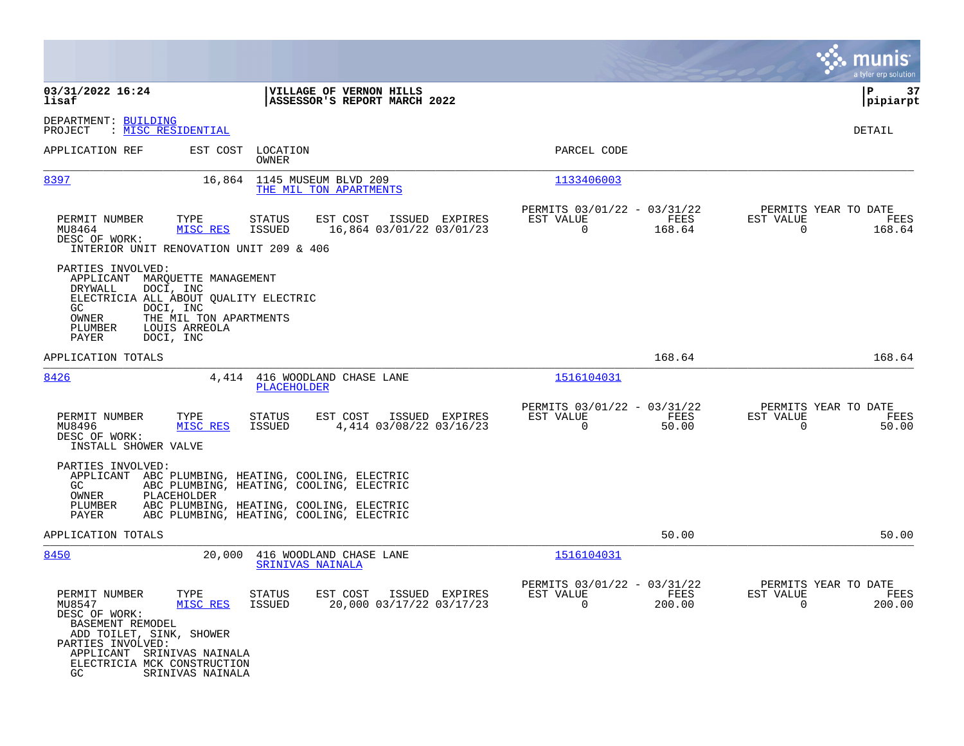|                                                                                                                                                                                                                               |                                                                                                                                                                              |                                                                          | munis<br>a tyler erp solution                                     |
|-------------------------------------------------------------------------------------------------------------------------------------------------------------------------------------------------------------------------------|------------------------------------------------------------------------------------------------------------------------------------------------------------------------------|--------------------------------------------------------------------------|-------------------------------------------------------------------|
| 03/31/2022 16:24<br>lisaf                                                                                                                                                                                                     | VILLAGE OF VERNON HILLS<br>ASSESSOR'S REPORT MARCH 2022                                                                                                                      |                                                                          | ∣P<br>37<br>pipiarpt                                              |
| DEPARTMENT: BUILDING<br>: <u>MISC RESIDENTIAL</u><br>PROJECT                                                                                                                                                                  |                                                                                                                                                                              |                                                                          | DETAIL                                                            |
| APPLICATION REF<br>EST COST                                                                                                                                                                                                   | LOCATION<br>OWNER                                                                                                                                                            | PARCEL CODE                                                              |                                                                   |
| 8397<br>16,864                                                                                                                                                                                                                | 1145 MUSEUM BLVD 209<br>THE MIL TON APARTMENTS                                                                                                                               | 1133406003                                                               |                                                                   |
| PERMIT NUMBER<br>TYPE<br>MU8464<br>MISC RES<br>DESC OF WORK:<br>INTERIOR UNIT RENOVATION UNIT 209 & 406                                                                                                                       | <b>STATUS</b><br>EST COST<br>ISSUED EXPIRES<br><b>ISSUED</b><br>16,864 03/01/22 03/01/23                                                                                     | PERMITS 03/01/22 - 03/31/22<br>EST VALUE<br>FEES<br>$\Omega$<br>168.64   | PERMITS YEAR TO DATE<br>EST VALUE<br>FEES<br>$\Omega$<br>168.64   |
| PARTIES INVOLVED:<br>APPLICANT MARQUETTE MANAGEMENT<br>DOCI, INC<br>DRYWALL<br>ELECTRICIA ALL ABOUT QUALITY ELECTRIC<br>DOCI, INC<br>GC.<br>THE MIL TON APARTMENTS<br>OWNER<br>PLUMBER<br>LOUIS ARREOLA<br>PAYER<br>DOCI, INC |                                                                                                                                                                              |                                                                          |                                                                   |
| APPLICATION TOTALS                                                                                                                                                                                                            |                                                                                                                                                                              | 168.64                                                                   | 168.64                                                            |
| 8426                                                                                                                                                                                                                          | 4,414 416 WOODLAND CHASE LANE<br>PLACEHOLDER                                                                                                                                 | 1516104031                                                               |                                                                   |
| PERMIT NUMBER<br>TYPE<br>MISC RES<br>MU8496<br>DESC OF WORK:<br>INSTALL SHOWER VALVE                                                                                                                                          | <b>STATUS</b><br>EST COST<br>ISSUED EXPIRES<br><b>ISSUED</b><br>4,414 03/08/22 03/16/23                                                                                      | PERMITS 03/01/22 - 03/31/22<br>EST VALUE<br>FEES<br>$\mathbf 0$<br>50.00 | PERMITS YEAR TO DATE<br>EST VALUE<br>FEES<br>$\mathbf 0$<br>50.00 |
| PARTIES INVOLVED:<br>APPLICANT<br>GC.<br><b>OWNER</b><br>PLACEHOLDER<br>PLUMBER<br>PAYER                                                                                                                                      | ABC PLUMBING, HEATING, COOLING, ELECTRIC<br>ABC PLUMBING, HEATING, COOLING, ELECTRIC<br>ABC PLUMBING, HEATING, COOLING, ELECTRIC<br>ABC PLUMBING, HEATING, COOLING, ELECTRIC |                                                                          |                                                                   |
| APPLICATION TOTALS                                                                                                                                                                                                            |                                                                                                                                                                              | 50.00                                                                    | 50.00                                                             |
| 8450<br>20,000                                                                                                                                                                                                                | 416 WOODLAND CHASE LANE<br>SRINIVAS NAINALA                                                                                                                                  | 1516104031                                                               |                                                                   |
| PERMIT NUMBER<br>TYPE<br>MU8547<br>MISC RES<br>DESC OF WORK:<br>BASEMENT REMODEL<br>ADD TOILET, SINK, SHOWER<br>PARTIES INVOLVED:<br>APPLICANT SRINIVAS NAINALA<br>ELECTRICIA MCK CONSTRUCTION<br>GC.<br>SRINIVAS NAINALA     | STATUS<br>EST COST<br>ISSUED EXPIRES<br>ISSUED<br>20,000 03/17/22 03/17/23                                                                                                   | PERMITS 03/01/22 - 03/31/22<br>EST VALUE<br>FEES<br>0<br>200.00          | PERMITS YEAR TO DATE<br>EST VALUE<br>FEES<br>200.00<br>0          |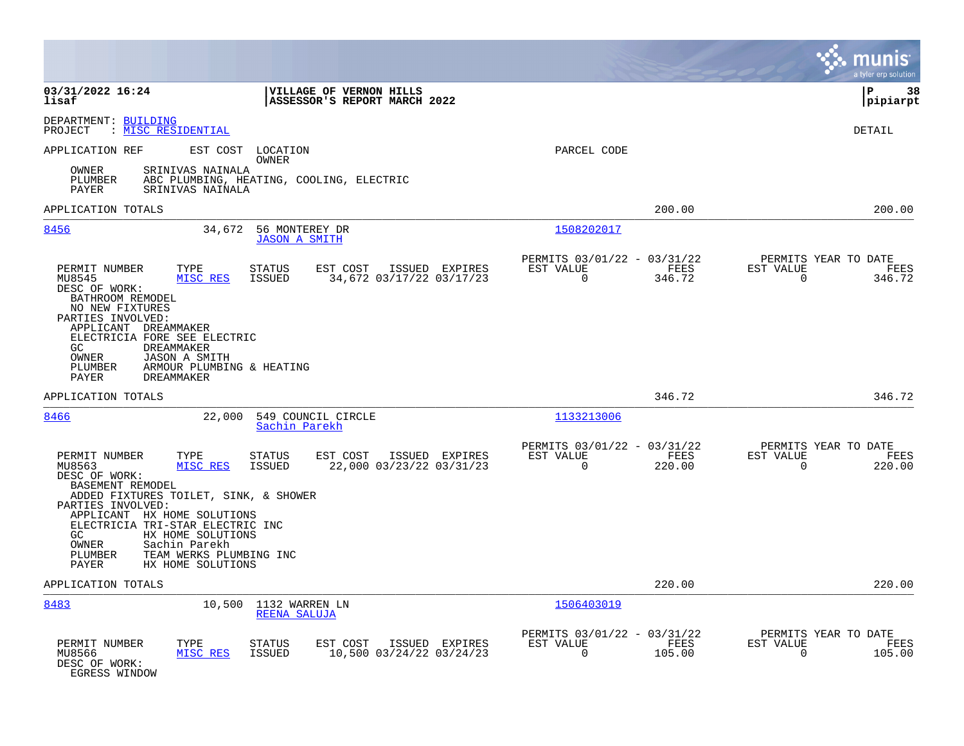|                                                                                                                                                                                                       |                                                                                   |                                                                        | a tyler erp solution                                            |
|-------------------------------------------------------------------------------------------------------------------------------------------------------------------------------------------------------|-----------------------------------------------------------------------------------|------------------------------------------------------------------------|-----------------------------------------------------------------|
| 03/31/2022 16:24<br>lisaf                                                                                                                                                                             | VILLAGE OF VERNON HILLS<br>ASSESSOR'S REPORT MARCH 2022                           |                                                                        | ΙP<br>38<br> pipiarpt                                           |
| DEPARTMENT: BUILDING<br>: <u>MISC RESIDENTIAL</u><br>PROJECT                                                                                                                                          |                                                                                   |                                                                        | DETAIL                                                          |
| APPLICATION REF<br>EST COST LOCATION                                                                                                                                                                  | OWNER                                                                             | PARCEL CODE                                                            |                                                                 |
| SRINIVAS NAINALA<br>OWNER<br>PLUMBER<br>SRINIVAS NAINALA<br>PAYER                                                                                                                                     | ABC PLUMBING, HEATING, COOLING, ELECTRIC                                          |                                                                        |                                                                 |
| APPLICATION TOTALS                                                                                                                                                                                    |                                                                                   | 200.00                                                                 | 200.00                                                          |
| 8456<br>34,672                                                                                                                                                                                        | 56 MONTEREY DR<br><b>JASON A SMITH</b>                                            | 1508202017                                                             |                                                                 |
| PERMIT NUMBER<br>TYPE<br>MU8545<br>MISC RES<br>DESC OF WORK:<br>BATHROOM REMODEL<br>NO NEW FIXTURES                                                                                                   | ISSUED EXPIRES<br><b>STATUS</b><br>EST COST<br>ISSUED<br>34,672 03/17/22 03/17/23 | PERMITS 03/01/22 - 03/31/22<br>EST VALUE<br>FEES<br>$\Omega$<br>346.72 | PERMITS YEAR TO DATE<br>EST VALUE<br>FEES<br>$\Omega$<br>346.72 |
| PARTIES INVOLVED:<br>APPLICANT DREAMMAKER<br>ELECTRICIA FORE SEE ELECTRIC<br>GC.<br><b>DREAMMAKER</b><br>OWNER<br><b>JASON A SMITH</b><br>ARMOUR PLUMBING & HEATING<br>PLUMBER<br>PAYER<br>DREAMMAKER |                                                                                   |                                                                        |                                                                 |
| APPLICATION TOTALS                                                                                                                                                                                    |                                                                                   | 346.72                                                                 | 346.72                                                          |
| 8466<br>22,000                                                                                                                                                                                        | 549 COUNCIL CIRCLE<br>Sachin Parekh                                               | 1133213006                                                             |                                                                 |
| PERMIT NUMBER<br>TYPE<br>MU8563<br>MISC RES<br>DESC OF WORK:<br>BASEMENT REMODEL<br>ADDED FIXTURES TOILET, SINK, & SHOWER<br>PARTIES INVOLVED:                                                        | <b>STATUS</b><br>EST COST<br>ISSUED EXPIRES<br>22,000 03/23/22 03/31/23<br>ISSUED | PERMITS 03/01/22 - 03/31/22<br>EST VALUE<br>FEES<br>$\Omega$<br>220.00 | PERMITS YEAR TO DATE<br>EST VALUE<br>FEES<br>$\Omega$<br>220.00 |
| APPLICANT HX HOME SOLUTIONS<br>ELECTRICIA TRI-STAR ELECTRIC INC<br>HX HOME SOLUTIONS<br>GC<br>OWNER<br>Sachin Parekh<br>PLUMBER<br>TEAM WERKS PLUMBING INC<br>HX HOME SOLUTIONS<br>PAYER              |                                                                                   |                                                                        |                                                                 |
| APPLICATION TOTALS                                                                                                                                                                                    |                                                                                   | 220.00                                                                 | 220.00                                                          |
| 8483                                                                                                                                                                                                  | 10,500 1132 WARREN LN<br>REENA SALUJA                                             | 1506403019                                                             |                                                                 |
| PERMIT NUMBER<br>TYPE<br>MU8566<br>MISC RES<br>DESC OF WORK:<br>EGRESS WINDOW                                                                                                                         | <b>STATUS</b><br>EST COST<br>ISSUED EXPIRES<br>10,500 03/24/22 03/24/23<br>ISSUED | PERMITS 03/01/22 - 03/31/22<br>EST VALUE<br>FEES<br>0<br>105.00        | PERMITS YEAR TO DATE<br>EST VALUE<br>FEES<br>105.00<br>0        |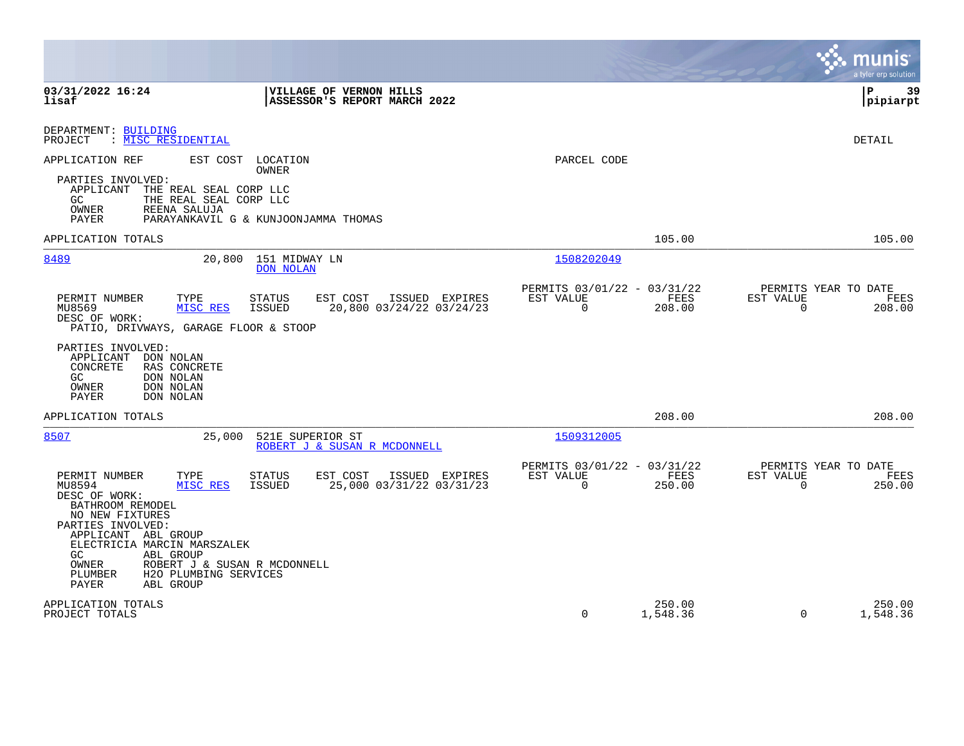|                                                                                                                                                                                                                                                                                                                                               |                                                                           | munis<br>a tyler erp solution                                      |
|-----------------------------------------------------------------------------------------------------------------------------------------------------------------------------------------------------------------------------------------------------------------------------------------------------------------------------------------------|---------------------------------------------------------------------------|--------------------------------------------------------------------|
| 03/31/2022 16:24<br><b>VILLAGE OF VERNON HILLS</b><br>lisaf<br>ASSESSOR'S REPORT MARCH 2022                                                                                                                                                                                                                                                   |                                                                           | 39<br>l P<br> pipiarpt                                             |
| DEPARTMENT: BUILDING<br>: MISC RESIDENTIAL<br>PROJECT                                                                                                                                                                                                                                                                                         |                                                                           | <b>DETAIL</b>                                                      |
| APPLICATION REF<br>EST COST LOCATION<br>OWNER<br>PARTIES INVOLVED:<br>THE REAL SEAL CORP LLC<br>APPLICANT<br>GC<br>THE REAL SEAL CORP LLC<br><b>OWNER</b><br>REENA SALUJA<br>PARAYANKAVIL G & KUNJOONJAMMA THOMAS<br>PAYER                                                                                                                    | PARCEL CODE                                                               |                                                                    |
| APPLICATION TOTALS                                                                                                                                                                                                                                                                                                                            | 105.00                                                                    | 105.00                                                             |
| 8489<br>20,800<br>151 MIDWAY LN<br><b>DON NOLAN</b>                                                                                                                                                                                                                                                                                           | 1508202049                                                                |                                                                    |
| TYPE<br><b>STATUS</b><br>EST COST<br>ISSUED EXPIRES<br>PERMIT NUMBER<br>MU8569<br>MISC RES<br><b>ISSUED</b><br>20,800 03/24/22 03/24/23<br>DESC OF WORK:<br>PATIO, DRIVWAYS, GARAGE FLOOR & STOOP                                                                                                                                             | PERMITS 03/01/22 - 03/31/22<br>FEES<br>EST VALUE<br>$\mathbf 0$<br>208.00 | PERMITS YEAR TO DATE<br>EST VALUE<br>FEES<br>$\mathbf 0$<br>208.00 |
| PARTIES INVOLVED:<br>APPLICANT<br>DON NOLAN<br>CONCRETE<br>RAS CONCRETE<br>GC<br>DON NOLAN<br>DON NOLAN<br>OWNER<br>PAYER<br>DON NOLAN                                                                                                                                                                                                        |                                                                           |                                                                    |
| APPLICATION TOTALS                                                                                                                                                                                                                                                                                                                            | 208.00                                                                    | 208.00                                                             |
| 8507<br>25,000<br>521E SUPERIOR ST<br>ROBERT J & SUSAN R MCDONNELL                                                                                                                                                                                                                                                                            | 1509312005                                                                |                                                                    |
| TYPE<br>PERMIT NUMBER<br><b>STATUS</b><br>EST COST<br>ISSUED EXPIRES<br>MU8594<br><b>ISSUED</b><br>25,000 03/31/22 03/31/23<br>MISC RES<br>DESC OF WORK:<br>BATHROOM REMODEL<br>NO NEW FIXTURES<br>PARTIES INVOLVED:<br>APPLICANT ABL GROUP<br>ELECTRICIA MARCIN MARSZALEK<br>GC<br><b>ABL GROUP</b><br>OWNER<br>ROBERT J & SUSAN R MCDONNELL | PERMITS 03/01/22 - 03/31/22<br>EST VALUE<br>FEES<br>0<br>250.00           | PERMITS YEAR TO DATE<br>EST VALUE<br>FEES<br>$\mathbf 0$<br>250.00 |
| PLUMBER<br>H2O PLUMBING SERVICES<br>PAYER<br><b>ABL GROUP</b>                                                                                                                                                                                                                                                                                 |                                                                           |                                                                    |
| APPLICATION TOTALS<br>PROJECT TOTALS                                                                                                                                                                                                                                                                                                          | 250.00<br>$\Omega$<br>1,548.36                                            | 250.00<br>$\Omega$<br>1,548.36                                     |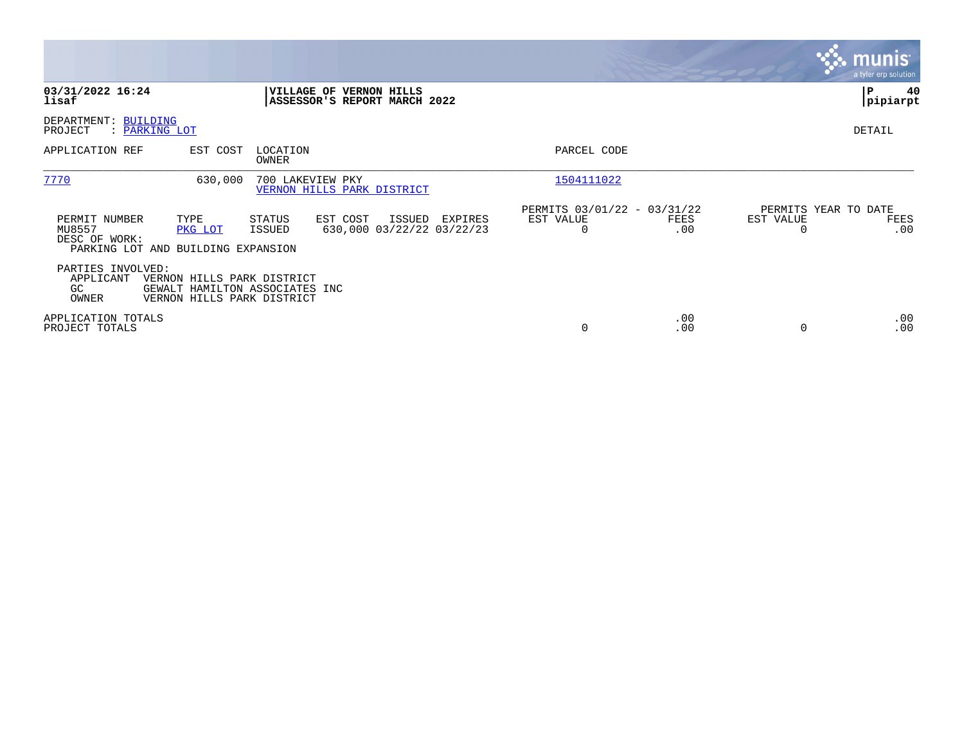|                                                                                |                                                                                            |                                                                |        |                                      |                                               |             |           | <b>munis</b><br>a tyler erp solution |
|--------------------------------------------------------------------------------|--------------------------------------------------------------------------------------------|----------------------------------------------------------------|--------|--------------------------------------|-----------------------------------------------|-------------|-----------|--------------------------------------|
| 03/31/2022 16:24<br>lisaf                                                      |                                                                                            | <b>VILLAGE OF VERNON HILLS</b><br>ASSESSOR'S REPORT MARCH 2022 |        |                                      |                                               |             |           | ∣P<br>40<br> pipiarpt                |
| DEPARTMENT: BUILDING<br>PROJECT<br>: PARKING LOT                               |                                                                                            |                                                                |        |                                      |                                               |             |           | DETAIL                               |
| APPLICATION REF                                                                | EST COST                                                                                   | LOCATION<br>OWNER                                              |        |                                      | PARCEL CODE                                   |             |           |                                      |
| 7770                                                                           | 630,000                                                                                    | 700 LAKEVIEW PKY<br>VERNON HILLS PARK DISTRICT                 |        |                                      | 1504111022                                    |             |           |                                      |
| PERMIT NUMBER<br>MU8557<br>DESC OF WORK:<br>PARKING LOT AND BUILDING EXPANSION | TYPE<br>PKG LOT                                                                            | EST COST<br><b>STATUS</b><br>ISSUED                            | ISSUED | EXPIRES<br>630,000 03/22/22 03/22/23 | PERMITS 03/01/22 - 03/31/22<br>EST VALUE<br>0 | FEES<br>.00 | EST VALUE | PERMITS YEAR TO DATE<br>FEES<br>.00  |
| PARTIES INVOLVED:<br>APPLICANT<br>GC<br>OWNER                                  | VERNON HILLS PARK DISTRICT<br>GEWALT HAMILTON ASSOCIATES INC<br>VERNON HILLS PARK DISTRICT |                                                                |        |                                      |                                               |             |           |                                      |
| APPLICATION TOTALS<br>PROJECT TOTALS                                           |                                                                                            |                                                                |        |                                      | 0                                             | .00<br>.00  |           | .00<br>.00                           |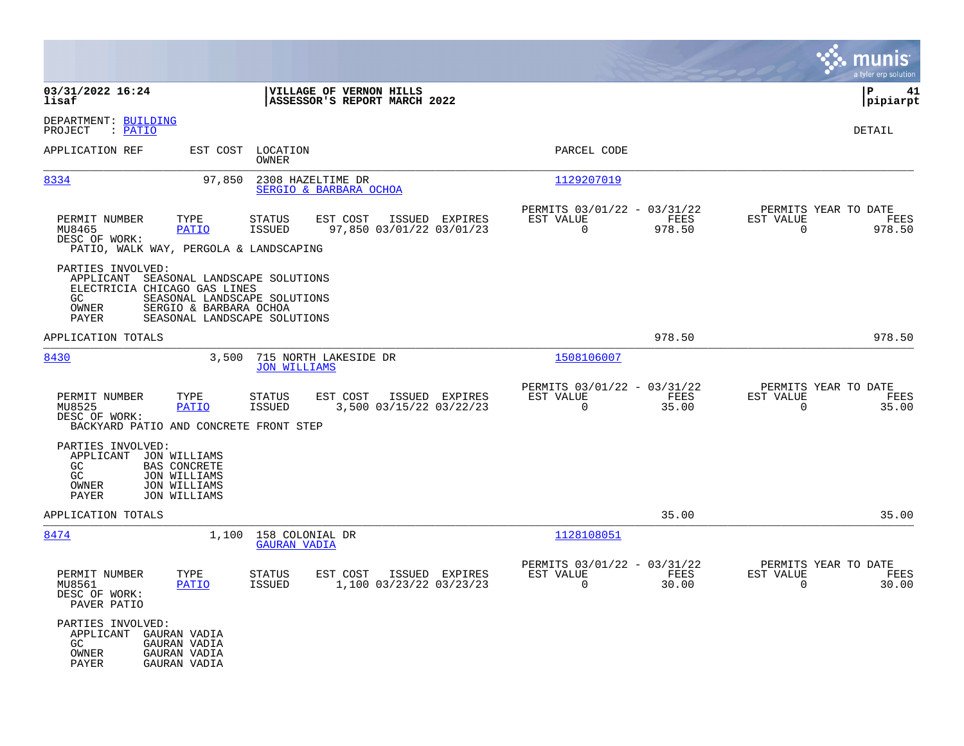|                                                                                         |                                                                                            |                                                                                              |                                                         |                |                                                         |                |                                                  | munis<br>a tyler erp solution |
|-----------------------------------------------------------------------------------------|--------------------------------------------------------------------------------------------|----------------------------------------------------------------------------------------------|---------------------------------------------------------|----------------|---------------------------------------------------------|----------------|--------------------------------------------------|-------------------------------|
| 03/31/2022 16:24<br>lisaf                                                               |                                                                                            |                                                                                              | VILLAGE OF VERNON HILLS<br>ASSESSOR'S REPORT MARCH 2022 |                |                                                         |                |                                                  | P<br>41<br> pipiarpt          |
| DEPARTMENT: BUILDING<br>: <u>PATIO</u><br>PROJECT                                       |                                                                                            |                                                                                              |                                                         |                |                                                         |                |                                                  | DETAIL                        |
| APPLICATION REF                                                                         |                                                                                            | EST COST LOCATION<br>OWNER                                                                   |                                                         |                | PARCEL CODE                                             |                |                                                  |                               |
| 8334                                                                                    | 97,850                                                                                     | 2308 HAZELTIME DR                                                                            | SERGIO & BARBARA OCHOA                                  |                | 1129207019                                              |                |                                                  |                               |
| PERMIT NUMBER<br>MU8465<br>DESC OF WORK:<br>PATIO, WALK WAY, PERGOLA & LANDSCAPING      | TYPE<br>PATIO                                                                              | <b>STATUS</b><br><b>ISSUED</b>                                                               | EST COST<br>97,850 03/01/22 03/01/23                    | ISSUED EXPIRES | PERMITS 03/01/22 - 03/31/22<br>EST VALUE<br>$\Omega$    | FEES<br>978.50 | PERMITS YEAR TO DATE<br>EST VALUE<br>$\Omega$    | FEES<br>978.50                |
| PARTIES INVOLVED:<br>APPLICANT<br>ELECTRICIA CHICAGO GAS LINES<br>GC.<br>OWNER<br>PAYER | SERGIO & BARBARA OCHOA                                                                     | SEASONAL LANDSCAPE SOLUTIONS<br>SEASONAL LANDSCAPE SOLUTIONS<br>SEASONAL LANDSCAPE SOLUTIONS |                                                         |                |                                                         |                |                                                  |                               |
| APPLICATION TOTALS                                                                      |                                                                                            |                                                                                              |                                                         |                |                                                         | 978.50         |                                                  | 978.50                        |
| 8430                                                                                    | 3,500                                                                                      | <b>JON WILLIAMS</b>                                                                          | 715 NORTH LAKESIDE DR                                   |                | 1508106007                                              |                |                                                  |                               |
| PERMIT NUMBER<br>MU8525<br>DESC OF WORK:<br>BACKYARD PATIO AND CONCRETE FRONT STEP      | TYPE<br>PATIO                                                                              | STATUS<br><b>ISSUED</b>                                                                      | EST COST<br>3,500 03/15/22 03/22/23                     | ISSUED EXPIRES | PERMITS 03/01/22 - 03/31/22<br>EST VALUE<br>$\Omega$    | FEES<br>35.00  | PERMITS YEAR TO DATE<br>EST VALUE<br>$\mathbf 0$ | FEES<br>35.00                 |
| PARTIES INVOLVED:<br>APPLICANT<br>GC<br>GC<br>OWNER<br>PAYER                            | JON WILLIAMS<br><b>BAS CONCRETE</b><br><b>JON WILLIAMS</b><br>JON WILLIAMS<br>JON WILLIAMS |                                                                                              |                                                         |                |                                                         |                |                                                  |                               |
| APPLICATION TOTALS                                                                      |                                                                                            |                                                                                              |                                                         |                |                                                         | 35.00          |                                                  | 35.00                         |
| 8474                                                                                    |                                                                                            | 1,100 158 COLONIAL DR<br><b>GAURAN VADIA</b>                                                 |                                                         |                | 1128108051                                              |                |                                                  |                               |
| PERMIT NUMBER<br>MU8561<br>DESC OF WORK:<br>PAVER PATIO                                 | TYPE<br>PATIO                                                                              | <b>STATUS</b><br>ISSUED                                                                      | EST COST<br>1,100 03/23/22 03/23/23                     | ISSUED EXPIRES | PERMITS 03/01/22 - 03/31/22<br>EST VALUE<br>$\mathbf 0$ | FEES<br>30.00  | PERMITS YEAR TO DATE<br>EST VALUE<br>$\mathbf 0$ | FEES<br>30.00                 |
| PARTIES INVOLVED:<br>APPLICANT<br>GC.<br>OWNER<br>PAYER                                 | GAURAN VADIA<br>GAURAN VADIA<br>GAURAN VADIA<br>GAURAN VADIA                               |                                                                                              |                                                         |                |                                                         |                |                                                  |                               |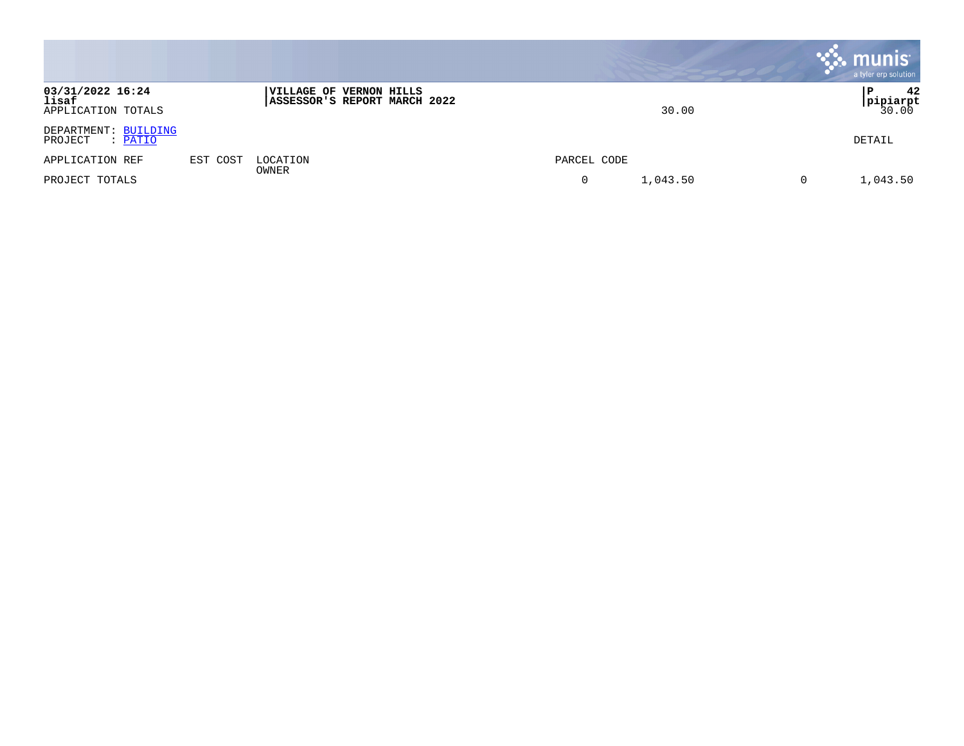|                                                 |          |                                                         |               | <b>munis</b><br>a tyler erp solution |
|-------------------------------------------------|----------|---------------------------------------------------------|---------------|--------------------------------------|
| 03/31/2022 16:24<br>lisaf<br>APPLICATION TOTALS |          | VILLAGE OF VERNON HILLS<br>ASSESSOR'S REPORT MARCH 2022 | 30.00         | 42<br>Р<br><b>pipiarpt</b><br>30.00  |
| DEPARTMENT: BUILDING<br>PROJECT<br>: PATIO      |          |                                                         |               | DETAIL                               |
| APPLICATION REF                                 | EST COST | LOCATION<br>OWNER                                       | PARCEL CODE   |                                      |
| PROJECT TOTALS                                  |          |                                                         | 1,043.50<br>0 | 1,043.50<br>0                        |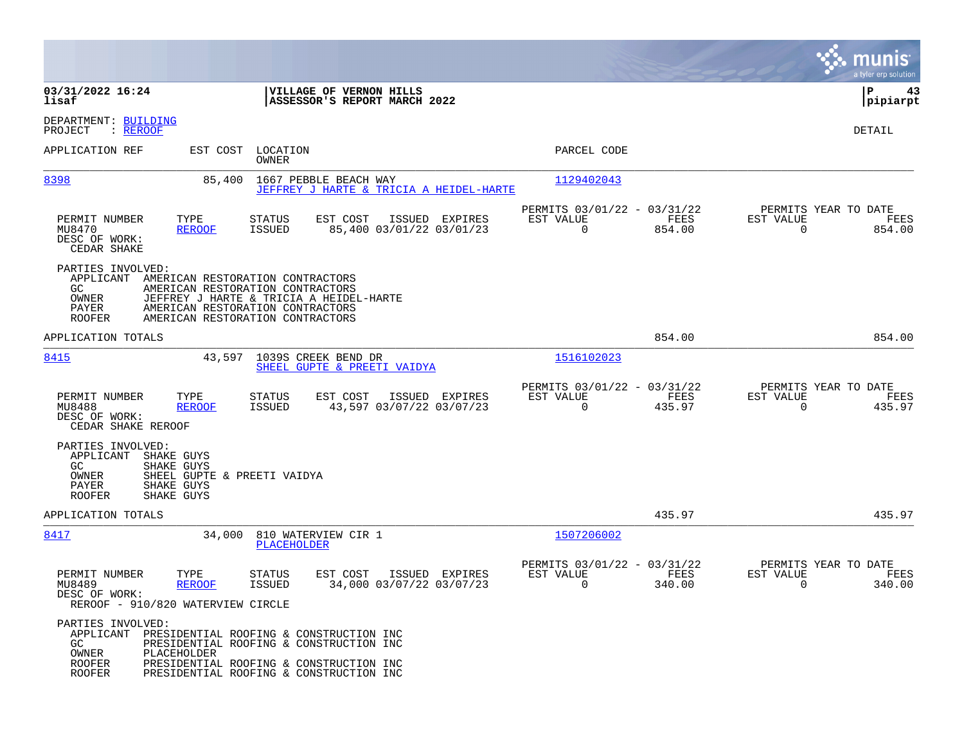|                                                                                                                                 |                                                                                                                                                                                         |                                                                           | munis<br>a tyler erp solution                                   |
|---------------------------------------------------------------------------------------------------------------------------------|-----------------------------------------------------------------------------------------------------------------------------------------------------------------------------------------|---------------------------------------------------------------------------|-----------------------------------------------------------------|
| 03/31/2022 16:24<br>lisaf                                                                                                       | VILLAGE OF VERNON HILLS<br>ASSESSOR'S REPORT MARCH 2022                                                                                                                                 |                                                                           | IΡ<br>43<br> pipiarpt                                           |
| DEPARTMENT: BUILDING<br>PROJECT<br>$:$ REROOF                                                                                   |                                                                                                                                                                                         |                                                                           | DETAIL                                                          |
| APPLICATION REF                                                                                                                 | LOCATION<br>EST COST<br>OWNER                                                                                                                                                           | PARCEL CODE                                                               |                                                                 |
| 8398                                                                                                                            | 1667 PEBBLE BEACH WAY<br>85,400<br>JEFFREY J HARTE & TRICIA A HEIDEL-HARTE                                                                                                              | 1129402043                                                                |                                                                 |
| TYPE<br>PERMIT NUMBER<br>MU8470<br><b>REROOF</b><br>DESC OF WORK:<br>CEDAR SHAKE                                                | EST COST<br><b>STATUS</b><br>ISSUED EXPIRES<br><b>ISSUED</b><br>85,400 03/01/22 03/01/23                                                                                                | PERMITS 03/01/22 - 03/31/22<br>FEES<br>EST VALUE<br>$\mathbf 0$<br>854.00 | PERMITS YEAR TO DATE<br>EST VALUE<br>FEES<br>$\Omega$<br>854.00 |
| PARTIES INVOLVED:<br>APPLICANT<br>GC.<br>OWNER<br>PAYER<br><b>ROOFER</b>                                                        | AMERICAN RESTORATION CONTRACTORS<br>AMERICAN RESTORATION CONTRACTORS<br>JEFFREY J HARTE & TRICIA A HEIDEL-HARTE<br>AMERICAN RESTORATION CONTRACTORS<br>AMERICAN RESTORATION CONTRACTORS |                                                                           |                                                                 |
| APPLICATION TOTALS                                                                                                              |                                                                                                                                                                                         | 854.00                                                                    | 854.00                                                          |
| 8415                                                                                                                            | 1039S CREEK BEND DR<br>43,597<br>SHEEL GUPTE & PREETI VAIDYA                                                                                                                            | 1516102023                                                                |                                                                 |
| PERMIT NUMBER<br>TYPE<br>MU8488<br><b>REROOF</b><br>DESC OF WORK:<br>CEDAR SHAKE REROOF                                         | EST COST<br>STATUS<br>ISSUED EXPIRES<br>43,597 03/07/22 03/07/23<br><b>ISSUED</b>                                                                                                       | PERMITS 03/01/22 - 03/31/22<br>EST VALUE<br>FEES<br>$\Omega$<br>435.97    | PERMITS YEAR TO DATE<br>EST VALUE<br>FEES<br>$\Omega$<br>435.97 |
| PARTIES INVOLVED:<br>APPLICANT<br>SHAKE GUYS<br>GC<br>SHAKE GUYS<br>OWNER<br>PAYER<br>SHAKE GUYS<br><b>ROOFER</b><br>SHAKE GUYS | SHEEL GUPTE & PREETI VAIDYA                                                                                                                                                             |                                                                           |                                                                 |
| APPLICATION TOTALS                                                                                                              |                                                                                                                                                                                         | 435.97                                                                    | 435.97                                                          |
| 8417                                                                                                                            | 810 WATERVIEW CIR 1<br>34,000<br>PLACEHOLDER                                                                                                                                            | 1507206002                                                                |                                                                 |
| PERMIT NUMBER<br>TYPE<br>MU8489<br><b>REROOF</b><br>DESC OF WORK:<br>REROOF - 910/820 WATERVIEW CIRCLE                          | STATUS<br>EST COST<br>ISSUED EXPIRES<br>34,000 03/07/22 03/07/23<br><b>ISSUED</b>                                                                                                       | PERMITS 03/01/22 - 03/31/22<br>EST VALUE<br><b>FEES</b><br>0<br>340.00    | PERMITS YEAR TO DATE<br>EST VALUE<br>FEES<br>0<br>340.00        |
| PARTIES INVOLVED:<br>GC.<br>OWNER<br>PLACEHOLDER<br><b>ROOFER</b><br><b>ROOFER</b>                                              | APPLICANT PRESIDENTIAL ROOFING & CONSTRUCTION INC<br>PRESIDENTIAL ROOFING & CONSTRUCTION INC<br>PRESIDENTIAL ROOFING & CONSTRUCTION INC<br>PRESIDENTIAL ROOFING & CONSTRUCTION INC      |                                                                           |                                                                 |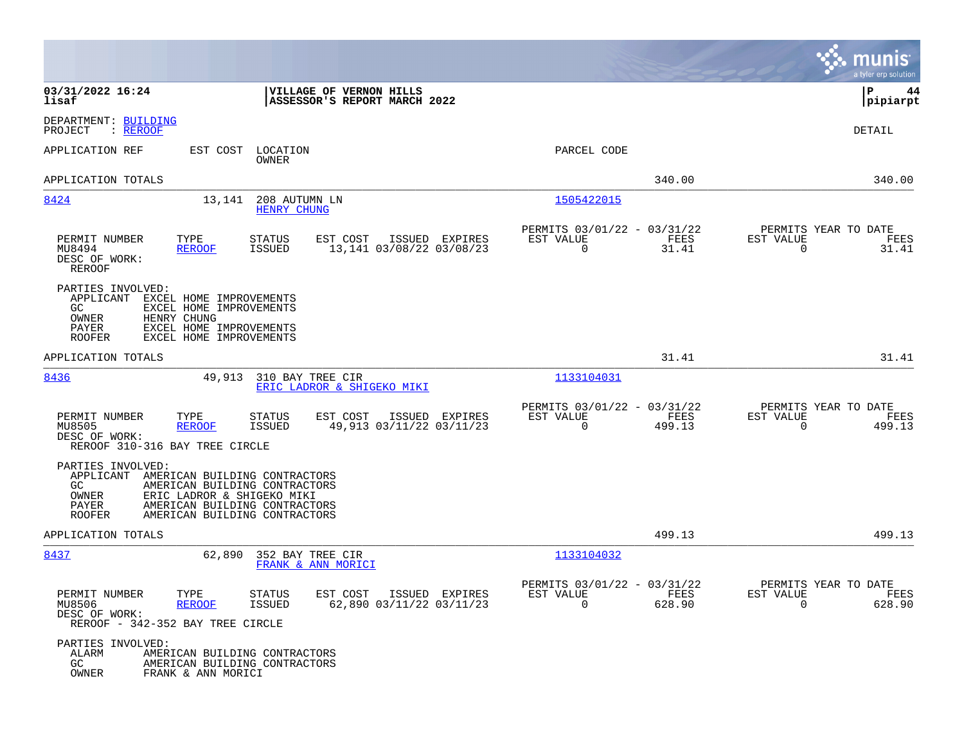|                                                                                                                                                                                                                                            |                                                                           | munis<br>a tyler erp solution                                      |
|--------------------------------------------------------------------------------------------------------------------------------------------------------------------------------------------------------------------------------------------|---------------------------------------------------------------------------|--------------------------------------------------------------------|
| 03/31/2022 16:24<br>VILLAGE OF VERNON HILLS<br>lisaf<br>ASSESSOR'S REPORT MARCH 2022                                                                                                                                                       |                                                                           | P<br>44<br> pipiarpt                                               |
| DEPARTMENT: BUILDING<br>: <u>REROOF</u><br>PROJECT                                                                                                                                                                                         |                                                                           | DETAIL                                                             |
| APPLICATION REF<br>EST COST<br>LOCATION<br>OWNER                                                                                                                                                                                           | PARCEL CODE                                                               |                                                                    |
| APPLICATION TOTALS                                                                                                                                                                                                                         | 340.00                                                                    | 340.00                                                             |
| 8424<br>13,141<br>208 AUTUMN LN<br><b>HENRY CHUNG</b>                                                                                                                                                                                      | 1505422015                                                                |                                                                    |
| PERMIT NUMBER<br>TYPE<br><b>STATUS</b><br>EST COST<br>ISSUED EXPIRES<br>13,141 03/08/22 03/08/23<br>MU8494<br><b>REROOF</b><br>ISSUED<br>DESC OF WORK:<br><b>REROOF</b>                                                                    | PERMITS 03/01/22 - 03/31/22<br>EST VALUE<br>FEES<br>0<br>31.41            | PERMITS YEAR TO DATE<br>EST VALUE<br>FEES<br>$\Omega$<br>31.41     |
| PARTIES INVOLVED:<br>APPLICANT<br>EXCEL HOME IMPROVEMENTS<br>GC.<br>EXCEL HOME IMPROVEMENTS<br>HENRY CHUNG<br>OWNER<br>PAYER<br>EXCEL HOME IMPROVEMENTS<br><b>ROOFER</b><br>EXCEL HOME IMPROVEMENTS                                        |                                                                           |                                                                    |
| APPLICATION TOTALS                                                                                                                                                                                                                         | 31.41                                                                     | 31.41                                                              |
| 8436<br>49,913<br>310 BAY TREE CIR<br>ERIC LADROR & SHIGEKO MIKI                                                                                                                                                                           | 1133104031                                                                |                                                                    |
| PERMIT NUMBER<br>TYPE<br><b>STATUS</b><br>EST COST<br>ISSUED EXPIRES<br>MU8505<br>ISSUED<br>49,913 03/11/22 03/11/23<br><b>REROOF</b><br>DESC OF WORK:<br>REROOF 310-316 BAY TREE CIRCLE                                                   | PERMITS 03/01/22 - 03/31/22<br>FEES<br>EST VALUE<br>$\mathbf 0$<br>499.13 | PERMITS YEAR TO DATE<br>EST VALUE<br>FEES<br>$\mathbf 0$<br>499.13 |
| PARTIES INVOLVED:<br>APPLICANT<br>AMERICAN BUILDING CONTRACTORS<br>GC.<br>AMERICAN BUILDING CONTRACTORS<br>OWNER<br>ERIC LADROR & SHIGEKO MIKI<br>PAYER<br>AMERICAN BUILDING CONTRACTORS<br><b>ROOFER</b><br>AMERICAN BUILDING CONTRACTORS |                                                                           |                                                                    |
| APPLICATION TOTALS                                                                                                                                                                                                                         | 499.13                                                                    | 499.13                                                             |
| 8437<br>62,890<br>352 BAY TREE CIR<br>FRANK & ANN MORICI                                                                                                                                                                                   | 1133104032                                                                |                                                                    |
| PERMIT NUMBER<br>TYPE<br>STATUS<br>EST COST ISSUED EXPIRES<br>MU8506<br>ISSUED<br>62,890 03/11/22 03/11/23<br>REROOF<br>DESC OF WORK:<br>REROOF - 342-352 BAY TREE CIRCLE                                                                  | PERMITS 03/01/22 - 03/31/22<br>EST VALUE<br>FEES<br>$\Omega$<br>628.90    | PERMITS YEAR TO DATE<br>EST VALUE<br>FEES<br>$\Omega$<br>628.90    |
| PARTIES INVOLVED:<br>ALARM<br>AMERICAN BUILDING CONTRACTORS<br>GC<br>AMERICAN BUILDING CONTRACTORS<br>OWNER<br>FRANK & ANN MORICI                                                                                                          |                                                                           |                                                                    |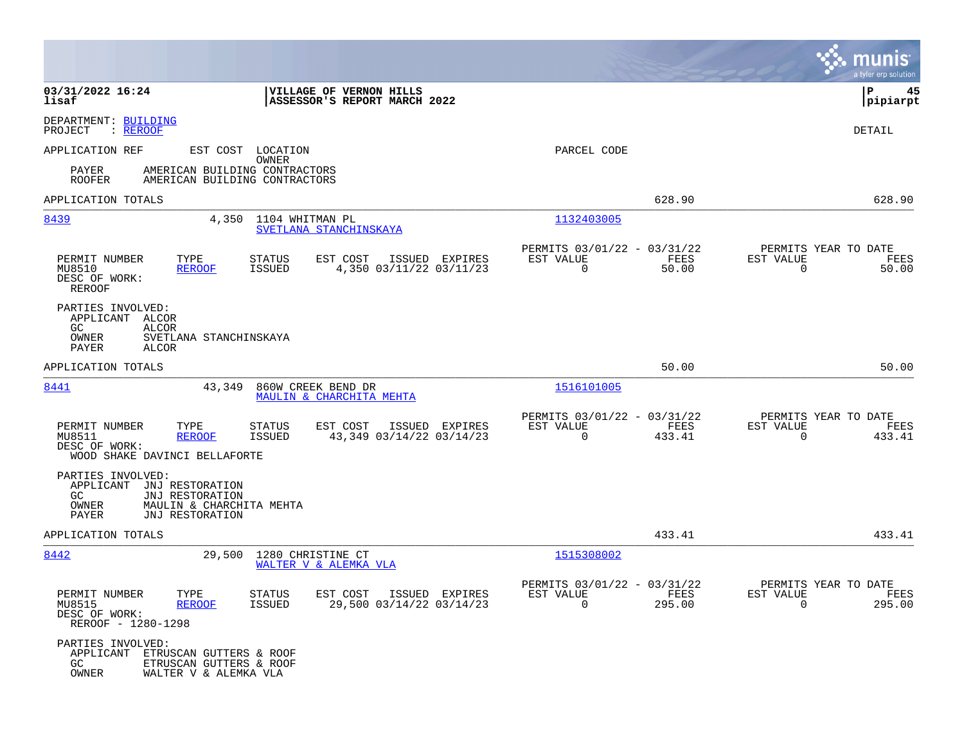|                                                                                                                                              |                                                                            |                                                                           | munis<br>a tyler erp solution                                     |
|----------------------------------------------------------------------------------------------------------------------------------------------|----------------------------------------------------------------------------|---------------------------------------------------------------------------|-------------------------------------------------------------------|
| 03/31/2022 16:24<br>lisaf                                                                                                                    | VILLAGE OF VERNON HILLS<br>ASSESSOR'S REPORT MARCH 2022                    |                                                                           | ΙP<br>45<br> pipiarpt                                             |
| DEPARTMENT: BUILDING<br>: <u>REROOF</u><br>PROJECT                                                                                           |                                                                            |                                                                           | DETAIL                                                            |
| APPLICATION REF<br>PAYER<br>AMERICAN BUILDING CONTRACTORS<br><b>ROOFER</b><br>AMERICAN BUILDING CONTRACTORS                                  | EST COST LOCATION<br>OWNER                                                 | PARCEL CODE                                                               |                                                                   |
| APPLICATION TOTALS                                                                                                                           |                                                                            | 628.90                                                                    | 628.90                                                            |
| 8439<br>4,350                                                                                                                                | 1104 WHITMAN PL<br>SVETLANA STANCHINSKAYA                                  | 1132403005                                                                |                                                                   |
| PERMIT NUMBER<br>TYPE<br>MU8510<br><b>REROOF</b><br>DESC OF WORK:<br>REROOF                                                                  | ISSUED EXPIRES<br>STATUS<br>EST COST<br>4,350 03/11/22 03/11/23<br>ISSUED  | PERMITS 03/01/22 - 03/31/22<br>EST VALUE<br>FEES<br>$\mathbf 0$<br>50.00  | PERMITS YEAR TO DATE<br>EST VALUE<br>FEES<br>50.00<br>$\mathbf 0$ |
| PARTIES INVOLVED:<br>APPLICANT ALCOR<br>GC.<br>ALCOR<br>OWNER<br>SVETLANA STANCHINSKAYA<br>PAYER<br><b>ALCOR</b>                             |                                                                            |                                                                           |                                                                   |
| APPLICATION TOTALS                                                                                                                           |                                                                            | 50.00                                                                     | 50.00                                                             |
| 8441<br>43,349                                                                                                                               | 860W CREEK BEND DR<br>MAULIN & CHARCHITA MEHTA                             | 1516101005                                                                |                                                                   |
| PERMIT NUMBER<br>TYPE<br>MU8511<br><b>REROOF</b><br>DESC OF WORK:<br>WOOD SHAKE DAVINCI BELLAFORTE                                           | STATUS<br>EST COST<br>ISSUED EXPIRES<br>ISSUED<br>43,349 03/14/22 03/14/23 | PERMITS 03/01/22 - 03/31/22<br>EST VALUE<br>FEES<br>$\mathbf 0$<br>433.41 | PERMITS YEAR TO DATE<br>EST VALUE<br>FEES<br>0<br>433.41          |
| PARTIES INVOLVED:<br>APPLICANT<br>JNJ RESTORATION<br>GC.<br>JNJ RESTORATION<br>OWNER<br>MAULIN & CHARCHITA MEHTA<br>PAYER<br>JNJ RESTORATION |                                                                            |                                                                           |                                                                   |
| APPLICATION TOTALS                                                                                                                           |                                                                            | 433.41                                                                    | 433.41                                                            |
| 8442<br>29,500                                                                                                                               | 1280 CHRISTINE CT<br>WALTER V & ALEMKA VLA                                 | 1515308002                                                                |                                                                   |
| PERMIT NUMBER<br>TYPE<br>MU8515<br><u>REROOF</u><br>DESC OF WORK:<br>REROOF - 1280-1298                                                      | STATUS<br>EST COST ISSUED EXPIRES<br>29,500 03/14/22 03/14/23<br>ISSUED    | PERMITS 03/01/22 - 03/31/22<br>EST VALUE<br>FEES<br>$\Omega$<br>295.00    | PERMITS YEAR TO DATE<br>EST VALUE<br>FEES<br>$\Omega$<br>295.00   |
| PARTIES INVOLVED:<br>APPLICANT ETRUSCAN GUTTERS & ROOF<br>GC<br>ETRUSCAN GUTTERS & ROOF<br>OWNER<br>WALTER V & ALEMKA VLA                    |                                                                            |                                                                           |                                                                   |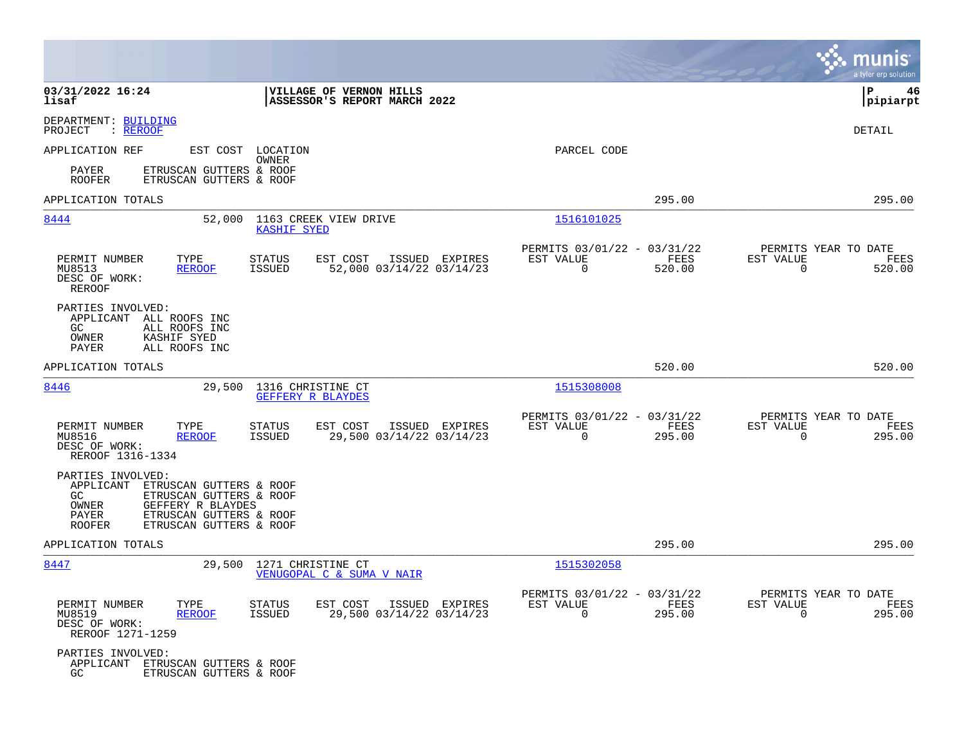|                                                                                                                                                                                                          |                                                                                          |                                                                                  | munis<br>a tyler erp solution                                   |
|----------------------------------------------------------------------------------------------------------------------------------------------------------------------------------------------------------|------------------------------------------------------------------------------------------|----------------------------------------------------------------------------------|-----------------------------------------------------------------|
| 03/31/2022 16:24<br>lisaf                                                                                                                                                                                | VILLAGE OF VERNON HILLS<br>ASSESSOR'S REPORT MARCH 2022                                  |                                                                                  | P<br>46<br> pipiarpt                                            |
| DEPARTMENT: BUILDING<br>: <u>REROOF</u><br>PROJECT                                                                                                                                                       |                                                                                          |                                                                                  | DETAIL                                                          |
| APPLICATION REF                                                                                                                                                                                          | EST COST LOCATION<br><b>OWNER</b>                                                        | PARCEL CODE                                                                      |                                                                 |
| ETRUSCAN GUTTERS & ROOF<br>PAYER<br><b>ROOFER</b><br>ETRUSCAN GUTTERS & ROOF                                                                                                                             |                                                                                          |                                                                                  |                                                                 |
| APPLICATION TOTALS                                                                                                                                                                                       |                                                                                          | 295.00                                                                           | 295.00                                                          |
| 8444<br>52,000                                                                                                                                                                                           | 1163 CREEK VIEW DRIVE<br><b>KASHIF SYED</b>                                              | 1516101025                                                                       |                                                                 |
| PERMIT NUMBER<br>TYPE<br>MU8513<br><b>REROOF</b><br>DESC OF WORK:<br>REROOF                                                                                                                              | <b>STATUS</b><br>EST COST<br>ISSUED EXPIRES<br>ISSUED<br>52,000 03/14/22 03/14/23        | PERMITS 03/01/22 - 03/31/22<br>FEES<br>EST VALUE<br>0<br>520.00                  | PERMITS YEAR TO DATE<br>EST VALUE<br>FEES<br>0<br>520.00        |
| PARTIES INVOLVED:<br>APPLICANT<br>ALL ROOFS INC<br>GC.<br>ALL ROOFS INC<br>OWNER<br>KASHIF SYED<br>PAYER<br>ALL ROOFS INC                                                                                |                                                                                          |                                                                                  |                                                                 |
| APPLICATION TOTALS                                                                                                                                                                                       |                                                                                          | 520.00                                                                           | 520.00                                                          |
| 8446<br>29,500                                                                                                                                                                                           | 1316 CHRISTINE CT<br>GEFFERY R BLAYDES                                                   | 1515308008                                                                       |                                                                 |
| PERMIT NUMBER<br>TYPE<br><b>REROOF</b><br>MU8516<br>DESC OF WORK:<br>REROOF 1316-1334                                                                                                                    | <b>STATUS</b><br>EST COST<br>ISSUED EXPIRES<br>ISSUED<br>29,500 03/14/22 03/14/23        | PERMITS 03/01/22 - 03/31/22<br>FEES<br>EST VALUE<br>$\mathbf 0$<br>295.00        | PERMITS YEAR TO DATE<br>EST VALUE<br>FEES<br>0<br>295.00        |
| PARTIES INVOLVED:<br>APPLICANT<br>ETRUSCAN GUTTERS & ROOF<br>GC<br>ETRUSCAN GUTTERS & ROOF<br>OWNER<br>GEFFERY R BLAYDES<br>PAYER<br>ETRUSCAN GUTTERS & ROOF<br><b>ROOFER</b><br>ETRUSCAN GUTTERS & ROOF |                                                                                          |                                                                                  |                                                                 |
| APPLICATION TOTALS                                                                                                                                                                                       |                                                                                          | 295.00                                                                           | 295.00                                                          |
| 29,500<br>8447                                                                                                                                                                                           | 1271 CHRISTINE CT<br>VENUGOPAL C & SUMA V NAIR                                           | 1515302058                                                                       |                                                                 |
| PERMIT NUMBER<br>TYPE<br>MU8519<br><b>REROOF</b><br>DESC OF WORK:<br>REROOF 1271-1259                                                                                                                    | <b>STATUS</b><br>EST COST<br>ISSUED EXPIRES<br>29,500 03/14/22 03/14/23<br><b>ISSUED</b> | PERMITS 03/01/22 - 03/31/22<br>EST VALUE<br><b>FEES</b><br>$\mathbf 0$<br>295.00 | PERMITS YEAR TO DATE<br>EST VALUE<br>FEES<br>$\Omega$<br>295.00 |
| PARTIES INVOLVED:<br>APPLICANT ETRUSCAN GUTTERS & ROOF<br>GC.<br>ETRUSCAN GUTTERS & ROOF                                                                                                                 |                                                                                          |                                                                                  |                                                                 |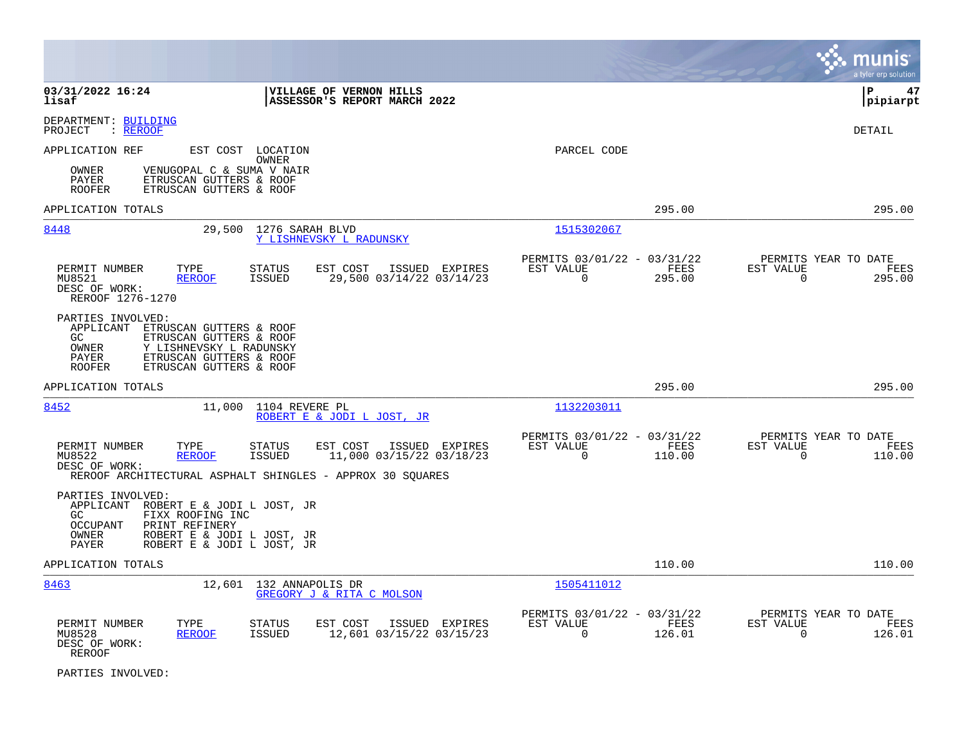|                                                                                                                                                                                                                        |                                                                        | a tyler erp solution                                            |
|------------------------------------------------------------------------------------------------------------------------------------------------------------------------------------------------------------------------|------------------------------------------------------------------------|-----------------------------------------------------------------|
| 03/31/2022 16:24<br>VILLAGE OF VERNON HILLS<br>lisaf<br>ASSESSOR'S REPORT MARCH 2022                                                                                                                                   |                                                                        | l P<br>47<br> pipiarpt                                          |
| DEPARTMENT: BUILDING<br>PROJECT<br>: REROOF                                                                                                                                                                            |                                                                        | DETAIL                                                          |
| APPLICATION REF<br>EST COST LOCATION<br>OWNER<br>VENUGOPAL C & SUMA V NAIR<br>OWNER<br>ETRUSCAN GUTTERS & ROOF<br>PAYER<br>ETRUSCAN GUTTERS & ROOF<br><b>ROOFER</b>                                                    | PARCEL CODE                                                            |                                                                 |
| APPLICATION TOTALS                                                                                                                                                                                                     | 295.00                                                                 | 295.00                                                          |
| 8448<br>29,500<br>1276 SARAH BLVD<br>Y LISHNEVSKY L RADUNSKY                                                                                                                                                           | 1515302067                                                             |                                                                 |
| PERMIT NUMBER<br>TYPE<br>STATUS<br>EST COST<br>ISSUED EXPIRES<br>MU8521<br><b>ISSUED</b><br>29,500 03/14/22 03/14/23<br><b>REROOF</b><br>DESC OF WORK:<br>REROOF 1276-1270                                             | PERMITS 03/01/22 - 03/31/22<br>EST VALUE<br>FEES<br>$\Omega$<br>295.00 | PERMITS YEAR TO DATE<br>EST VALUE<br>FEES<br>$\Omega$<br>295.00 |
| PARTIES INVOLVED:<br>APPLICANT<br>ETRUSCAN GUTTERS & ROOF<br>GC.<br>ETRUSCAN GUTTERS & ROOF<br><b>OWNER</b><br>Y LISHNEVSKY L RADUNSKY<br>ETRUSCAN GUTTERS & ROOF<br>PAYER<br><b>ROOFER</b><br>ETRUSCAN GUTTERS & ROOF |                                                                        |                                                                 |
| APPLICATION TOTALS                                                                                                                                                                                                     | 295.00                                                                 | 295.00                                                          |
| 8452<br>11,000<br>1104 REVERE PL<br>ROBERT E & JODI L JOST, JR                                                                                                                                                         | 1132203011                                                             |                                                                 |
| PERMIT NUMBER<br>TYPE<br>STATUS<br>EST COST<br>ISSUED EXPIRES<br>11,000 03/15/22 03/18/23<br>MU8522<br><b>REROOF</b><br>ISSUED<br>DESC OF WORK:<br>REROOF ARCHITECTURAL ASPHALT SHINGLES - APPROX 30 SQUARES           | PERMITS 03/01/22 - 03/31/22<br>EST VALUE<br>FEES<br>$\Omega$<br>110.00 | PERMITS YEAR TO DATE<br>EST VALUE<br>FEES<br>$\Omega$<br>110.00 |
| PARTIES INVOLVED:<br>APPLICANT ROBERT E & JODI L JOST, JR<br>GC.<br>FIXX ROOFING INC<br>PRINT REFINERY<br><b>OCCUPANT</b><br>OWNER<br>ROBERT E & JODI L JOST, JR<br>PAYER<br>ROBERT E & JODI L JOST, JR                |                                                                        |                                                                 |
| APPLICATION TOTALS                                                                                                                                                                                                     | 110.00                                                                 | 110.00                                                          |
| 8463<br>12,601<br>132 ANNAPOLIS DR<br>GREGORY J & RITA C MOLSON                                                                                                                                                        | 1505411012                                                             |                                                                 |
| PERMIT NUMBER<br>TYPE<br>STATUS<br>EST COST<br>ISSUED EXPIRES<br>12,601 03/15/22 03/15/23<br>MU8528<br><b>ISSUED</b><br><b>REROOF</b><br>DESC OF WORK:<br>REROOF                                                       | PERMITS 03/01/22 - 03/31/22<br>EST VALUE<br>FEES<br>$\Omega$<br>126.01 | PERMITS YEAR TO DATE<br>EST VALUE<br>FEES<br>$\Omega$<br>126.01 |

PARTIES INVOLVED: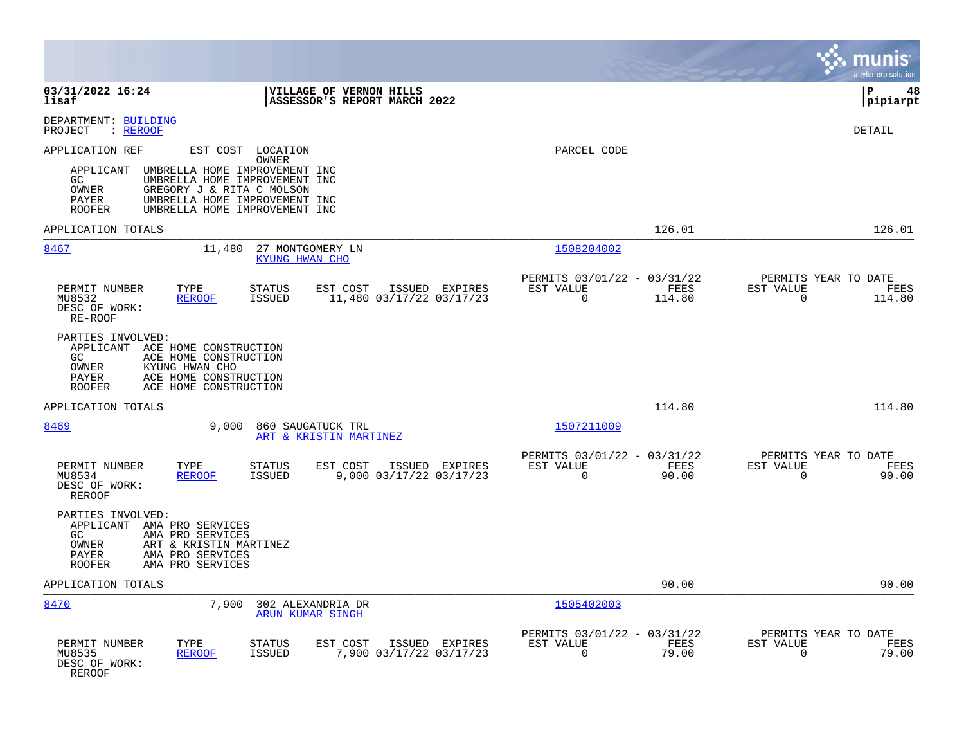|                                                                                                                                                                                     |                                                                                                                                                                       |                                                      | munis<br>a tyler erp solution                                                      |
|-------------------------------------------------------------------------------------------------------------------------------------------------------------------------------------|-----------------------------------------------------------------------------------------------------------------------------------------------------------------------|------------------------------------------------------|------------------------------------------------------------------------------------|
| 03/31/2022 16:24<br>lisaf                                                                                                                                                           | VILLAGE OF VERNON HILLS<br>ASSESSOR'S REPORT MARCH 2022                                                                                                               |                                                      | lР<br>48<br> pipiarpt                                                              |
| DEPARTMENT: BUILDING<br>: REROOF<br>PROJECT                                                                                                                                         |                                                                                                                                                                       |                                                      | <b>DETAIL</b>                                                                      |
| APPLICATION REF<br>APPLICANT<br>GC<br>OWNER<br>GREGORY J & RITA C MOLSON<br><b>PAYER</b><br><b>ROOFER</b>                                                                           | EST COST LOCATION<br><b>OWNER</b><br>UMBRELLA HOME IMPROVEMENT INC<br>UMBRELLA HOME IMPROVEMENT INC<br>UMBRELLA HOME IMPROVEMENT INC<br>UMBRELLA HOME IMPROVEMENT INC | PARCEL CODE                                          |                                                                                    |
| APPLICATION TOTALS                                                                                                                                                                  |                                                                                                                                                                       |                                                      | 126.01<br>126.01                                                                   |
| 8467<br>11,480                                                                                                                                                                      | 27 MONTGOMERY LN<br><b>KYUNG HWAN CHO</b>                                                                                                                             | 1508204002                                           |                                                                                    |
| PERMIT NUMBER<br>TYPE<br>MU8532<br><b>REROOF</b><br>DESC OF WORK:<br>RE-ROOF                                                                                                        | <b>STATUS</b><br>EST COST<br>ISSUED EXPIRES<br><b>ISSUED</b><br>11,480 03/17/22 03/17/23                                                                              | PERMITS 03/01/22 - 03/31/22<br>EST VALUE<br>$\Omega$ | PERMITS YEAR TO DATE<br>FEES<br>EST VALUE<br>FEES<br>$\Omega$<br>114.80<br>114.80  |
| PARTIES INVOLVED:<br>APPLICANT ACE HOME CONSTRUCTION<br>ACE HOME CONSTRUCTION<br>GC<br>OWNER<br>KYUNG HWAN CHO<br>PAYER<br>ACE HOME CONSTRUCTION<br>ACE HOME CONSTRUCTION<br>ROOFER |                                                                                                                                                                       |                                                      |                                                                                    |
| APPLICATION TOTALS                                                                                                                                                                  |                                                                                                                                                                       |                                                      | 114.80<br>114.80                                                                   |
| 8469<br>9.000                                                                                                                                                                       | 860 SAUGATUCK TRL<br>ART & KRISTIN MARTINEZ                                                                                                                           | 1507211009                                           |                                                                                    |
| TYPE<br>PERMIT NUMBER<br>MU8534<br><b>REROOF</b><br>DESC OF WORK:<br><b>REROOF</b>                                                                                                  | <b>STATUS</b><br>EST COST<br>ISSUED EXPIRES<br>9,000 03/17/22 03/17/23<br>ISSUED                                                                                      | PERMITS 03/01/22 - 03/31/22<br>EST VALUE<br>$\Omega$ | PERMITS YEAR TO DATE<br>FEES<br>EST VALUE<br>FEES<br>$\Omega$<br>90.00<br>90.00    |
| PARTIES INVOLVED:<br>APPLICANT AMA PRO SERVICES<br>GC<br>AMA PRO SERVICES<br>OWNER<br>ART & KRISTIN MARTINEZ<br>AMA PRO SERVICES<br>PAYER<br>AMA PRO SERVICES<br>ROOFER             |                                                                                                                                                                       |                                                      |                                                                                    |
| APPLICATION TOTALS                                                                                                                                                                  |                                                                                                                                                                       |                                                      | 90.00<br>90.00                                                                     |
| 8470<br>7,900                                                                                                                                                                       | 302 ALEXANDRIA DR<br>ARUN KUMAR SINGH                                                                                                                                 | 1505402003                                           |                                                                                    |
| PERMIT NUMBER<br>TYPE<br>MU8535<br><b>REROOF</b><br>DESC OF WORK:<br>REROOF                                                                                                         | <b>STATUS</b><br>EST COST<br>ISSUED EXPIRES<br>7,900 03/17/22 03/17/23<br><b>ISSUED</b>                                                                               | PERMITS 03/01/22 - 03/31/22<br>EST VALUE<br>0        | PERMITS YEAR TO DATE<br>FEES<br>EST VALUE<br>FEES<br>79.00<br>$\mathbf 0$<br>79.00 |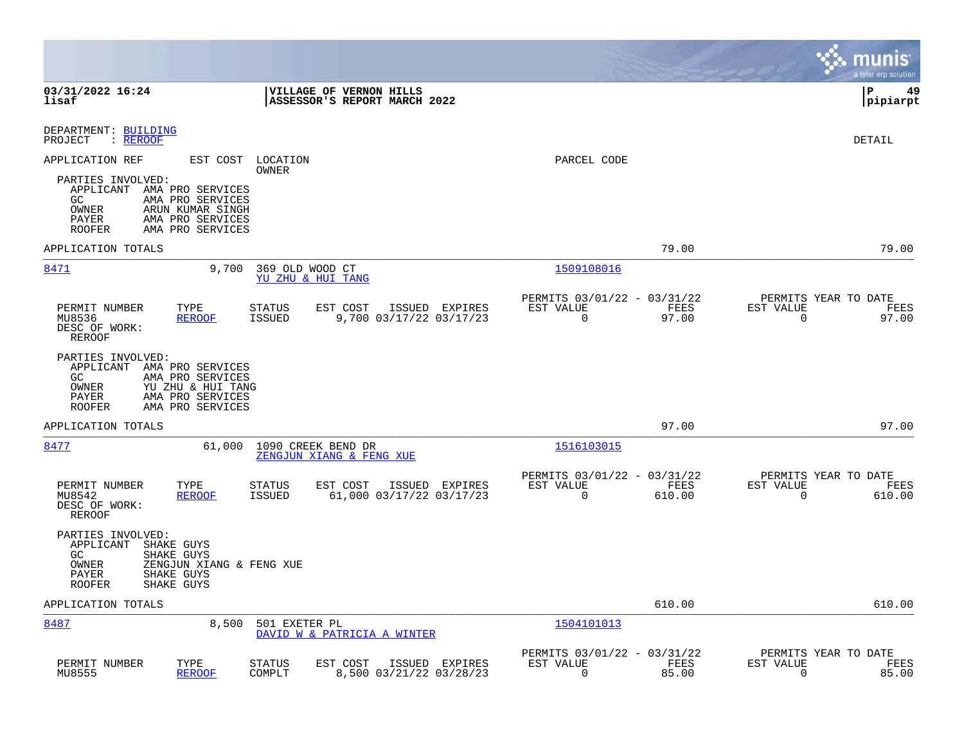|                                                                                                                                                                           |                |                                                         |                |                                                     | munis<br>a tyler erp solution |
|---------------------------------------------------------------------------------------------------------------------------------------------------------------------------|----------------|---------------------------------------------------------|----------------|-----------------------------------------------------|-------------------------------|
| 03/31/2022 16:24<br>VILLAGE OF VERNON HILLS<br>lisaf<br>ASSESSOR'S REPORT MARCH 2022                                                                                      |                |                                                         |                |                                                     | lР<br>49<br> pipiarpt         |
| DEPARTMENT: BUILDING<br>: REROOF<br>PROJECT                                                                                                                               |                |                                                         |                |                                                     | DETAIL                        |
| APPLICATION REF<br>EST COST<br>LOCATION<br>OWNER                                                                                                                          |                | PARCEL CODE                                             |                |                                                     |                               |
| PARTIES INVOLVED:<br>APPLICANT AMA PRO SERVICES<br>GC.<br>AMA PRO SERVICES<br>OWNER<br>ARUN KUMAR SINGH<br>PAYER<br>AMA PRO SERVICES<br><b>ROOFER</b><br>AMA PRO SERVICES |                |                                                         |                |                                                     |                               |
| APPLICATION TOTALS                                                                                                                                                        |                |                                                         | 79.00          |                                                     | 79.00                         |
| 8471<br>9,700<br>369 OLD WOOD CT<br>YU ZHU & HUI TANG                                                                                                                     |                | 1509108016                                              |                |                                                     |                               |
| PERMIT NUMBER<br>TYPE<br><b>STATUS</b><br>EST COST<br>9,700 03/17/22 03/17/23<br><b>ISSUED</b><br>MU8536<br><b>REROOF</b><br>DESC OF WORK:<br>REROOF                      | ISSUED EXPIRES | PERMITS 03/01/22 - 03/31/22<br>EST VALUE<br>$\mathbf 0$ | FEES<br>97.00  | PERMITS YEAR TO DATE<br>EST VALUE<br>$\mathbf 0$    | FEES<br>97.00                 |
| PARTIES INVOLVED:<br>APPLICANT AMA PRO SERVICES<br>GC<br>AMA PRO SERVICES<br>OWNER<br>YU ZHU & HUI TANG<br>PAYER<br>AMA PRO SERVICES<br>AMA PRO SERVICES<br><b>ROOFER</b> |                |                                                         |                |                                                     |                               |
| APPLICATION TOTALS                                                                                                                                                        |                |                                                         | 97.00          |                                                     | 97.00                         |
| 8477<br>61,000<br>1090 CREEK BEND DR<br>ZENGJUN XIANG & FENG XUE                                                                                                          |                | 1516103015                                              |                |                                                     |                               |
| PERMIT NUMBER<br>TYPE<br><b>STATUS</b><br>EST COST<br>MU8542<br><b>REROOF</b><br><b>ISSUED</b><br>61,000 03/17/22 03/17/23<br>DESC OF WORK:<br>REROOF                     | ISSUED EXPIRES | PERMITS 03/01/22 - 03/31/22<br>EST VALUE<br>$\mathbf 0$ | FEES<br>610.00 | PERMITS YEAR TO DATE<br>EST VALUE<br>$\overline{0}$ | FEES<br>610.00                |
| PARTIES INVOLVED:<br>APPLICANT<br>SHAKE GUYS<br>GC<br>SHAKE GUYS<br>OWNER<br>ZENGJUN XIANG & FENG XUE<br>PAYER<br>SHAKE GUYS<br>SHAKE GUYS<br><b>ROOFER</b>               |                |                                                         |                |                                                     |                               |
| APPLICATION TOTALS                                                                                                                                                        |                |                                                         | 610.00         |                                                     | 610.00                        |
| 8487<br>501 EXETER PL<br>8,500<br>DAVID W & PATRICIA A WINTER                                                                                                             |                | 1504101013                                              |                |                                                     |                               |
| PERMIT NUMBER<br>TYPE<br>EST COST<br>STATUS<br>MU8555<br><b>REROOF</b><br>COMPLT<br>8,500 03/21/22 03/28/23                                                               | ISSUED EXPIRES | PERMITS 03/01/22 - 03/31/22<br>EST VALUE<br>0           | FEES<br>85.00  | PERMITS YEAR TO DATE<br>EST VALUE<br>0              | FEES<br>85.00                 |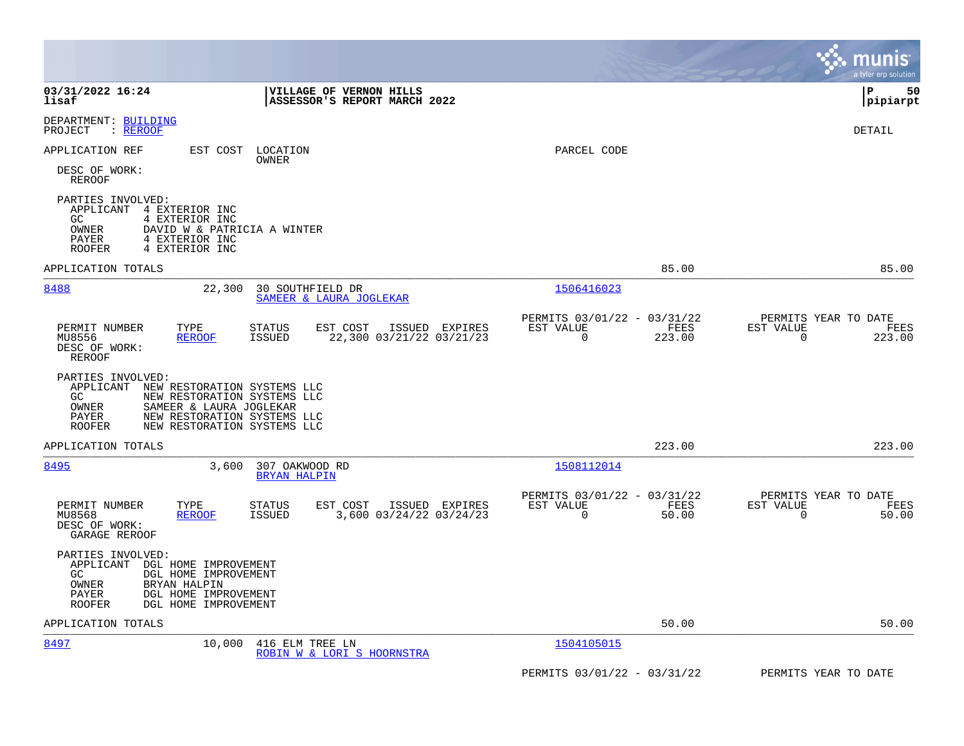|                                                                                                                                                                                                                                |                                                                           | a tyler erp solution                                     |
|--------------------------------------------------------------------------------------------------------------------------------------------------------------------------------------------------------------------------------|---------------------------------------------------------------------------|----------------------------------------------------------|
| 03/31/2022 16:24<br><b>VILLAGE OF VERNON HILLS</b><br>ASSESSOR'S REPORT MARCH 2022<br>lisaf                                                                                                                                    |                                                                           | l P<br>50<br> pipiarpt                                   |
| DEPARTMENT: BUILDING<br>: REROOF<br>PROJECT                                                                                                                                                                                    |                                                                           | DETAIL                                                   |
| APPLICATION REF<br>EST COST<br>LOCATION<br>OWNER                                                                                                                                                                               | PARCEL CODE                                                               |                                                          |
| DESC OF WORK:<br>REROOF                                                                                                                                                                                                        |                                                                           |                                                          |
| PARTIES INVOLVED:<br>APPLICANT<br>4 EXTERIOR INC<br>GC.<br>4 EXTERIOR INC<br>OWNER<br>DAVID W & PATRICIA A WINTER<br>PAYER<br>4 EXTERIOR INC<br>4 EXTERIOR INC<br><b>ROOFER</b>                                                |                                                                           |                                                          |
| APPLICATION TOTALS                                                                                                                                                                                                             | 85.00                                                                     | 85.00                                                    |
| 8488<br>22,300<br>30 SOUTHFIELD DR<br>SAMEER & LAURA JOGLEKAR                                                                                                                                                                  | 1506416023                                                                |                                                          |
| PERMIT NUMBER<br>EST COST<br>TYPE<br>STATUS<br>ISSUED EXPIRES<br>22,300 03/21/22 03/21/23<br>MU8556<br>ISSUED<br><b>REROOF</b><br>DESC OF WORK:<br>REROOF                                                                      | PERMITS 03/01/22 - 03/31/22<br>EST VALUE<br>FEES<br>$\mathbf 0$<br>223.00 | PERMITS YEAR TO DATE<br>EST VALUE<br>FEES<br>0<br>223.00 |
| PARTIES INVOLVED:<br>APPLICANT<br>NEW RESTORATION SYSTEMS LLC<br>GC<br>NEW RESTORATION SYSTEMS LLC<br>SAMEER & LAURA JOGLEKAR<br>OWNER<br>NEW RESTORATION SYSTEMS LLC<br>PAYER<br><b>ROOFER</b><br>NEW RESTORATION SYSTEMS LLC |                                                                           |                                                          |
| APPLICATION TOTALS                                                                                                                                                                                                             | 223.00                                                                    | 223.00                                                   |
| 307 OAKWOOD RD<br>8495<br>3,600<br><b>BRYAN HALPIN</b>                                                                                                                                                                         | 1508112014                                                                |                                                          |
| PERMIT NUMBER<br>TYPE<br>EST COST<br>ISSUED EXPIRES<br><b>STATUS</b><br>3,600 03/24/22 03/24/23<br>MU8568<br><b>REROOF</b><br>ISSUED<br>DESC OF WORK:<br>GARAGE REROOF                                                         | PERMITS 03/01/22 - 03/31/22<br>EST VALUE<br>FEES<br>50.00<br>0            | PERMITS YEAR TO DATE<br>EST VALUE<br>FEES<br>50.00<br>0  |
| PARTIES INVOLVED:<br>APPLICANT<br>DGL HOME IMPROVEMENT<br>GC.<br>DGL HOME IMPROVEMENT<br>OWNER<br>BRYAN HALPIN<br>PAYER<br>DGL HOME IMPROVEMENT<br><b>ROOFER</b><br>DGL HOME IMPROVEMENT                                       |                                                                           |                                                          |
| APPLICATION TOTALS                                                                                                                                                                                                             | 50.00                                                                     | 50.00                                                    |
| 8497<br>10,000<br>416 ELM TREE LN<br>ROBIN W & LORI S HOORNSTRA                                                                                                                                                                | 1504105015                                                                |                                                          |
|                                                                                                                                                                                                                                | PERMITS 03/01/22 - 03/31/22                                               | PERMITS YEAR TO DATE                                     |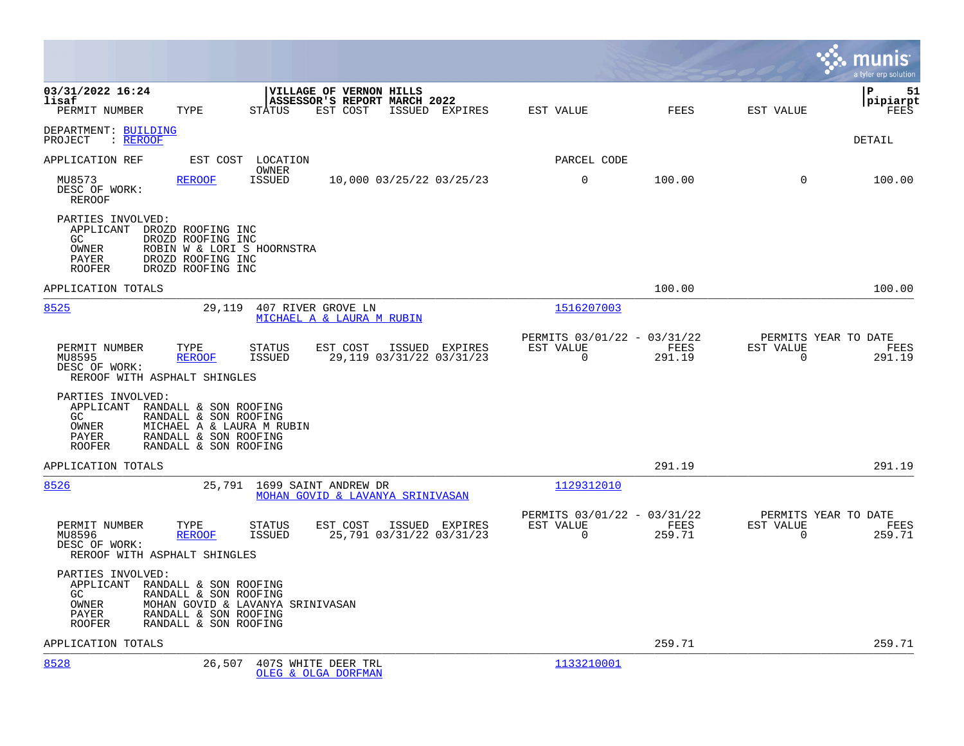|                                                                                                                                                                                                                 |                                                                 | a tyler erp solution                                               |
|-----------------------------------------------------------------------------------------------------------------------------------------------------------------------------------------------------------------|-----------------------------------------------------------------|--------------------------------------------------------------------|
| 03/31/2022 16:24<br>VILLAGE OF VERNON HILLS<br>ASSESSOR'S REPORT MARCH 2022<br>lisaf<br>PERMIT NUMBER<br>TYPE<br><b>STATUS</b><br>EST COST<br>ISSUED EXPIRES                                                    | FEES<br>EST VALUE                                               | P<br>51<br> pipiarpt<br>EST VALUE<br>FEES                          |
| DEPARTMENT: BUILDING<br>: REROOF<br>PROJECT                                                                                                                                                                     |                                                                 | DETAIL                                                             |
| APPLICATION REF<br>LOCATION<br>EST COST                                                                                                                                                                         | PARCEL CODE                                                     |                                                                    |
| OWNER<br>MU8573<br><b>ISSUED</b><br>10,000 03/25/22 03/25/23<br><b>REROOF</b><br>DESC OF WORK:<br>REROOF                                                                                                        | 0<br>100.00                                                     | 100.00<br>0                                                        |
| PARTIES INVOLVED:<br>APPLICANT<br>DROZD ROOFING INC<br>GC<br>DROZD ROOFING INC<br>OWNER<br>ROBIN W & LORI S HOORNSTRA<br>PAYER<br>DROZD ROOFING INC<br><b>ROOFER</b><br>DROZD ROOFING INC                       |                                                                 |                                                                    |
| APPLICATION TOTALS                                                                                                                                                                                              | 100.00                                                          | 100.00                                                             |
| 8525<br>407 RIVER GROVE LN<br>29,119<br>MICHAEL A & LAURA M RUBIN                                                                                                                                               | 1516207003                                                      |                                                                    |
| EST COST<br>ISSUED<br>EXPIRES<br>PERMIT NUMBER<br>TYPE<br>STATUS<br>MU8595<br>29,119 03/31/22 03/31/23<br><b>REROOF</b><br>ISSUED<br>DESC OF WORK:<br>REROOF WITH ASPHALT SHINGLES                              | PERMITS 03/01/22 - 03/31/22<br>EST VALUE<br>FEES<br>0<br>291.19 | PERMITS YEAR TO DATE<br>EST VALUE<br>FEES<br>$\mathbf 0$<br>291.19 |
| PARTIES INVOLVED:<br>APPLICANT<br>RANDALL & SON ROOFING<br><b>GC</b><br>RANDALL & SON ROOFING<br>OWNER<br>MICHAEL A & LAURA M RUBIN<br>PAYER<br>RANDALL & SON ROOFING<br><b>ROOFER</b><br>RANDALL & SON ROOFING |                                                                 |                                                                    |
| APPLICATION TOTALS                                                                                                                                                                                              | 291.19                                                          | 291.19                                                             |
| 8526<br>1699 SAINT ANDREW DR<br>25,791<br>MOHAN GOVID & LAVANYA SRINIVASAN                                                                                                                                      | 1129312010                                                      |                                                                    |
| PERMIT NUMBER<br>TYPE<br>EST COST<br>ISSUED EXPIRES<br><b>STATUS</b><br>25,791 03/31/22 03/31/23<br>MU8596<br><b>REROOF</b><br>ISSUED<br>DESC OF WORK:<br>REROOF WITH ASPHALT SHINGLES                          | PERMITS 03/01/22 - 03/31/22<br>EST VALUE<br>FEES<br>0<br>259.71 | PERMITS YEAR TO DATE<br>EST VALUE<br>FEES<br>259.71<br>0           |
| PARTIES INVOLVED:<br>APPLICANT RANDALL & SON ROOFING<br>GC<br>RANDALL & SON ROOFING<br>OWNER<br>MOHAN GOVID & LAVANYA SRINIVASAN<br>PAYER<br>RANDALL & SON ROOFING<br><b>ROOFER</b><br>RANDALL & SON ROOFING    |                                                                 |                                                                    |
| APPLICATION TOTALS                                                                                                                                                                                              | 259.71                                                          | 259.71                                                             |
| 8528<br>26,507<br>407S WHITE DEER TRL<br>OLEG & OLGA DORFMAN                                                                                                                                                    | 1133210001                                                      |                                                                    |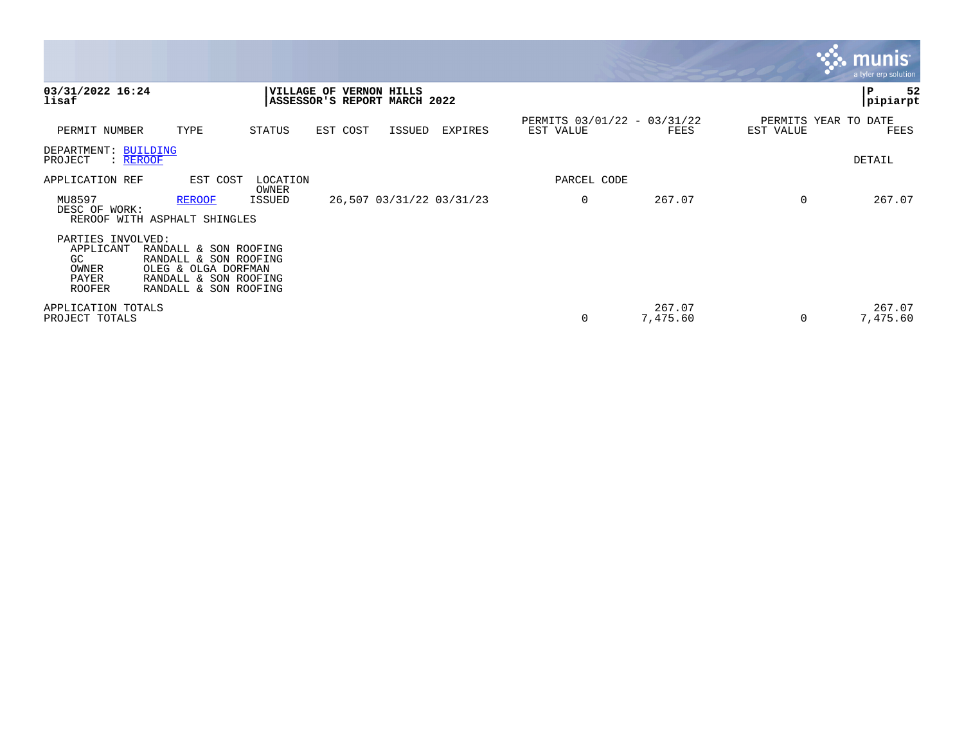|                                                                                |                                                                                                                         |                 |                                                         |        |                          |                                          |                    |           | <b>W. munis</b><br>a tyler erp solution |
|--------------------------------------------------------------------------------|-------------------------------------------------------------------------------------------------------------------------|-----------------|---------------------------------------------------------|--------|--------------------------|------------------------------------------|--------------------|-----------|-----------------------------------------|
| 03/31/2022 16:24<br>lisaf                                                      |                                                                                                                         |                 | VILLAGE OF VERNON HILLS<br>ASSESSOR'S REPORT MARCH 2022 |        |                          |                                          |                    |           | ${\bf P}$<br>52<br>pipiarpt             |
| PERMIT NUMBER                                                                  | TYPE                                                                                                                    | STATUS          | EST COST                                                | ISSUED | EXPIRES                  | PERMITS 03/01/22 - 03/31/22<br>EST VALUE | FEES               | EST VALUE | PERMITS YEAR TO DATE<br>FEES            |
| DEPARTMENT: BUILDING<br>PROJECT<br>: REROOF                                    |                                                                                                                         |                 |                                                         |        |                          |                                          |                    |           | DETAIL                                  |
| APPLICATION REF                                                                | EST COST                                                                                                                | LOCATION        |                                                         |        |                          | PARCEL CODE                              |                    |           |                                         |
| MU8597<br>DESC OF WORK:                                                        | <b>REROOF</b><br>REROOF WITH ASPHALT SHINGLES                                                                           | OWNER<br>ISSUED |                                                         |        | 26,507 03/31/22 03/31/23 | 0                                        | 267.07             | $\Omega$  | 267.07                                  |
| PARTIES INVOLVED:<br>APPLICANT<br><b>GC</b><br>OWNER<br>PAYER<br><b>ROOFER</b> | RANDALL & SON ROOFING<br>RANDALL & SON ROOFING<br>OLEG & OLGA DORFMAN<br>RANDALL & SON ROOFING<br>RANDALL & SON ROOFING |                 |                                                         |        |                          |                                          |                    |           |                                         |
| APPLICATION TOTALS<br>PROJECT TOTALS                                           |                                                                                                                         |                 |                                                         |        |                          | 0                                        | 267.07<br>7,475.60 | 0         | 267.07<br>7,475.60                      |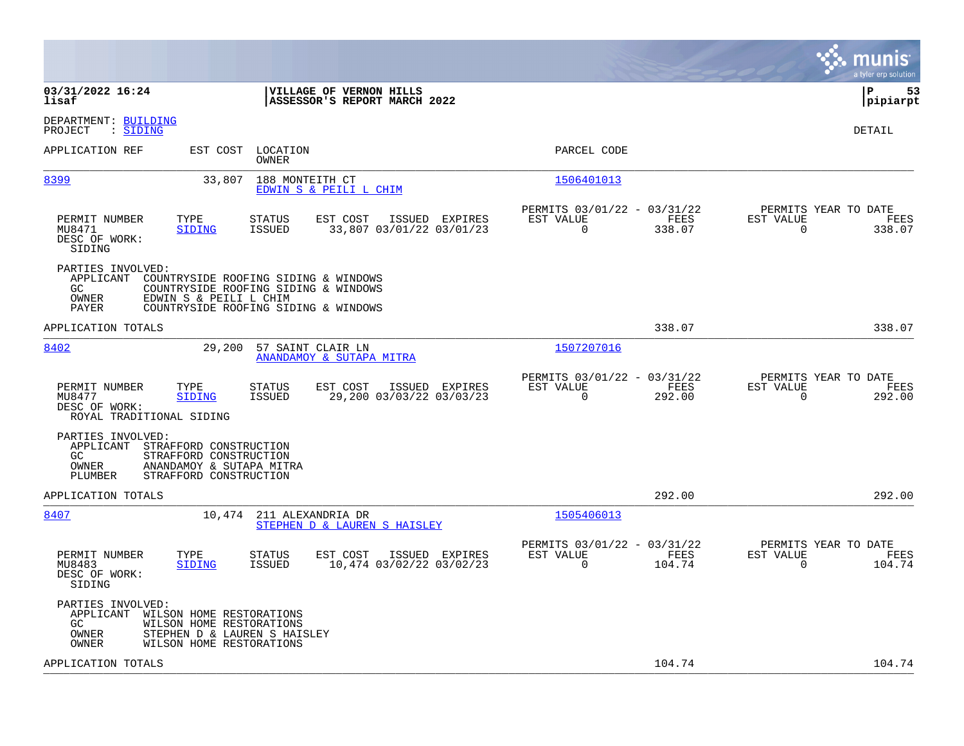|                                                                                                                                                                                                          |                                                                           | munis<br>a tyler erp solution                                      |
|----------------------------------------------------------------------------------------------------------------------------------------------------------------------------------------------------------|---------------------------------------------------------------------------|--------------------------------------------------------------------|
| 03/31/2022 16:24<br>VILLAGE OF VERNON HILLS<br>ASSESSOR'S REPORT MARCH 2022<br>lisaf                                                                                                                     |                                                                           | lР<br>53<br> pipiarpt                                              |
| DEPARTMENT: BUILDING<br>PROJECT<br>: SIDING                                                                                                                                                              |                                                                           | DETAIL                                                             |
| APPLICATION REF<br>EST COST<br>LOCATION<br>OWNER                                                                                                                                                         | PARCEL CODE                                                               |                                                                    |
| 8399<br>33,807<br>188 MONTEITH CT<br>EDWIN S & PEILI L CHIM                                                                                                                                              | 1506401013                                                                |                                                                    |
| PERMIT NUMBER<br>TYPE<br><b>STATUS</b><br>EST COST<br>ISSUED EXPIRES<br>MU8471<br><b>SIDING</b><br><b>ISSUED</b><br>33,807 03/01/22 03/01/23<br>DESC OF WORK:<br>SIDING                                  | PERMITS 03/01/22 - 03/31/22<br>EST VALUE<br>FEES<br>$\Omega$<br>338.07    | PERMITS YEAR TO DATE<br>EST VALUE<br>FEES<br>$\mathbf 0$<br>338.07 |
| PARTIES INVOLVED:<br>APPLICANT<br>COUNTRYSIDE ROOFING SIDING & WINDOWS<br>GC<br>COUNTRYSIDE ROOFING SIDING & WINDOWS<br>OWNER<br>EDWIN S & PEILI L CHIM<br>PAYER<br>COUNTRYSIDE ROOFING SIDING & WINDOWS |                                                                           |                                                                    |
| APPLICATION TOTALS                                                                                                                                                                                       | 338.07                                                                    | 338.07                                                             |
| 8402<br>29,200<br>57 SAINT CLAIR LN<br>ANANDAMOY & SUTAPA MITRA                                                                                                                                          | 1507207016                                                                |                                                                    |
| EST COST<br>PERMIT NUMBER<br>TYPE<br>STATUS<br>ISSUED EXPIRES<br>MU8477<br>29,200 03/03/22 03/03/23<br><b>SIDING</b><br><b>ISSUED</b><br>DESC OF WORK:<br>ROYAL TRADITIONAL SIDING                       | PERMITS 03/01/22 - 03/31/22<br>EST VALUE<br>FEES<br>$\mathbf 0$<br>292.00 | PERMITS YEAR TO DATE<br>EST VALUE<br>FEES<br>$\mathbf 0$<br>292.00 |
| PARTIES INVOLVED:<br>APPLICANT<br>STRAFFORD CONSTRUCTION<br>STRAFFORD CONSTRUCTION<br>GC.<br>OWNER<br>ANANDAMOY & SUTAPA MITRA<br>PLUMBER<br>STRAFFORD CONSTRUCTION                                      |                                                                           |                                                                    |
| APPLICATION TOTALS                                                                                                                                                                                       | 292.00                                                                    | 292.00                                                             |
| 8407<br>10,474<br>211 ALEXANDRIA DR<br>STEPHEN D & LAUREN S HAISLEY                                                                                                                                      | 1505406013                                                                |                                                                    |
| PERMIT NUMBER<br>TYPE<br>STATUS<br>EST COST<br>ISSUED EXPIRES<br>10,474 03/02/22 03/02/23<br>MU8483<br><b>SIDING</b><br>ISSUED<br>DESC OF WORK:<br>SIDING                                                | PERMITS 03/01/22 - 03/31/22<br>EST VALUE<br>FEES<br>0<br>104.74           | PERMITS YEAR TO DATE<br>EST VALUE<br>FEES<br>104.74<br>0           |
| PARTIES INVOLVED:<br>APPLICANT<br>WILSON HOME RESTORATIONS<br>GC.<br>WILSON HOME RESTORATIONS<br>STEPHEN D & LAUREN S HAISLEY<br>OWNER<br>OWNER<br>WILSON HOME RESTORATIONS                              |                                                                           |                                                                    |
| APPLICATION TOTALS                                                                                                                                                                                       | 104.74                                                                    | 104.74                                                             |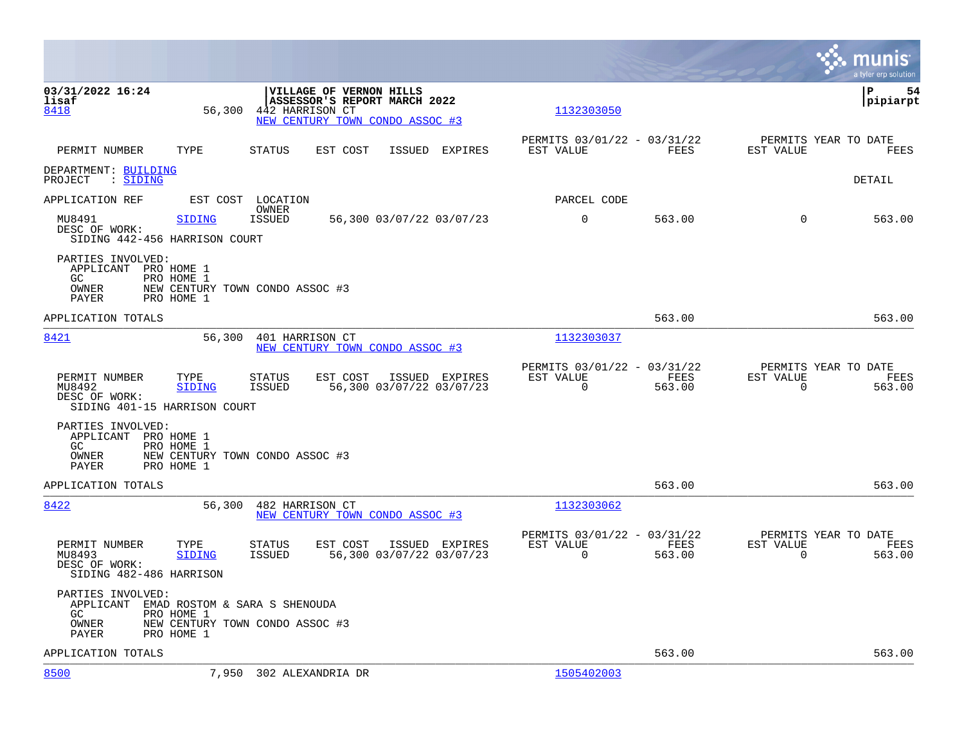|                                                                          |                          |                                                                                                                      |                                            |                                                         |                |                                                  | munis<br>a tyler erp solution |
|--------------------------------------------------------------------------|--------------------------|----------------------------------------------------------------------------------------------------------------------|--------------------------------------------|---------------------------------------------------------|----------------|--------------------------------------------------|-------------------------------|
| 03/31/2022 16:24<br>lisaf<br>8418                                        | 56,300                   | <b>VILLAGE OF VERNON HILLS</b><br>ASSESSOR'S REPORT MARCH 2022<br>442 HARRISON CT<br>NEW CENTURY TOWN CONDO ASSOC #3 |                                            | 1132303050                                              |                |                                                  | lР<br>54<br> pipiarpt         |
| PERMIT NUMBER                                                            | TYPE                     | STATUS<br>EST COST                                                                                                   | ISSUED EXPIRES                             | PERMITS 03/01/22 - 03/31/22<br>EST VALUE                | FEES           | PERMITS YEAR TO DATE<br>EST VALUE                | FEES                          |
| DEPARTMENT: BUILDING<br>PROJECT : SIDING                                 |                          |                                                                                                                      |                                            |                                                         |                |                                                  | DETAIL                        |
| APPLICATION REF                                                          |                          | EST COST LOCATION                                                                                                    |                                            | PARCEL CODE                                             |                |                                                  |                               |
| MU8491<br>DESC OF WORK:<br>SIDING 442-456 HARRISON COURT                 | SIDING                   | OWNER<br><b>ISSUED</b>                                                                                               | 56,300 03/07/22 03/07/23                   | $\mathbf 0$                                             | 563.00         | $\Omega$                                         | 563.00                        |
| PARTIES INVOLVED:<br>APPLICANT PRO HOME 1<br>GC.<br>OWNER<br>PAYER       | PRO HOME 1<br>PRO HOME 1 | NEW CENTURY TOWN CONDO ASSOC #3                                                                                      |                                            |                                                         |                |                                                  |                               |
| APPLICATION TOTALS                                                       |                          |                                                                                                                      |                                            |                                                         | 563.00         |                                                  | 563.00                        |
| 8421                                                                     | 56,300                   | 401 HARRISON CT<br>NEW CENTURY TOWN CONDO ASSOC #3                                                                   |                                            | 1132303037                                              |                |                                                  |                               |
| PERMIT NUMBER<br>MU8492<br>DESC OF WORK:<br>SIDING 401-15 HARRISON COURT | TYPE<br><b>SIDING</b>    | STATUS<br>EST COST<br>ISSUED                                                                                         | ISSUED EXPIRES<br>56,300 03/07/22 03/07/23 | PERMITS 03/01/22 - 03/31/22<br>EST VALUE<br>$\mathbf 0$ | FEES<br>563.00 | PERMITS YEAR TO DATE<br>EST VALUE<br>0           | FEES<br>563.00                |
| PARTIES INVOLVED:<br>APPLICANT PRO HOME 1<br>GC<br>OWNER<br>PAYER        | PRO HOME 1<br>PRO HOME 1 | NEW CENTURY TOWN CONDO ASSOC #3                                                                                      |                                            |                                                         |                |                                                  |                               |
| APPLICATION TOTALS                                                       |                          |                                                                                                                      |                                            |                                                         | 563.00         |                                                  | 563.00                        |
| 8422                                                                     | 56,300                   | 482 HARRISON CT<br>NEW CENTURY TOWN CONDO ASSOC #3                                                                   |                                            | 1132303062                                              |                |                                                  |                               |
| PERMIT NUMBER<br>MU8493<br>DESC OF WORK:<br>SIDING 482-486 HARRISON      | TYPE<br><b>SIDING</b>    | STATUS<br>EST COST<br><b>ISSUED</b>                                                                                  | ISSUED EXPIRES<br>56,300 03/07/22 03/07/23 | PERMITS 03/01/22 - 03/31/22<br>EST VALUE<br>$\Omega$    | FEES<br>563.00 | PERMITS YEAR TO DATE<br>EST VALUE<br>$\mathbf 0$ | FEES<br>563.00                |
| PARTIES INVOLVED:<br>APPLICANT<br>GC<br>OWNER<br>PAYER                   | PRO HOME 1<br>PRO HOME 1 | EMAD ROSTOM & SARA S SHENOUDA<br>NEW CENTURY TOWN CONDO ASSOC #3                                                     |                                            |                                                         |                |                                                  |                               |
| APPLICATION TOTALS                                                       |                          |                                                                                                                      |                                            |                                                         | 563.00         |                                                  | 563.00                        |
| 8500                                                                     |                          | 7,950 302 ALEXANDRIA DR                                                                                              |                                            | 1505402003                                              |                |                                                  |                               |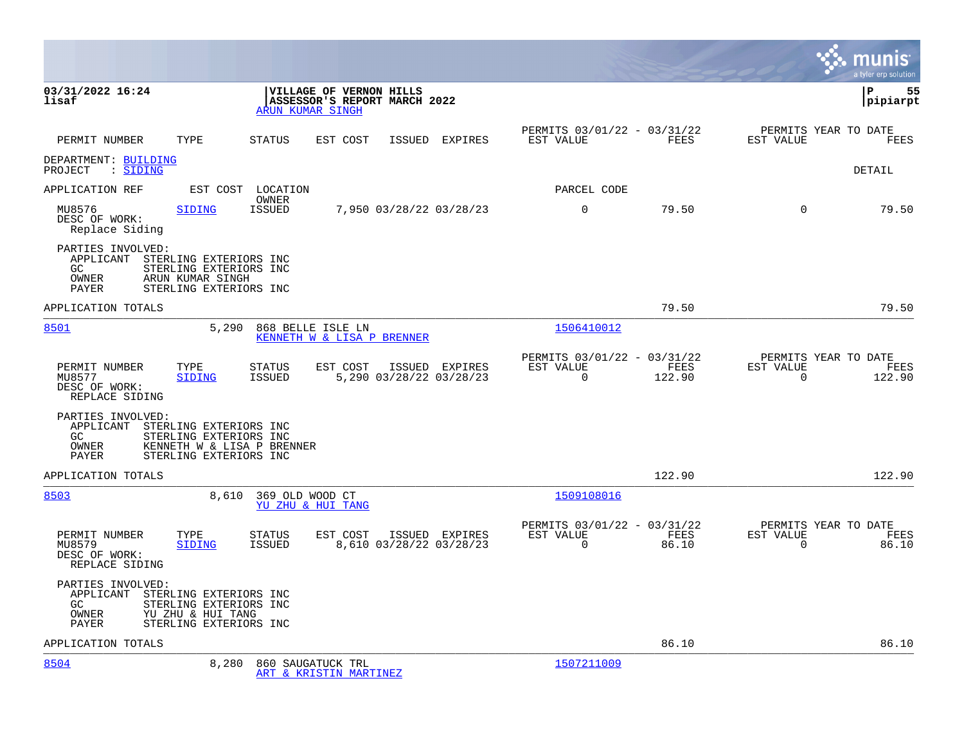|                                                                                                                                                        |                                            |                                                         |                                           |                                                      |                |                                               | munis<br>a tyler erp solution |
|--------------------------------------------------------------------------------------------------------------------------------------------------------|--------------------------------------------|---------------------------------------------------------|-------------------------------------------|------------------------------------------------------|----------------|-----------------------------------------------|-------------------------------|
| 03/31/2022 16:24<br>lisaf                                                                                                                              | ARUN KUMAR SINGH                           | VILLAGE OF VERNON HILLS<br>ASSESSOR'S REPORT MARCH 2022 |                                           |                                                      |                |                                               | 55<br>ΙP<br> pipiarpt         |
| PERMIT NUMBER<br>TYPE                                                                                                                                  | STATUS                                     | EST COST                                                | ISSUED EXPIRES                            | PERMITS 03/01/22 - 03/31/22<br>EST VALUE             | FEES           | PERMITS YEAR TO DATE<br>EST VALUE             | FEES                          |
| DEPARTMENT: BUILDING<br>PROJECT : SIDING                                                                                                               |                                            |                                                         |                                           |                                                      |                |                                               | DETAIL                        |
| APPLICATION REF                                                                                                                                        | EST COST LOCATION                          |                                                         |                                           | PARCEL CODE                                          |                |                                               |                               |
| MU8576<br>SIDING<br>DESC OF WORK:<br>Replace Siding                                                                                                    | OWNER<br><b>ISSUED</b>                     |                                                         | 7,950 03/28/22 03/28/23                   | $\mathbf 0$                                          | 79.50          | $\Omega$                                      | 79.50                         |
| PARTIES INVOLVED:<br>APPLICANT STERLING EXTERIORS INC<br>GC<br>STERLING EXTERIORS INC<br>OWNER<br>ARUN KUMAR SINGH<br>PAYER<br>STERLING EXTERIORS INC  |                                            |                                                         |                                           |                                                      |                |                                               |                               |
| APPLICATION TOTALS                                                                                                                                     |                                            |                                                         |                                           |                                                      | 79.50          |                                               | 79.50                         |
| 8501                                                                                                                                                   | 5.290<br>868 BELLE ISLE LN                 | KENNETH W & LISA P BRENNER                              |                                           | 1506410012                                           |                |                                               |                               |
| PERMIT NUMBER<br>TYPE<br>MU8577<br>SIDING<br>DESC OF WORK:<br>REPLACE SIDING                                                                           | <b>STATUS</b><br>ISSUED                    | EST COST                                                | ISSUED EXPIRES<br>5,290 03/28/22 03/28/23 | PERMITS 03/01/22 - 03/31/22<br>EST VALUE<br>$\Omega$ | FEES<br>122.90 | PERMITS YEAR TO DATE<br>EST VALUE<br>$\Omega$ | FEES<br>122.90                |
| PARTIES INVOLVED:<br>APPLICANT STERLING EXTERIORS INC<br>GC<br>STERLING EXTERIORS INC<br>OWNER<br>STERLING EXTERIORS INC<br>PAYER                      | KENNETH W & LISA P BRENNER                 |                                                         |                                           |                                                      |                |                                               |                               |
| APPLICATION TOTALS                                                                                                                                     |                                            |                                                         |                                           |                                                      | 122.90         |                                               | 122.90                        |
| 8503                                                                                                                                                   | 8,610 369 OLD WOOD CT<br>YU ZHU & HUI TANG |                                                         |                                           | 1509108016                                           |                |                                               |                               |
| PERMIT NUMBER<br>TYPE<br>MU8579<br>SIDING<br>DESC OF WORK:<br>REPLACE SIDING                                                                           | <b>STATUS</b><br>ISSUED                    | EST COST                                                | ISSUED EXPIRES<br>8,610 03/28/22 03/28/23 | PERMITS 03/01/22 - 03/31/22<br>EST VALUE<br>$\Omega$ | FEES<br>86.10  | PERMITS YEAR TO DATE<br>EST VALUE<br>$\Omega$ | FEES<br>86.10                 |
| PARTIES INVOLVED:<br>APPLICANT STERLING EXTERIORS INC<br>STERLING EXTERIORS INC<br>GC<br>OWNER<br>YU ZHU & HUI TANG<br>STERLING EXTERIORS INC<br>PAYER |                                            |                                                         |                                           |                                                      |                |                                               |                               |
| APPLICATION TOTALS                                                                                                                                     |                                            |                                                         |                                           |                                                      | 86.10          |                                               | 86.10                         |
| 8504                                                                                                                                                   | 8,280<br>860 SAUGATUCK TRL                 | ART & KRISTIN MARTINEZ                                  |                                           | 1507211009                                           |                |                                               |                               |

 $\bullet$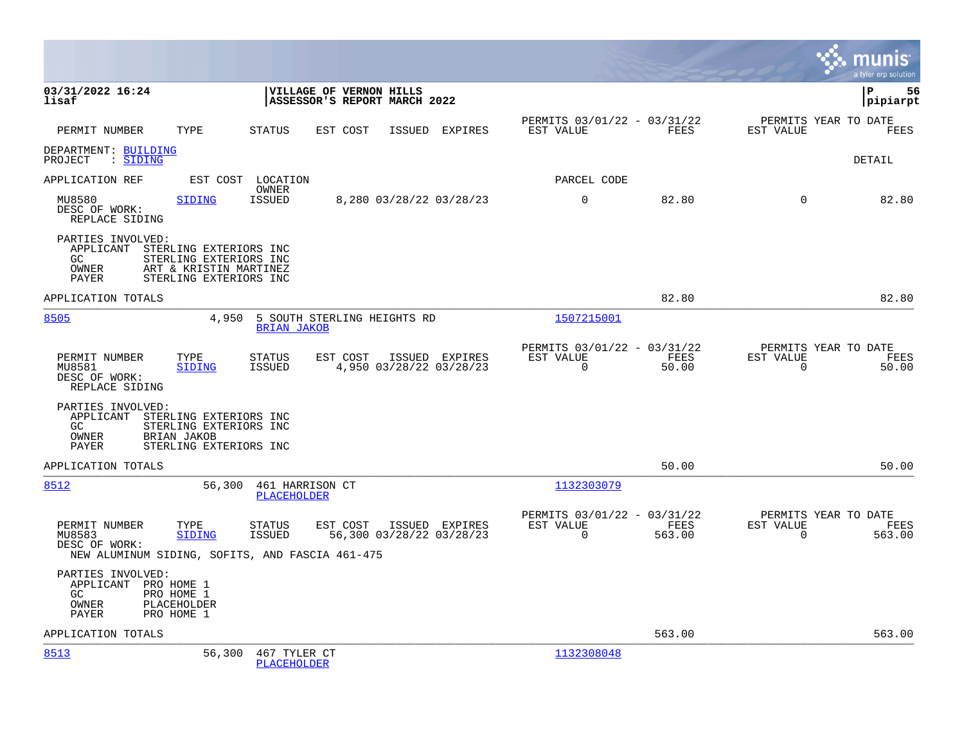|                                                                                             |                                                                            |                                |                                                         |                          |                |                                                         |                |                                                  | munis<br>a tyler erp solution |
|---------------------------------------------------------------------------------------------|----------------------------------------------------------------------------|--------------------------------|---------------------------------------------------------|--------------------------|----------------|---------------------------------------------------------|----------------|--------------------------------------------------|-------------------------------|
| 03/31/2022 16:24<br>lisaf                                                                   |                                                                            |                                | VILLAGE OF VERNON HILLS<br>ASSESSOR'S REPORT MARCH 2022 |                          |                |                                                         |                |                                                  | 56<br>l P<br> pipiarpt        |
| PERMIT NUMBER                                                                               | TYPE                                                                       | STATUS                         | EST COST                                                |                          | ISSUED EXPIRES | PERMITS 03/01/22 - 03/31/22<br>EST VALUE                | FEES           | PERMITS YEAR TO DATE<br>EST VALUE                | FEES                          |
| DEPARTMENT: BUILDING<br>PROJECT : SIDING                                                    |                                                                            |                                |                                                         |                          |                |                                                         |                |                                                  | DETAIL                        |
| APPLICATION REF                                                                             |                                                                            | EST COST LOCATION              |                                                         |                          |                | PARCEL CODE                                             |                |                                                  |                               |
| MU8580<br>DESC OF WORK:<br>REPLACE SIDING                                                   | <b>SIDING</b>                                                              | OWNER<br><b>ISSUED</b>         |                                                         | 8,280 03/28/22 03/28/23  |                | $\Omega$                                                | 82.80          | $\Omega$                                         | 82.80                         |
| PARTIES INVOLVED:<br>APPLICANT STERLING EXTERIORS INC<br>GC.<br>OWNER<br>PAYER              | STERLING EXTERIORS INC<br>ART & KRISTIN MARTINEZ<br>STERLING EXTERIORS INC |                                |                                                         |                          |                |                                                         |                |                                                  |                               |
| APPLICATION TOTALS                                                                          |                                                                            |                                |                                                         |                          |                |                                                         | 82.80          |                                                  | 82.80                         |
| 8505                                                                                        | 4,950                                                                      | <b>BRIAN JAKOB</b>             | 5 SOUTH STERLING HEIGHTS RD                             |                          |                | 1507215001                                              |                |                                                  |                               |
| PERMIT NUMBER<br>MU8581<br>DESC OF WORK:<br>REPLACE SIDING                                  | TYPE<br><b>SIDING</b>                                                      | <b>STATUS</b><br><b>ISSUED</b> | EST COST                                                | 4,950 03/28/22 03/28/23  | ISSUED EXPIRES | PERMITS 03/01/22 - 03/31/22<br>EST VALUE<br>$\Omega$    | FEES<br>50.00  | PERMITS YEAR TO DATE<br>EST VALUE<br>$\mathbf 0$ | FEES<br>50.00                 |
| PARTIES INVOLVED:<br>APPLICANT STERLING EXTERIORS INC<br>GC<br><b>OWNER</b><br>PAYER        | STERLING EXTERIORS INC<br><b>BRIAN JAKOB</b><br>STERLING EXTERIORS INC     |                                |                                                         |                          |                |                                                         |                |                                                  |                               |
| APPLICATION TOTALS                                                                          |                                                                            |                                |                                                         |                          |                |                                                         | 50.00          |                                                  | 50.00                         |
| 8512                                                                                        | 56,300                                                                     | 461 HARRISON CT<br>PLACEHOLDER |                                                         |                          |                | 1132303079                                              |                |                                                  |                               |
| PERMIT NUMBER<br>MU8583<br>DESC OF WORK:<br>NEW ALUMINUM SIDING, SOFITS, AND FASCIA 461-475 | TYPE<br><b>SIDING</b>                                                      | STATUS<br><b>ISSUED</b>        | EST COST                                                | 56,300 03/28/22 03/28/23 | ISSUED EXPIRES | PERMITS 03/01/22 - 03/31/22<br>EST VALUE<br>$\mathbf 0$ | FEES<br>563.00 | PERMITS YEAR TO DATE<br>EST VALUE<br>$\mathbf 0$ | FEES<br>563.00                |
| PARTIES INVOLVED:<br>APPLICANT PRO HOME 1<br>GC.<br>OWNER<br>PAYER                          | PRO HOME 1<br>PLACEHOLDER<br>PRO HOME 1                                    |                                |                                                         |                          |                |                                                         |                |                                                  |                               |
| APPLICATION TOTALS                                                                          |                                                                            |                                |                                                         |                          |                |                                                         | 563.00         |                                                  | 563.00                        |
| 8513                                                                                        | 56,300                                                                     | 467 TYLER CT<br>PLACEHOLDER    |                                                         |                          |                | 1132308048                                              |                |                                                  |                               |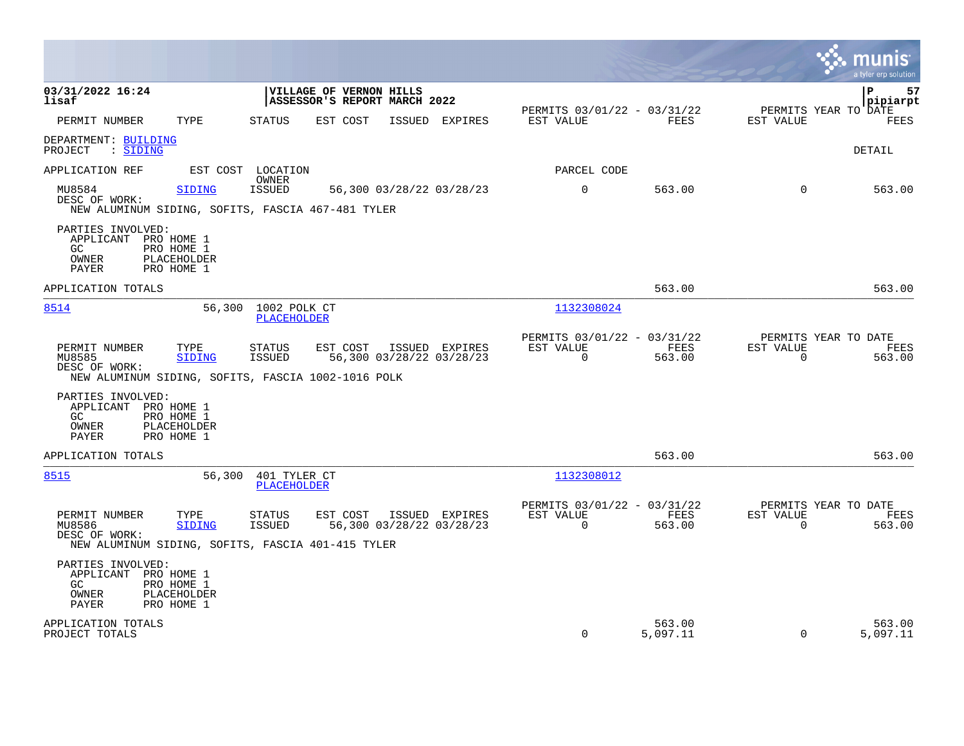|                                                                                                               |                                                                                                                                         |                                                                        | munis<br>a tyler erp solution                                   |
|---------------------------------------------------------------------------------------------------------------|-----------------------------------------------------------------------------------------------------------------------------------------|------------------------------------------------------------------------|-----------------------------------------------------------------|
| 03/31/2022 16:24<br>lisaf                                                                                     | <b>VILLAGE OF VERNON HILLS</b><br>ASSESSOR'S REPORT MARCH 2022                                                                          |                                                                        | l P<br>57<br> pipiarpt                                          |
| TYPE<br>PERMIT NUMBER                                                                                         | STATUS<br>EST COST<br>ISSUED EXPIRES                                                                                                    | PERMITS 03/01/22 - 03/31/22<br>FEES<br>EST VALUE                       | PERMITS YEAR TO DATE<br>EST VALUE<br>FEES                       |
| DEPARTMENT: BUILDING<br>$\therefore$ SIDING<br>PROJECT                                                        |                                                                                                                                         |                                                                        | DETAIL                                                          |
| APPLICATION REF                                                                                               | EST COST LOCATION                                                                                                                       | PARCEL CODE                                                            |                                                                 |
| MU8584<br><b>SIDING</b><br>DESC OF WORK:                                                                      | OWNER<br>ISSUED<br>56,300 03/28/22 03/28/23<br>NEW ALUMINUM SIDING, SOFITS, FASCIA 467-481 TYLER                                        | $\overline{0}$<br>563.00                                               | 563.00<br>$\mathbf 0$                                           |
| PARTIES INVOLVED:<br>APPLICANT PRO HOME 1<br>GC.<br>PRO HOME 1<br>OWNER<br>PLACEHOLDER<br>PAYER<br>PRO HOME 1 |                                                                                                                                         |                                                                        |                                                                 |
| APPLICATION TOTALS                                                                                            |                                                                                                                                         | 563.00                                                                 | 563.00                                                          |
| 8514                                                                                                          | 56,300 1002 POLK CT<br><b>PLACEHOLDER</b>                                                                                               | 1132308024                                                             |                                                                 |
| PERMIT NUMBER<br>TYPE<br>MU8585<br><b>SIDING</b><br>DESC OF WORK:                                             | EST COST<br>ISSUED EXPIRES<br><b>STATUS</b><br>ISSUED<br>56,300 03/28/22 03/28/23<br>NEW ALUMINUM SIDING, SOFITS, FASCIA 1002-1016 POLK | PERMITS 03/01/22 - 03/31/22<br>EST VALUE<br>FEES<br>$\Omega$<br>563.00 | PERMITS YEAR TO DATE<br>EST VALUE<br>FEES<br>$\Omega$<br>563.00 |
| PARTIES INVOLVED:<br>APPLICANT PRO HOME 1<br>PRO HOME 1<br>GC.<br>PLACEHOLDER<br>OWNER<br>PAYER<br>PRO HOME 1 |                                                                                                                                         |                                                                        |                                                                 |
| APPLICATION TOTALS                                                                                            |                                                                                                                                         | 563.00                                                                 | 563.00                                                          |
| 8515                                                                                                          | 56,300<br>401 TYLER CT<br>PLACEHOLDER                                                                                                   | 1132308012                                                             |                                                                 |
| PERMIT NUMBER<br>TYPE<br>MU8586<br>SIDING<br>DESC OF WORK:                                                    | <b>STATUS</b><br>EST COST<br>ISSUED EXPIRES<br>ISSUED<br>56,300 03/28/22 03/28/23<br>NEW ALUMINUM SIDING, SOFITS, FASCIA 401-415 TYLER  | PERMITS 03/01/22 - 03/31/22<br>EST VALUE<br>FEES<br>$\Omega$<br>563.00 | PERMITS YEAR TO DATE<br>EST VALUE<br>FEES<br>$\Omega$<br>563.00 |
| PARTIES INVOLVED:<br>APPLICANT PRO HOME 1<br>PRO HOME 1<br>GC.<br>OWNER<br>PLACEHOLDER<br>PAYER<br>PRO HOME 1 |                                                                                                                                         |                                                                        |                                                                 |
| APPLICATION TOTALS<br>PROJECT TOTALS                                                                          |                                                                                                                                         | 563.00<br>$\Omega$<br>5,097.11                                         | 563.00<br>5,097.11<br>$\Omega$                                  |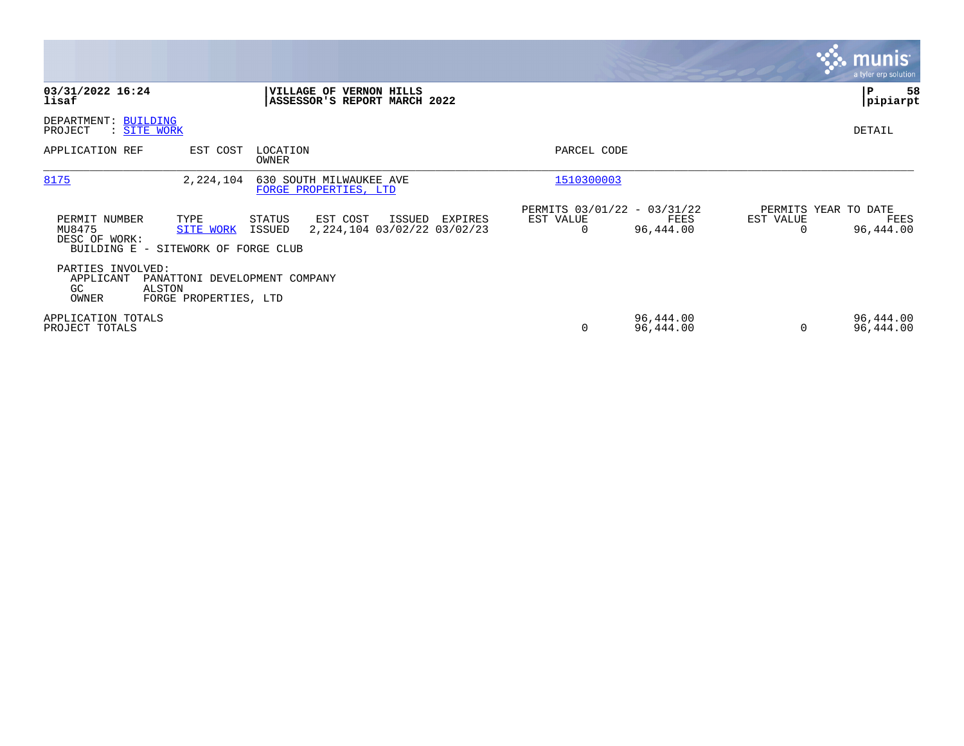|                                                                |                                                                                                 |                                                    |                                               |                        |           | <b>munis</b><br>a tyler erp solution      |
|----------------------------------------------------------------|-------------------------------------------------------------------------------------------------|----------------------------------------------------|-----------------------------------------------|------------------------|-----------|-------------------------------------------|
| 03/31/2022 16:24<br>lisaf                                      | VILLAGE OF VERNON HILLS                                                                         | ASSESSOR'S REPORT MARCH 2022                       |                                               |                        |           | 58<br> P<br> pipiarpt                     |
| DEPARTMENT: BUILDING<br>PROJECT<br>: SITE WORK                 |                                                                                                 |                                                    |                                               |                        |           | DETAIL                                    |
| APPLICATION REF                                                | EST COST<br>LOCATION<br>OWNER                                                                   |                                                    | PARCEL CODE                                   |                        |           |                                           |
| 8175                                                           | 630 SOUTH MILWAUKEE AVE<br>2,224,104<br>FORGE PROPERTIES, LTD                                   |                                                    | 1510300003                                    |                        |           |                                           |
| PERMIT NUMBER<br>MU8475<br>DESC OF WORK:                       | TYPE<br>EST COST<br>STATUS<br><b>SITE WORK</b><br>ISSUED<br>BUILDING E - SITEWORK OF FORGE CLUB | ISSUED<br>EXPIRES<br>2, 224, 104 03/02/22 03/02/23 | PERMITS 03/01/22 - 03/31/22<br>EST VALUE<br>0 | FEES<br>96,444.00      | EST VALUE | PERMITS YEAR TO DATE<br>FEES<br>96,444.00 |
| PARTIES INVOLVED:<br>APPLICANT<br>GC<br><b>ALSTON</b><br>OWNER | PANATTONI DEVELOPMENT COMPANY<br>FORGE PROPERTIES, LTD                                          |                                                    |                                               |                        |           |                                           |
| APPLICATION TOTALS<br>PROJECT TOTALS                           |                                                                                                 |                                                    | 0                                             | 96,444.00<br>96,444.00 | $\Omega$  | 96,444.00<br>96,444.00                    |

**The State**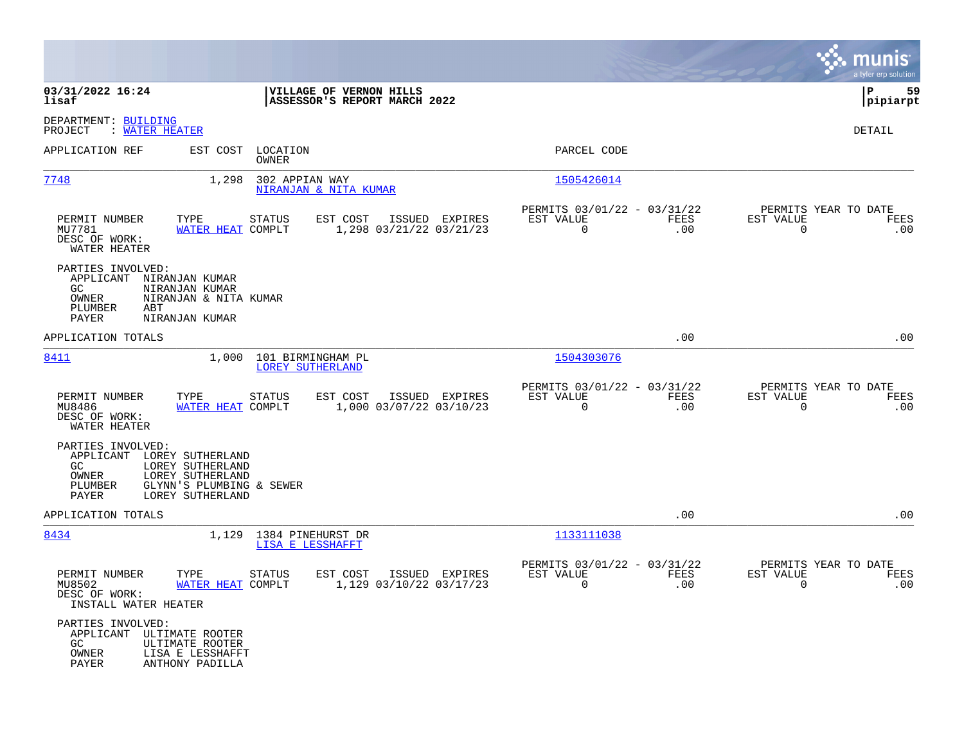|                                                                                         |                                                                                      |                                                         |                                                         |                    | munis<br>a tyler erp solution                                   |
|-----------------------------------------------------------------------------------------|--------------------------------------------------------------------------------------|---------------------------------------------------------|---------------------------------------------------------|--------------------|-----------------------------------------------------------------|
| 03/31/2022 16:24<br>lisaf                                                               |                                                                                      | VILLAGE OF VERNON HILLS<br>ASSESSOR'S REPORT MARCH 2022 |                                                         |                    | 59<br>l P<br> pipiarpt                                          |
| DEPARTMENT: BUILDING<br>: WATER HEATER<br>PROJECT                                       |                                                                                      |                                                         |                                                         |                    | DETAIL                                                          |
| APPLICATION REF                                                                         | EST COST LOCATION<br>OWNER                                                           |                                                         | PARCEL CODE                                             |                    |                                                                 |
| 7748                                                                                    | 1,298                                                                                | 302 APPIAN WAY<br>NIRANJAN & NITA KUMAR                 | 1505426014                                              |                    |                                                                 |
| PERMIT NUMBER<br>MU7781<br>DESC OF WORK:<br>WATER HEATER                                | TYPE<br><b>STATUS</b><br>WATER HEAT COMPLT                                           | EST COST<br>ISSUED EXPIRES<br>1,298 03/21/22 03/21/23   | PERMITS 03/01/22 - 03/31/22<br>EST VALUE<br>$\Omega$    | FEES<br>.00        | PERMITS YEAR TO DATE<br>EST VALUE<br>FEES<br>$\Omega$<br>.00    |
| PARTIES INVOLVED:<br>APPLICANT NIRANJAN KUMAR<br>GC<br>OWNER<br>PLUMBER<br>ABT<br>PAYER | NIRANJAN KUMAR<br>NIRANJAN & NITA KUMAR<br>NIRANJAN KUMAR                            |                                                         |                                                         |                    |                                                                 |
| APPLICATION TOTALS                                                                      |                                                                                      |                                                         |                                                         | .00                | .00                                                             |
| 8411                                                                                    | 1,000                                                                                | 101 BIRMINGHAM PL<br>LOREY SUTHERLAND                   | 1504303076                                              |                    |                                                                 |
| PERMIT NUMBER<br>MU8486<br>DESC OF WORK:<br>WATER HEATER                                | TYPE<br><b>STATUS</b><br>WATER HEAT COMPLT                                           | EST COST<br>ISSUED EXPIRES<br>1,000 03/07/22 03/10/23   | PERMITS 03/01/22 - 03/31/22<br>EST VALUE<br>$\Omega$    | FEES<br>.00        | PERMITS YEAR TO DATE<br>EST VALUE<br>FEES<br>$\Omega$<br>.00    |
| PARTIES INVOLVED:<br>APPLICANT LOREY SUTHERLAND<br>GC<br>OWNER<br>PLUMBER<br>PAYER      | LOREY SUTHERLAND<br>LOREY SUTHERLAND<br>GLYNN'S PLUMBING & SEWER<br>LOREY SUTHERLAND |                                                         |                                                         |                    |                                                                 |
| APPLICATION TOTALS                                                                      |                                                                                      |                                                         |                                                         | .00                | .00                                                             |
| 8434                                                                                    | 1,129 1384 PINEHURST DR                                                              | LISA E LESSHAFFT                                        | 1133111038                                              |                    |                                                                 |
| PERMIT NUMBER<br>MU8502<br>DESC OF WORK:<br>INSTALL WATER HEATER                        | TYPE<br><b>STATUS</b><br>WATER HEAT COMPLT                                           | EST COST<br>ISSUED EXPIRES<br>1,129 03/10/22 03/17/23   | PERMITS 03/01/22 - 03/31/22<br>EST VALUE<br>$\mathbf 0$ | <b>FEES</b><br>.00 | PERMITS YEAR TO DATE<br>EST VALUE<br>FEES<br>$\mathbf 0$<br>.00 |
| PARTIES INVOLVED:<br>APPLICANT ULTIMATE ROOTER<br>GC.<br>OWNER<br>PAYER                 | ULTIMATE ROOTER<br>LISA E LESSHAFFT<br>ANTHONY PADILLA                               |                                                         |                                                         |                    |                                                                 |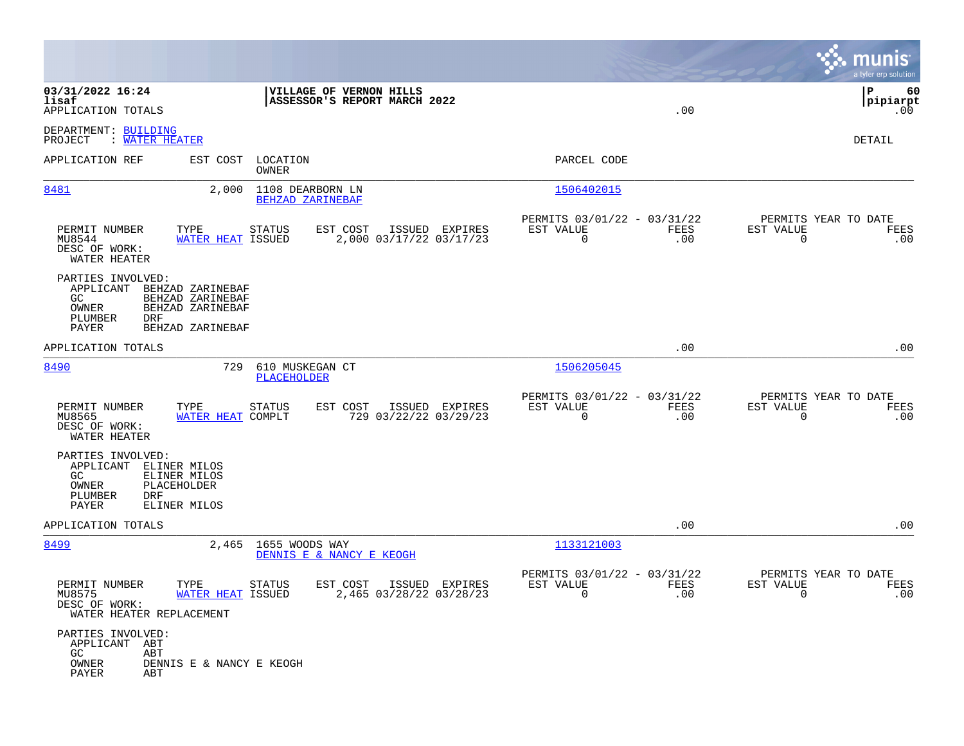|                                                                           |                                                                                                     |                                                                                     | munis<br>a tyler erp solution                                      |
|---------------------------------------------------------------------------|-----------------------------------------------------------------------------------------------------|-------------------------------------------------------------------------------------|--------------------------------------------------------------------|
| 03/31/2022 16:24<br>lisaf<br>APPLICATION TOTALS                           | VILLAGE OF VERNON HILLS<br>ASSESSOR'S REPORT MARCH 2022                                             | .00                                                                                 | P<br>60<br> pipiarpt<br>.00                                        |
| DEPARTMENT: BUILDING<br>: WATER HEATER<br>PROJECT                         |                                                                                                     |                                                                                     | DETAIL                                                             |
| APPLICATION REF                                                           | EST COST<br>LOCATION<br>OWNER                                                                       | PARCEL CODE                                                                         |                                                                    |
| 8481                                                                      | 2,000<br>1108 DEARBORN LN<br>BEHZAD ZARINEBAF                                                       | 1506402015                                                                          |                                                                    |
| PERMIT NUMBER<br>MU8544<br>DESC OF WORK:<br>WATER HEATER                  | EST COST<br>ISSUED EXPIRES<br>TYPE<br>STATUS<br>2,000 03/17/22 03/17/23<br>WATER HEAT ISSUED        | PERMITS 03/01/22 - 03/31/22<br>FEES<br>EST VALUE<br>$\mathbf 0$<br>.00              | PERMITS YEAR TO DATE<br>EST VALUE<br>FEES<br>$\mathsf{O}$<br>.00   |
| PARTIES INVOLVED:<br>APPLICANT<br>GC<br>OWNER<br>PLUMBER<br>DRF<br>PAYER  | BEHZAD ZARINEBAF<br>BEHZAD ZARINEBAF<br>BEHZAD ZARINEBAF<br>BEHZAD ZARINEBAF                        |                                                                                     |                                                                    |
| APPLICATION TOTALS                                                        |                                                                                                     | .00                                                                                 | .00                                                                |
| 8490                                                                      | 729<br>610 MUSKEGAN CT<br><b>PLACEHOLDER</b>                                                        | 1506205045                                                                          |                                                                    |
| PERMIT NUMBER<br>MU8565<br>DESC OF WORK:<br>WATER HEATER                  | TYPE<br><b>STATUS</b><br>EST COST<br>ISSUED EXPIRES<br>WATER HEAT COMPLT<br>729 03/22/22 03/29/23   | PERMITS 03/01/22 - 03/31/22<br>EST VALUE<br>FEES<br>$\mathbf 0$<br>.00              | PERMITS YEAR TO DATE<br>EST VALUE<br>FEES<br>.00<br>0              |
| PARTIES INVOLVED:<br>APPLICANT<br>GC.<br>OWNER<br>PLUMBER<br>DRF<br>PAYER | ELINER MILOS<br>ELINER MILOS<br>PLACEHOLDER<br>ELINER MILOS                                         |                                                                                     |                                                                    |
| APPLICATION TOTALS                                                        |                                                                                                     | .00                                                                                 | .00                                                                |
| 8499                                                                      | 2,465 1655 WOODS WAY<br>DENNIS E & NANCY E KEOGH                                                    | 1133121003                                                                          |                                                                    |
| PERMIT NUMBER<br>MU8575<br>DESC OF WORK:<br>WATER HEATER REPLACEMENT      | TYPE<br><b>STATUS</b><br>EST COST<br>ISSUED EXPIRES<br>WATER HEAT ISSUED<br>2,465 03/28/22 03/28/23 | PERMITS 03/01/22 - 03/31/22<br>EST VALUE<br>FEES<br>.00<br>$\overline{\phantom{0}}$ | PERMITS YEAR TO DATE<br>EST VALUE<br>FEES<br>.00<br>$\overline{0}$ |
| PARTIES INVOLVED:<br>APPLICANT ABT<br>GC<br>ABT<br>OWNER<br>PAYER<br>ABT  | DENNIS E & NANCY E KEOGH                                                                            |                                                                                     |                                                                    |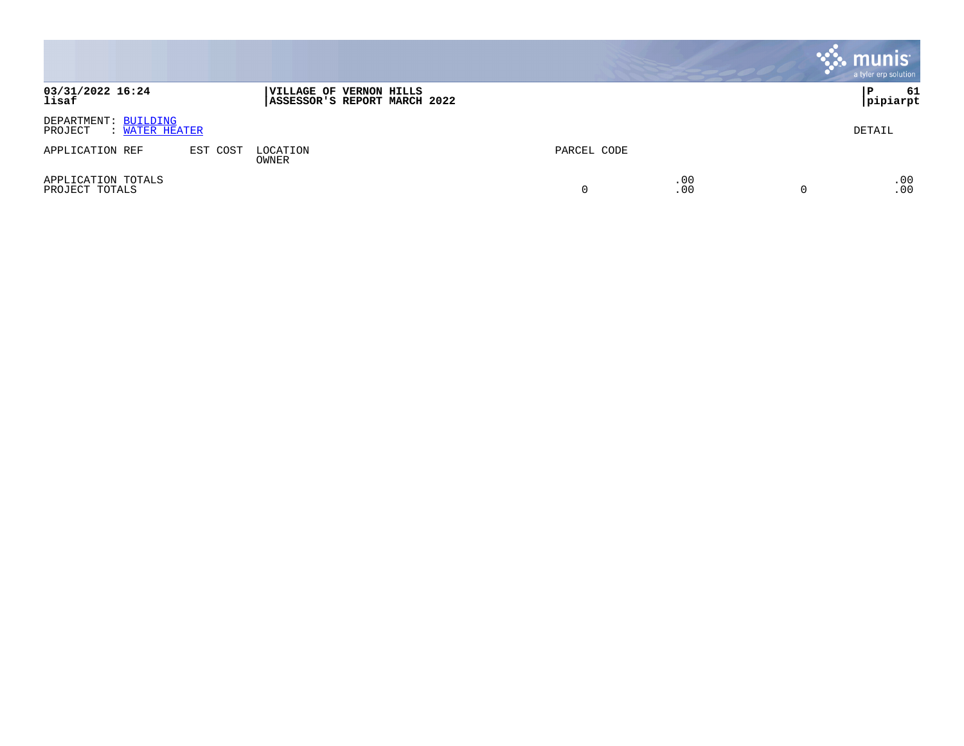|                                                   |          |                                                                 |             |            | munis<br>a tyler erp solution |
|---------------------------------------------------|----------|-----------------------------------------------------------------|-------------|------------|-------------------------------|
| 03/31/2022 16:24<br>lisaf                         |          | <b> VILLAGE OF VERNON HILLS</b><br>ASSESSOR'S REPORT MARCH 2022 |             |            | 61<br>۱P.<br> pipiarpt        |
| DEPARTMENT: BUILDING<br>PROJECT<br>: WATER HEATER |          |                                                                 |             |            | DETAIL                        |
| APPLICATION REF                                   | EST COST | LOCATION<br>OWNER                                               | PARCEL CODE |            |                               |
| APPLICATION TOTALS<br>PROJECT TOTALS              |          |                                                                 |             | .00<br>.00 | .00<br>.00                    |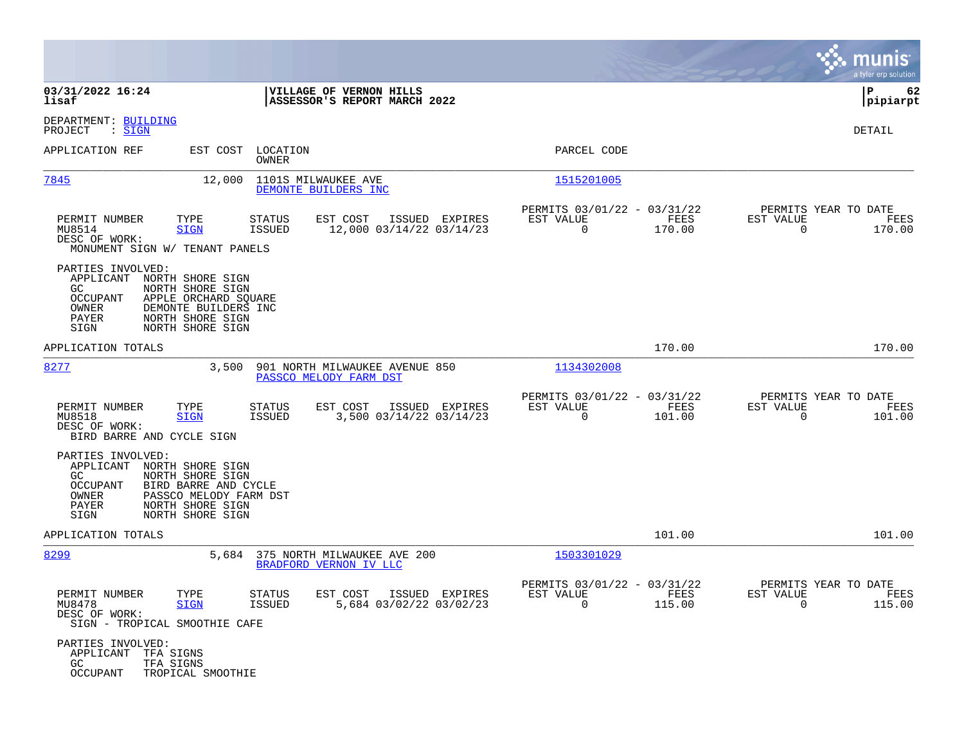|                                                                                                                                                                                                                     |                                                                                          |                                                                        | munis<br>a tyler erp solution                                      |
|---------------------------------------------------------------------------------------------------------------------------------------------------------------------------------------------------------------------|------------------------------------------------------------------------------------------|------------------------------------------------------------------------|--------------------------------------------------------------------|
| 03/31/2022 16:24<br>lisaf                                                                                                                                                                                           | VILLAGE OF VERNON HILLS<br>ASSESSOR'S REPORT MARCH 2022                                  |                                                                        | P<br>62<br> pipiarpt                                               |
| DEPARTMENT: BUILDING<br>$\mathrel{\mathop:} \mathsf{SIGN}$<br>PROJECT                                                                                                                                               |                                                                                          |                                                                        | <b>DETAIL</b>                                                      |
| APPLICATION REF                                                                                                                                                                                                     | EST COST LOCATION<br>OWNER                                                               | PARCEL CODE                                                            |                                                                    |
| 7845<br>12,000                                                                                                                                                                                                      | 1101S MILWAUKEE AVE<br>DEMONTE BUILDERS INC                                              | 1515201005                                                             |                                                                    |
| PERMIT NUMBER<br>TYPE<br>MU8514<br><b>SIGN</b><br>DESC OF WORK:<br>MONUMENT SIGN W/ TENANT PANELS                                                                                                                   | <b>STATUS</b><br>EST COST<br>ISSUED EXPIRES<br>12,000 03/14/22 03/14/23<br><b>ISSUED</b> | PERMITS 03/01/22 - 03/31/22<br>EST VALUE<br>FEES<br>$\Omega$<br>170.00 | PERMITS YEAR TO DATE<br>EST VALUE<br>FEES<br>$\Omega$<br>170.00    |
| PARTIES INVOLVED:<br>APPLICANT<br>NORTH SHORE SIGN<br>NORTH SHORE SIGN<br>GC.<br><b>OCCUPANT</b><br>APPLE ORCHARD SQUARE<br>OWNER<br>DEMONTE BUILDERS INC<br>NORTH SHORE SIGN<br>PAYER<br>SIGN<br>NORTH SHORE SIGN  |                                                                                          |                                                                        |                                                                    |
| APPLICATION TOTALS                                                                                                                                                                                                  |                                                                                          | 170.00                                                                 | 170.00                                                             |
| 8277<br>3,500                                                                                                                                                                                                       | 901 NORTH MILWAUKEE AVENUE 850<br>PASSCO MELODY FARM DST                                 | 1134302008                                                             |                                                                    |
| PERMIT NUMBER<br>TYPE<br>MU8518<br><b>SIGN</b><br>DESC OF WORK:<br>BIRD BARRE AND CYCLE SIGN                                                                                                                        | EST COST<br><b>STATUS</b><br>ISSUED EXPIRES<br><b>ISSUED</b><br>3,500 03/14/22 03/14/23  | PERMITS 03/01/22 - 03/31/22<br>EST VALUE<br>FEES<br>101.00<br>0        | PERMITS YEAR TO DATE<br>EST VALUE<br>FEES<br>$\Omega$<br>101.00    |
| PARTIES INVOLVED:<br>APPLICANT<br>NORTH SHORE SIGN<br>GC<br>NORTH SHORE SIGN<br><b>OCCUPANT</b><br>BIRD BARRE AND CYCLE<br>OWNER<br>PASSCO MELODY FARM DST<br>NORTH SHORE SIGN<br>PAYER<br>SIGN<br>NORTH SHORE SIGN |                                                                                          |                                                                        |                                                                    |
| APPLICATION TOTALS                                                                                                                                                                                                  |                                                                                          | 101.00                                                                 | 101.00                                                             |
| 8299<br>5,684                                                                                                                                                                                                       | 375 NORTH MILWAUKEE AVE 200<br>BRADFORD VERNON IV LLC                                    | 1503301029                                                             |                                                                    |
| PERMIT NUMBER<br>TYPE<br>MU8478<br><b>SIGN</b><br>DESC OF WORK:<br>SIGN - TROPICAL SMOOTHIE CAFE                                                                                                                    | <b>STATUS</b><br>EST COST<br>ISSUED EXPIRES<br>5,684 03/02/22 03/02/23<br><b>ISSUED</b>  | PERMITS 03/01/22 - 03/31/22<br>EST VALUE<br><b>FEES</b><br>0<br>115.00 | PERMITS YEAR TO DATE<br>EST VALUE<br>FEES<br>$\mathbf 0$<br>115.00 |
| PARTIES INVOLVED:<br>APPLICANT<br>TFA SIGNS<br>GC.<br>TFA SIGNS<br>OCCUPANT<br>TROPICAL SMOOTHIE                                                                                                                    |                                                                                          |                                                                        |                                                                    |